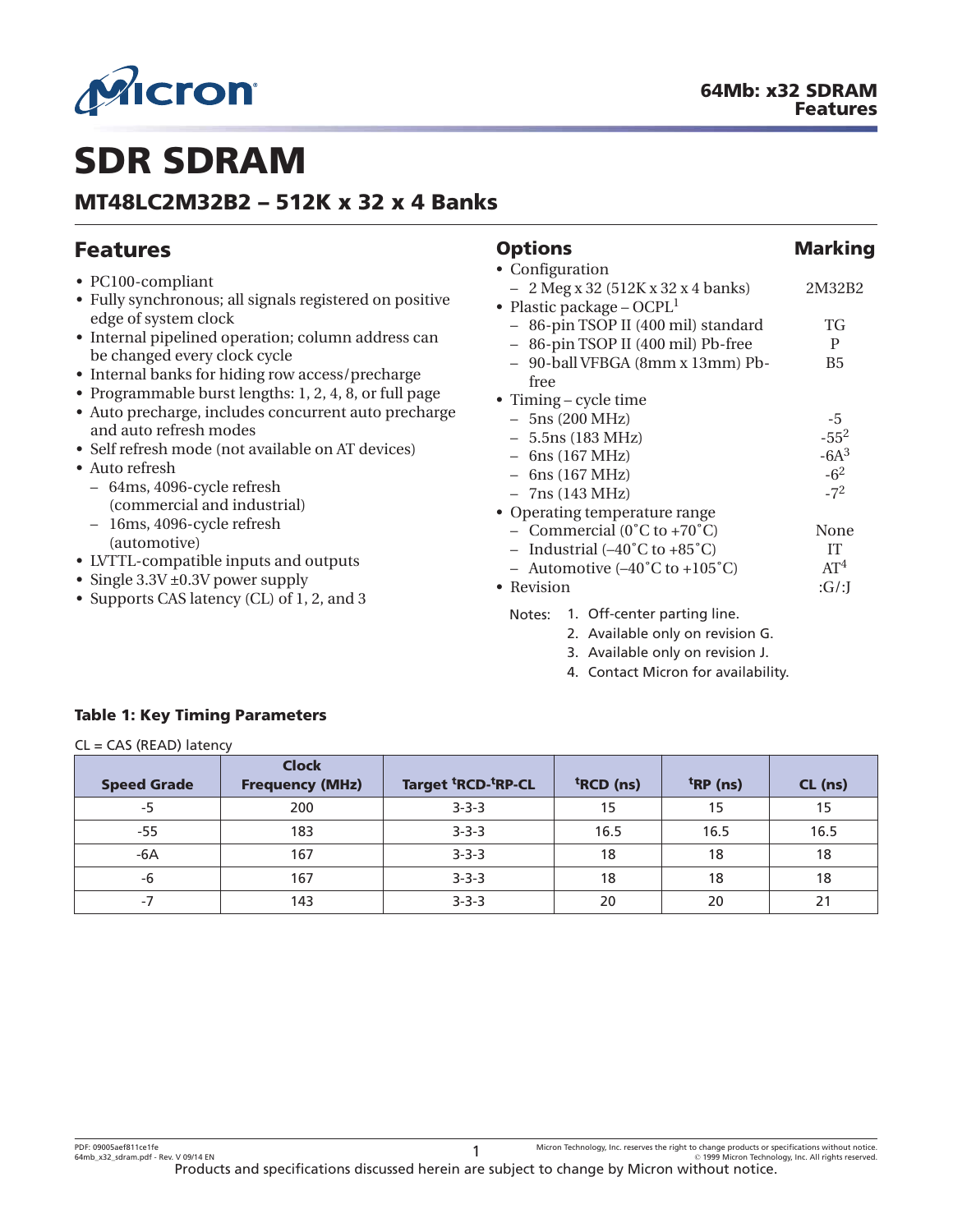<span id="page-0-0"></span>

# **SDR SDRAM**

# **MT48LC2M32B2 – 512K x 32 x 4 Banks**

| <b>Features</b>                                                                                                                                                                                                                                                                                                                                                                                                                                                                                                                                                                                                                                              | <b>Options</b>                                                                                                                                                                                                                                                                                                                                                                                                                                                                                                                                     | <b>Marking</b>                                                                                                           |
|--------------------------------------------------------------------------------------------------------------------------------------------------------------------------------------------------------------------------------------------------------------------------------------------------------------------------------------------------------------------------------------------------------------------------------------------------------------------------------------------------------------------------------------------------------------------------------------------------------------------------------------------------------------|----------------------------------------------------------------------------------------------------------------------------------------------------------------------------------------------------------------------------------------------------------------------------------------------------------------------------------------------------------------------------------------------------------------------------------------------------------------------------------------------------------------------------------------------------|--------------------------------------------------------------------------------------------------------------------------|
| • PC100-compliant<br>• Fully synchronous; all signals registered on positive<br>edge of system clock<br>• Internal pipelined operation; column address can<br>be changed every clock cycle<br>• Internal banks for hiding row access/precharge<br>• Programmable burst lengths: 1, 2, 4, 8, or full page<br>· Auto precharge, includes concurrent auto precharge<br>and auto refresh modes<br>• Self refresh mode (not available on AT devices)<br>• Auto refresh<br>- 64ms, 4096-cycle refresh<br>(commercial and industrial)<br>16ms, 4096-cycle refresh<br>(automotive)<br>• LVTTL-compatible inputs and outputs<br>• Single $3.3V \pm 0.3V$ power supply | • Configuration<br>$-2$ Meg x 32 (512K x 32 x 4 banks)<br>• Plastic package – $OCPL1$<br>- 86-pin TSOP II (400 mil) standard<br>- 86-pin TSOP II (400 mil) Pb-free<br>- 90-ball VFBGA (8mm x 13mm) Pb-<br>free<br>• Timing – cycle time<br>$-5ns(200 MHz)$<br>$-5.5$ ns (183 MHz)<br>$-$ 6ns (167 MHz)<br>$-$ 6ns (167 MHz)<br>$-7ns(143 MHz)$<br>• Operating temperature range<br>- Commercial $(0^{\circ}C \text{ to } +70^{\circ}C)$<br>- Industrial $(-40^{\circ}$ C to $+85^{\circ}$ C)<br>- Automotive $(-40^{\circ}$ C to $+105^{\circ}$ C) | 2M32B2<br>TG<br>P<br>B <sub>5</sub><br>$-5$<br>$-55^{2}$<br>$-6A^3$<br>$-6^2$<br>$-7^2$<br>None<br>IT<br>AT <sup>4</sup> |
| • Supports CAS latency (CL) of 1, 2, and 3                                                                                                                                                                                                                                                                                                                                                                                                                                                                                                                                                                                                                   | • Revision<br>1. Off-center parting line.<br>Notes:<br>2. Available only on revision G.<br>3. Available only on revision J.<br>4. Contact Micron for availability.                                                                                                                                                                                                                                                                                                                                                                                 | :G/J                                                                                                                     |

# **Table 1: Key Timing Parameters**

#### CL = CAS (READ) latency

| <b>Speed Grade</b> | <b>Clock</b><br><b>Frequency (MHz)</b> | Target <sup>t</sup> RCD- <sup>t</sup> RP-CL | <sup>t</sup> RCD (ns) | $trRP$ (ns) | CL (ns) |
|--------------------|----------------------------------------|---------------------------------------------|-----------------------|-------------|---------|
| $-5$               | 200                                    | $3 - 3 - 3$                                 | 15                    | 15          | 15      |
| $-55$              | 183                                    | $3 - 3 - 3$                                 | 16.5                  | 16.5        | 16.5    |
| $-6A$              | 167                                    | $3 - 3 - 3$                                 | 18                    | 18          | 18      |
| -6                 | 167                                    | $3 - 3 - 3$                                 | 18                    | 18          | 18      |
| $-7$               | 143                                    | $3 - 3 - 3$                                 | 20                    | 20          | 21      |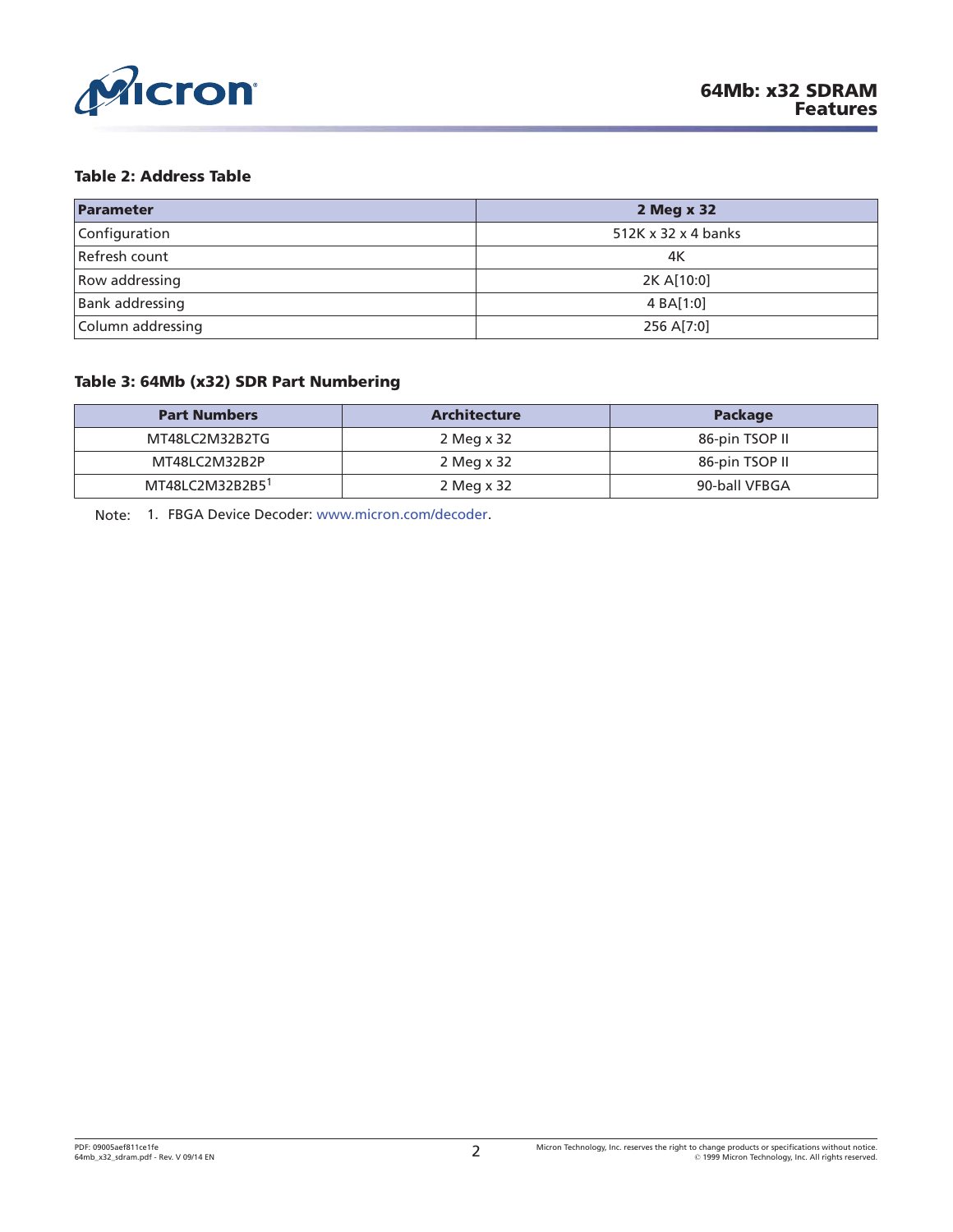<span id="page-1-0"></span>

#### **Table 2: Address Table**

| Parameter              | 2 Meg x 32          |
|------------------------|---------------------|
| Configuration          | 512K x 32 x 4 banks |
| Refresh count          | 4K                  |
| Row addressing         | 2K A[10:0]          |
| <b>Bank addressing</b> | 4 BA[1:0]           |
| Column addressing      | 256 A[7:0]          |

### **Table 3: 64Mb (x32) SDR Part Numbering**

| <b>Part Numbers</b>         | <b>Architecture</b> | <b>Package</b> |
|-----------------------------|---------------------|----------------|
| MT48LC2M32B2TG              | 2 Meg x 32          | 86-pin TSOP II |
| MT48LC2M32B2P               | 2 Meg x 32          | 86-pin TSOP II |
| MT48LC2M32B2B5 <sup>1</sup> | 2 Meg x 32          | 90-ball VFBGA  |

Note: 1. FBGA Device Decoder: [www.micron.com/decoder.](http://www.micron.com/decoder)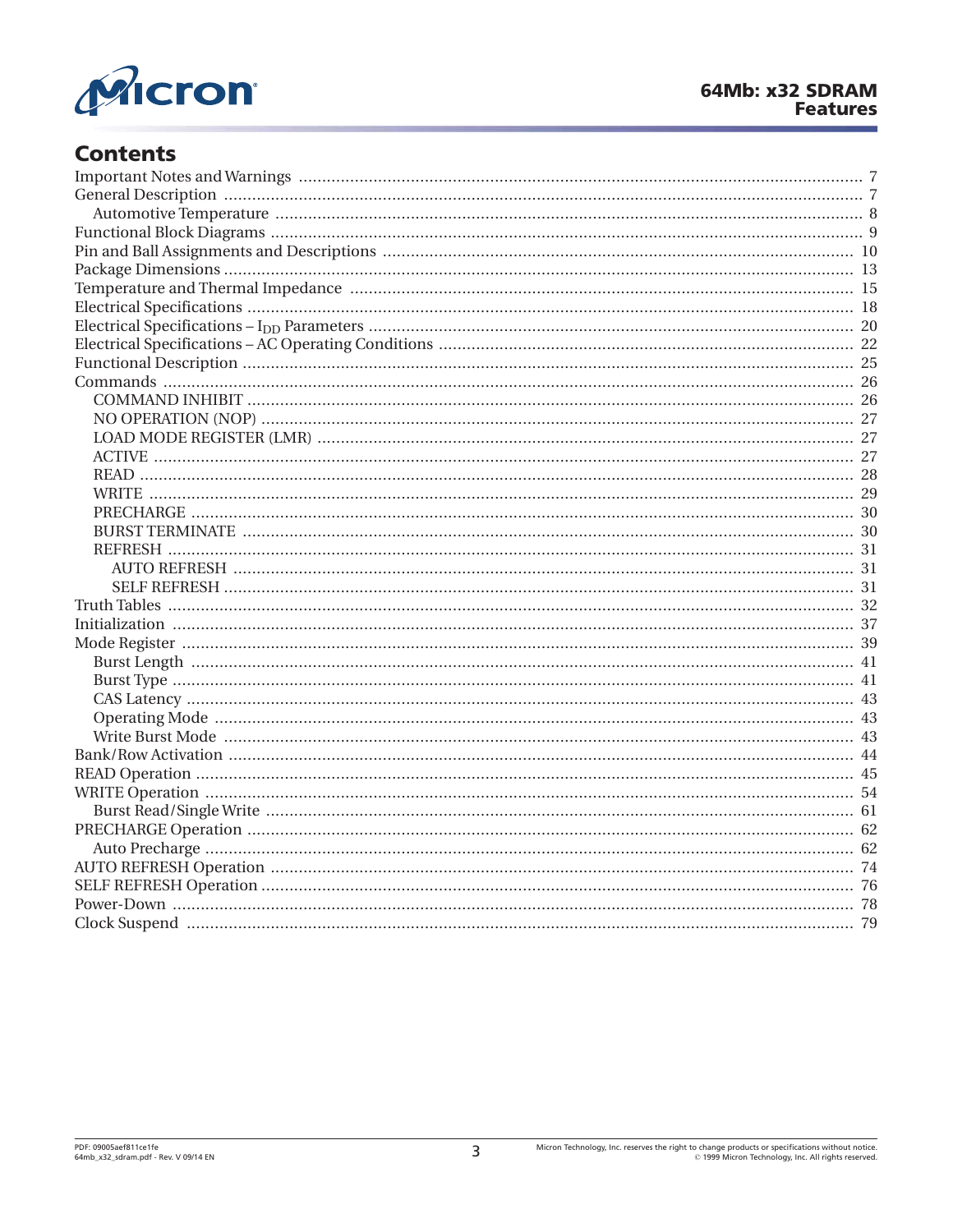

# **Contents**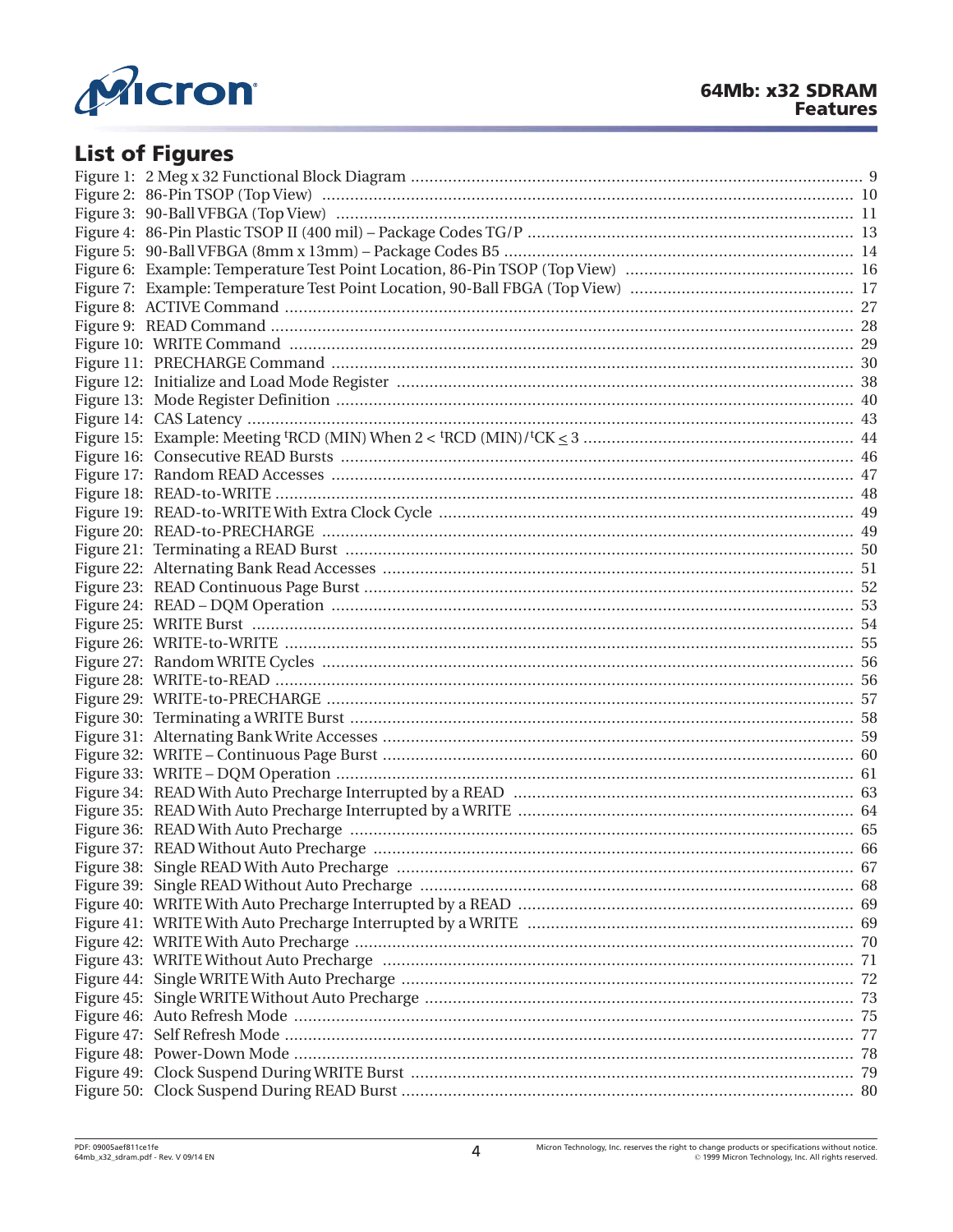

# **List of Figures**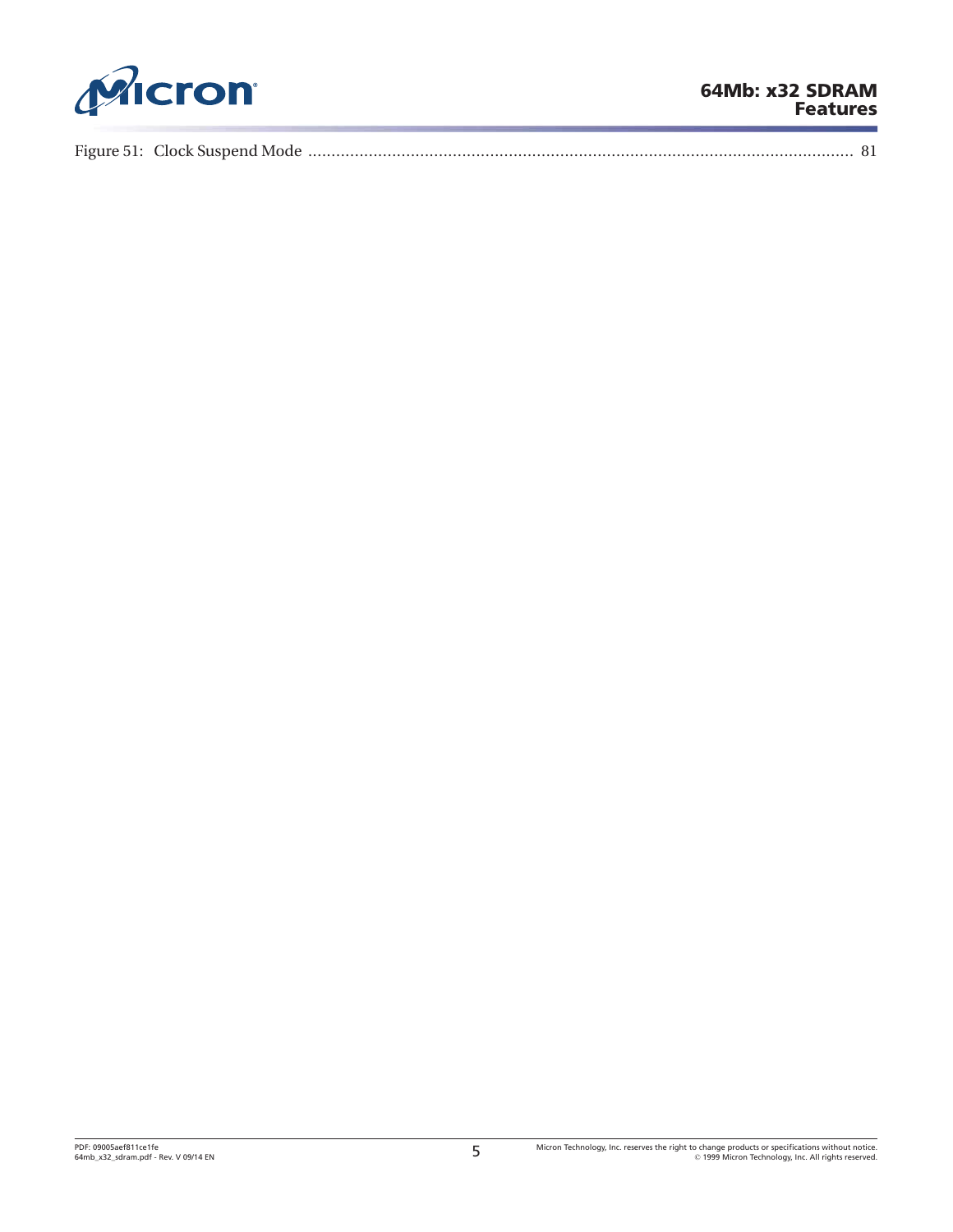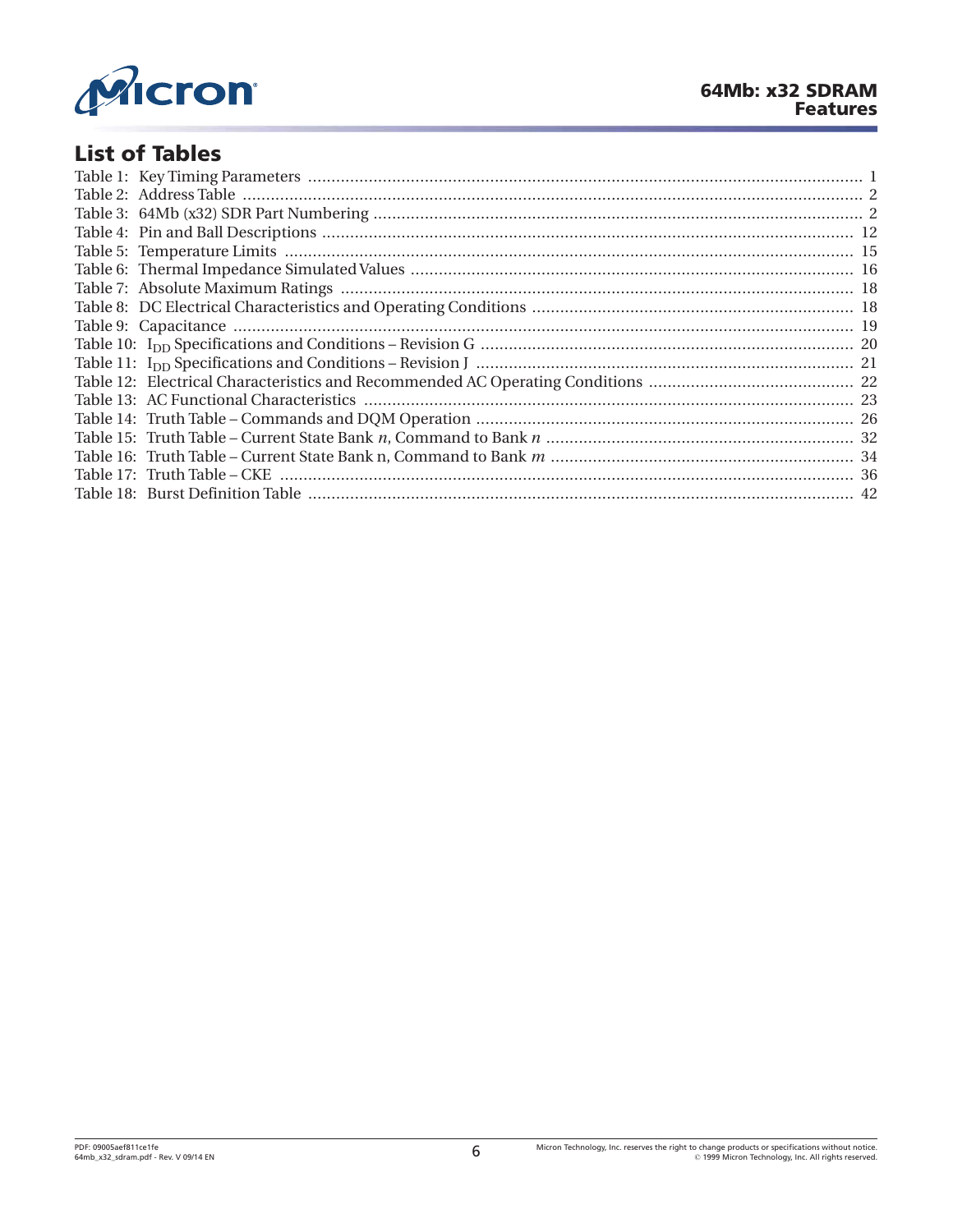

# **List of Tables**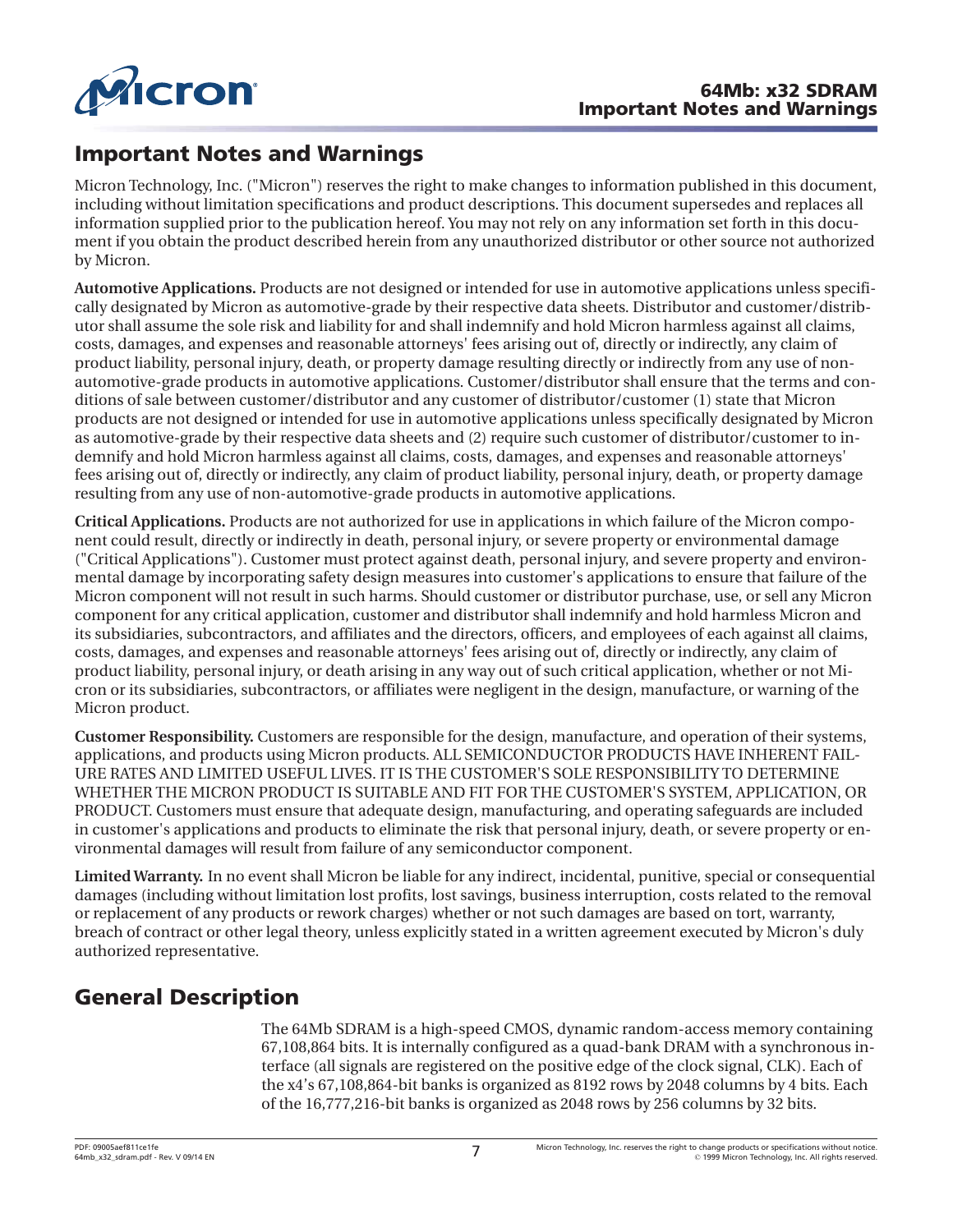<span id="page-6-0"></span>

# **Important Notes and Warnings**

Micron Technology, Inc. ("Micron") reserves the right to make changes to information published in this document, including without limitation specifications and product descriptions. This document supersedes and replaces all information supplied prior to the publication hereof. You may not rely on any information set forth in this document if you obtain the product described herein from any unauthorized distributor or other source not authorized by Micron.

**Automotive Applications.** Products are not designed or intended for use in automotive applications unless specifically designated by Micron as automotive-grade by their respective data sheets. Distributor and customer/distributor shall assume the sole risk and liability for and shall indemnify and hold Micron harmless against all claims, costs, damages, and expenses and reasonable attorneys' fees arising out of, directly or indirectly, any claim of product liability, personal injury, death, or property damage resulting directly or indirectly from any use of nonautomotive-grade products in automotive applications. Customer/distributor shall ensure that the terms and conditions of sale between customer/distributor and any customer of distributor/customer (1) state that Micron products are not designed or intended for use in automotive applications unless specifically designated by Micron as automotive-grade by their respective data sheets and (2) require such customer of distributor/customer to indemnify and hold Micron harmless against all claims, costs, damages, and expenses and reasonable attorneys' fees arising out of, directly or indirectly, any claim of product liability, personal injury, death, or property damage resulting from any use of non-automotive-grade products in automotive applications.

**Critical Applications.** Products are not authorized for use in applications in which failure of the Micron component could result, directly or indirectly in death, personal injury, or severe property or environmental damage ("Critical Applications"). Customer must protect against death, personal injury, and severe property and environmental damage by incorporating safety design measures into customer's applications to ensure that failure of the Micron component will not result in such harms. Should customer or distributor purchase, use, or sell any Micron component for any critical application, customer and distributor shall indemnify and hold harmless Micron and its subsidiaries, subcontractors, and affiliates and the directors, officers, and employees of each against all claims, costs, damages, and expenses and reasonable attorneys' fees arising out of, directly or indirectly, any claim of product liability, personal injury, or death arising in any way out of such critical application, whether or not Micron or its subsidiaries, subcontractors, or affiliates were negligent in the design, manufacture, or warning of the Micron product.

**Customer Responsibility.** Customers are responsible for the design, manufacture, and operation of their systems, applications, and products using Micron products. ALL SEMICONDUCTOR PRODUCTS HAVE INHERENT FAIL-URE RATES AND LIMITED USEFUL LIVES. IT IS THE CUSTOMER'S SOLE RESPONSIBILITY TO DETERMINE WHETHER THE MICRON PRODUCT IS SUITABLE AND FIT FOR THE CUSTOMER'S SYSTEM, APPLICATION, OR PRODUCT. Customers must ensure that adequate design, manufacturing, and operating safeguards are included in customer's applications and products to eliminate the risk that personal injury, death, or severe property or environmental damages will result from failure of any semiconductor component.

**Limited Warranty.** In no event shall Micron be liable for any indirect, incidental, punitive, special or consequential damages (including without limitation lost profits, lost savings, business interruption, costs related to the removal or replacement of any products or rework charges) whether or not such damages are based on tort, warranty, breach of contract or other legal theory, unless explicitly stated in a written agreement executed by Micron's duly authorized representative.

# **General Description**

The 64Mb SDRAM is a high-speed CMOS, dynamic random-access memory containing 67,108,864 bits. It is internally configured as a quad-bank DRAM with a synchronous interface (all signals are registered on the positive edge of the clock signal, CLK). Each of the x4's 67,108,864-bit banks is organized as 8192 rows by 2048 columns by 4 bits. Each of the 16,777,216-bit banks is organized as 2048 rows by 256 columns by 32 bits.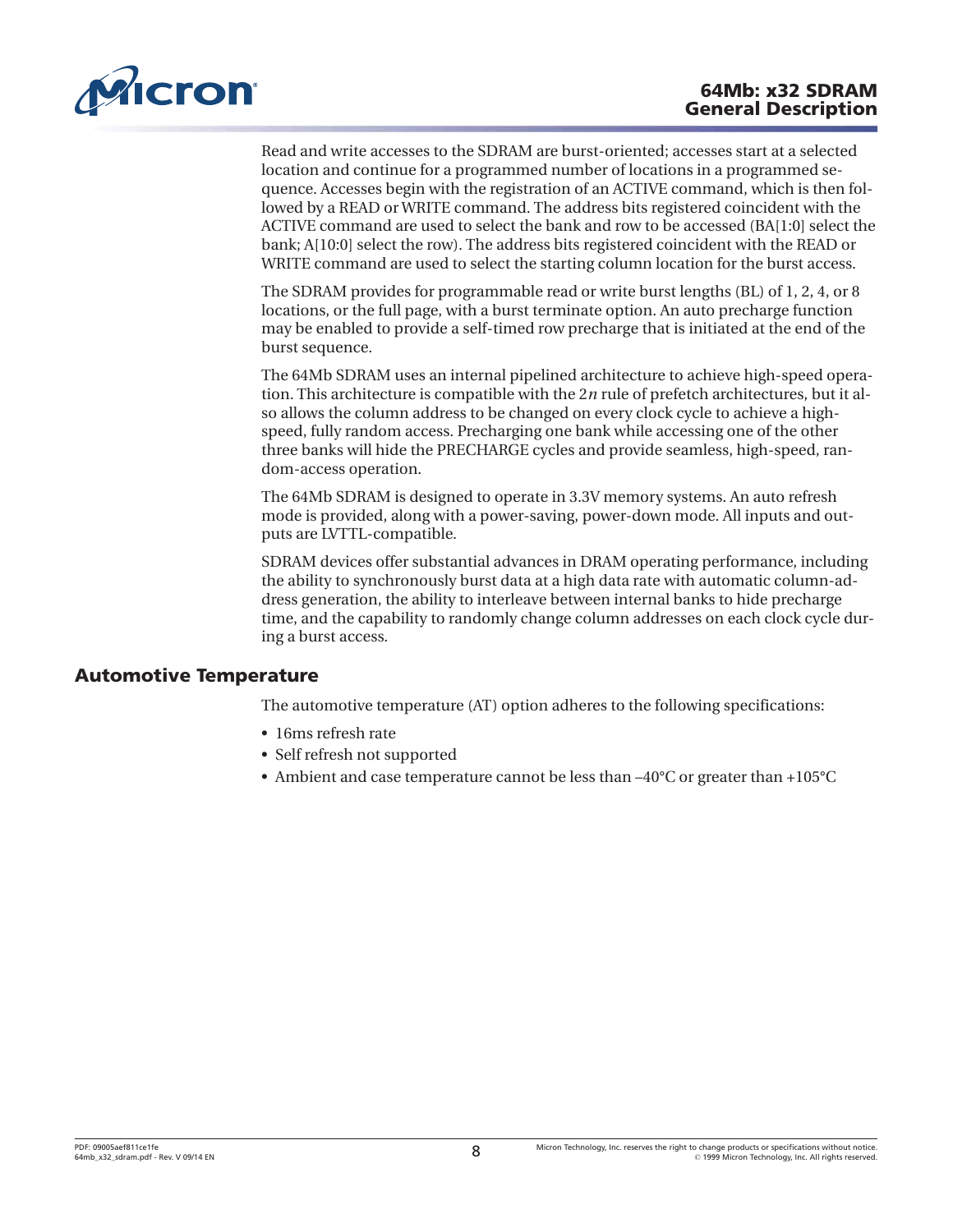<span id="page-7-0"></span>

Read and write accesses to the SDRAM are burst-oriented; accesses start at a selected location and continue for a programmed number of locations in a programmed sequence. Accesses begin with the registration of an ACTIVE command, which is then followed by a READ or WRITE command. The address bits registered coincident with the ACTIVE command are used to select the bank and row to be accessed (BA[1:0] select the bank; A[10:0] select the row). The address bits registered coincident with the READ or WRITE command are used to select the starting column location for the burst access.

The SDRAM provides for programmable read or write burst lengths (BL) of 1, 2, 4, or 8 locations, or the full page, with a burst terminate option. An auto precharge function may be enabled to provide a self-timed row precharge that is initiated at the end of the burst sequence.

The 64Mb SDRAM uses an internal pipelined architecture to achieve high-speed operation. This architecture is compatible with the 2*n* rule of prefetch architectures, but it also allows the column address to be changed on every clock cycle to achieve a highspeed, fully random access. Precharging one bank while accessing one of the other three banks will hide the PRECHARGE cycles and provide seamless, high-speed, random-access operation.

The 64Mb SDRAM is designed to operate in 3.3V memory systems. An auto refresh mode is provided, along with a power-saving, power-down mode. All inputs and outputs are LVTTL-compatible.

SDRAM devices offer substantial advances in DRAM operating performance, including the ability to synchronously burst data at a high data rate with automatic column-address generation, the ability to interleave between internal banks to hide precharge time, and the capability to randomly change column addresses on each clock cycle during a burst access.

## **Automotive Temperature**

The automotive temperature (AT) option adheres to the following specifications:

- 16ms refresh rate
- Self refresh not supported
- Ambient and case temperature cannot be less than –40°C or greater than +105°C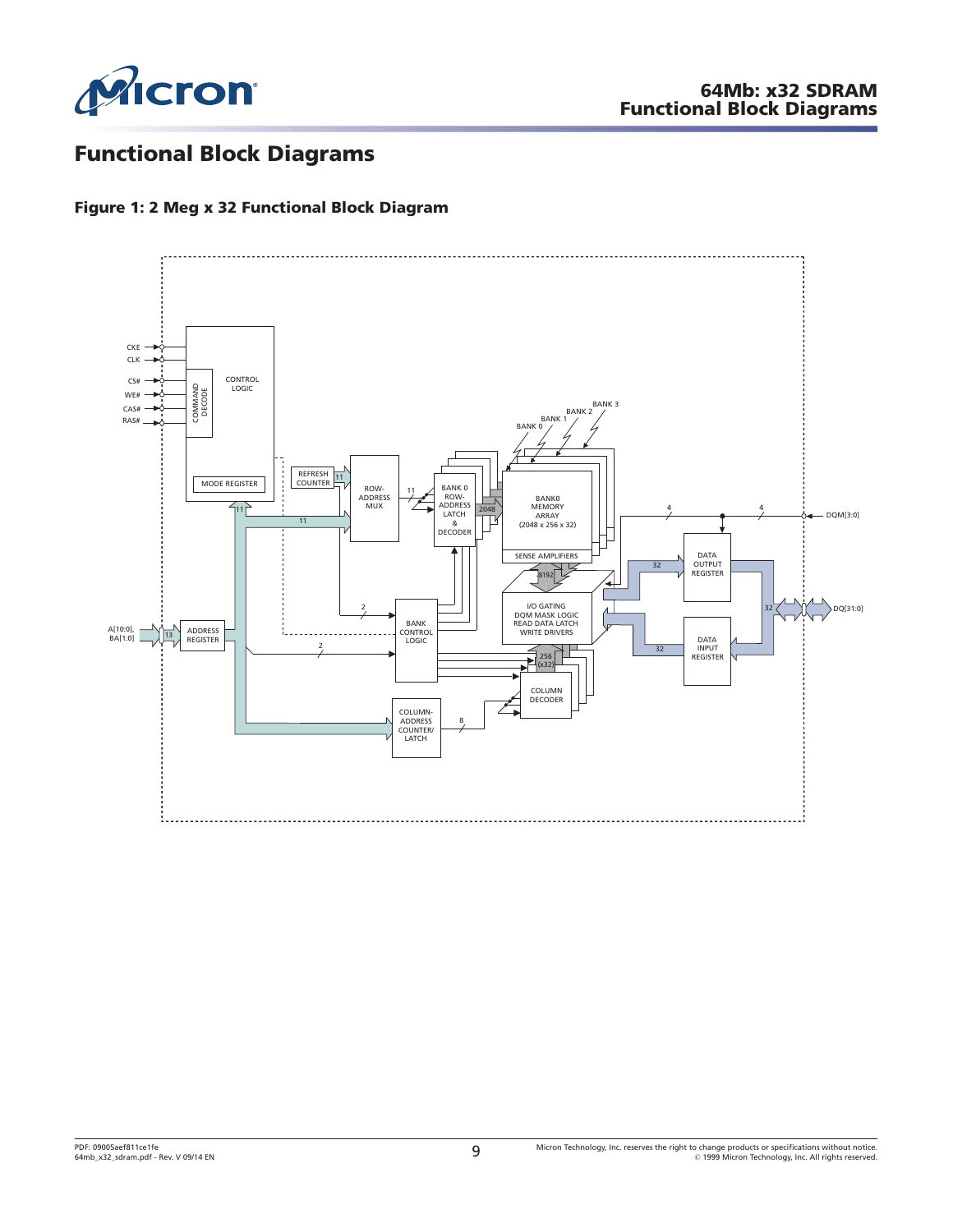<span id="page-8-0"></span>

# **Functional Block Diagrams**

### **Figure 1: 2 Meg x 32 Functional Block Diagram**

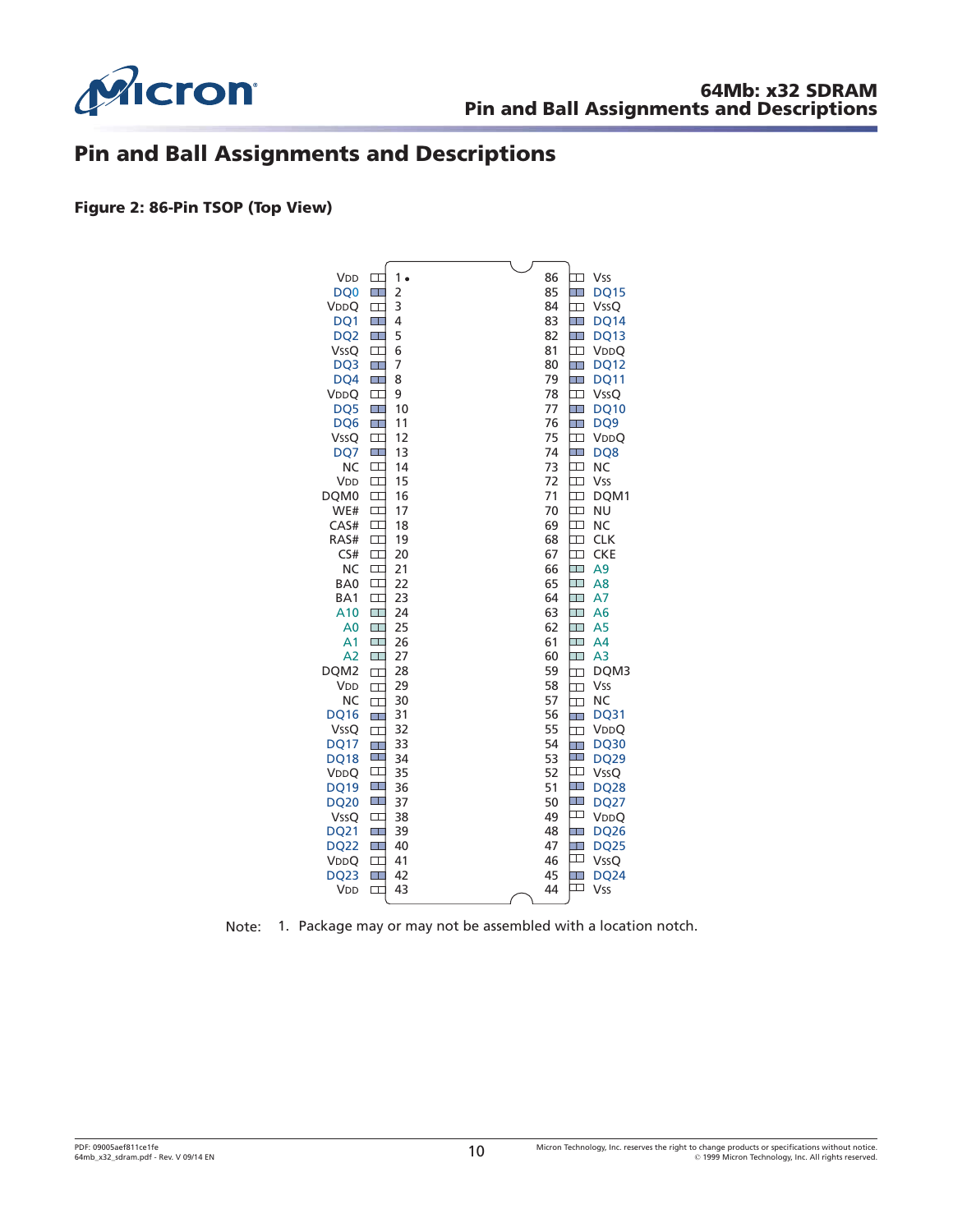<span id="page-9-0"></span>

# **Pin and Ball Assignments and Descriptions**

**Figure 2: 86-Pin TSOP (Top View)**



Note: 1. Package may or may not be assembled with a location notch.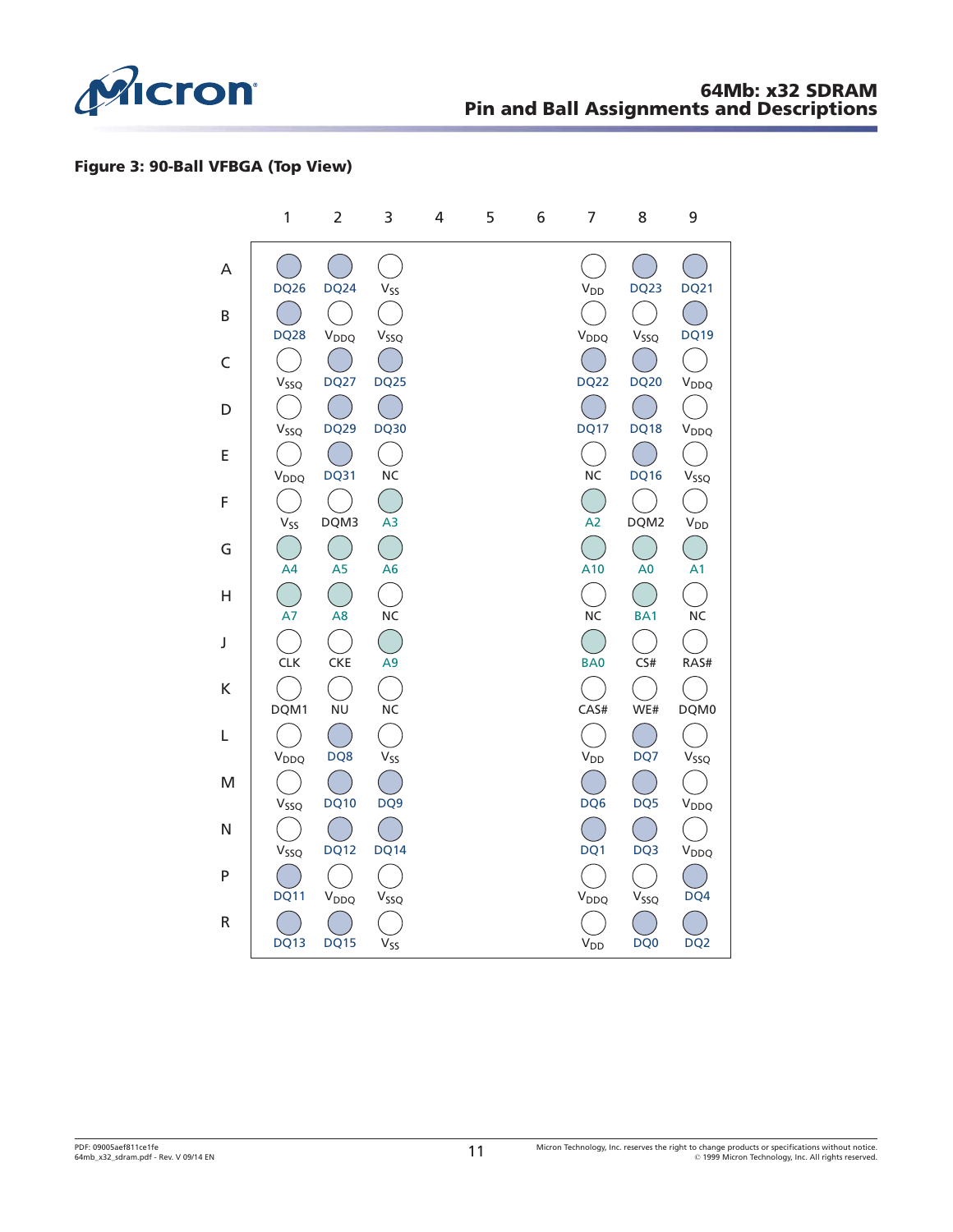<span id="page-10-0"></span>

### **Figure 3: 90-Ball VFBGA (Top View)**

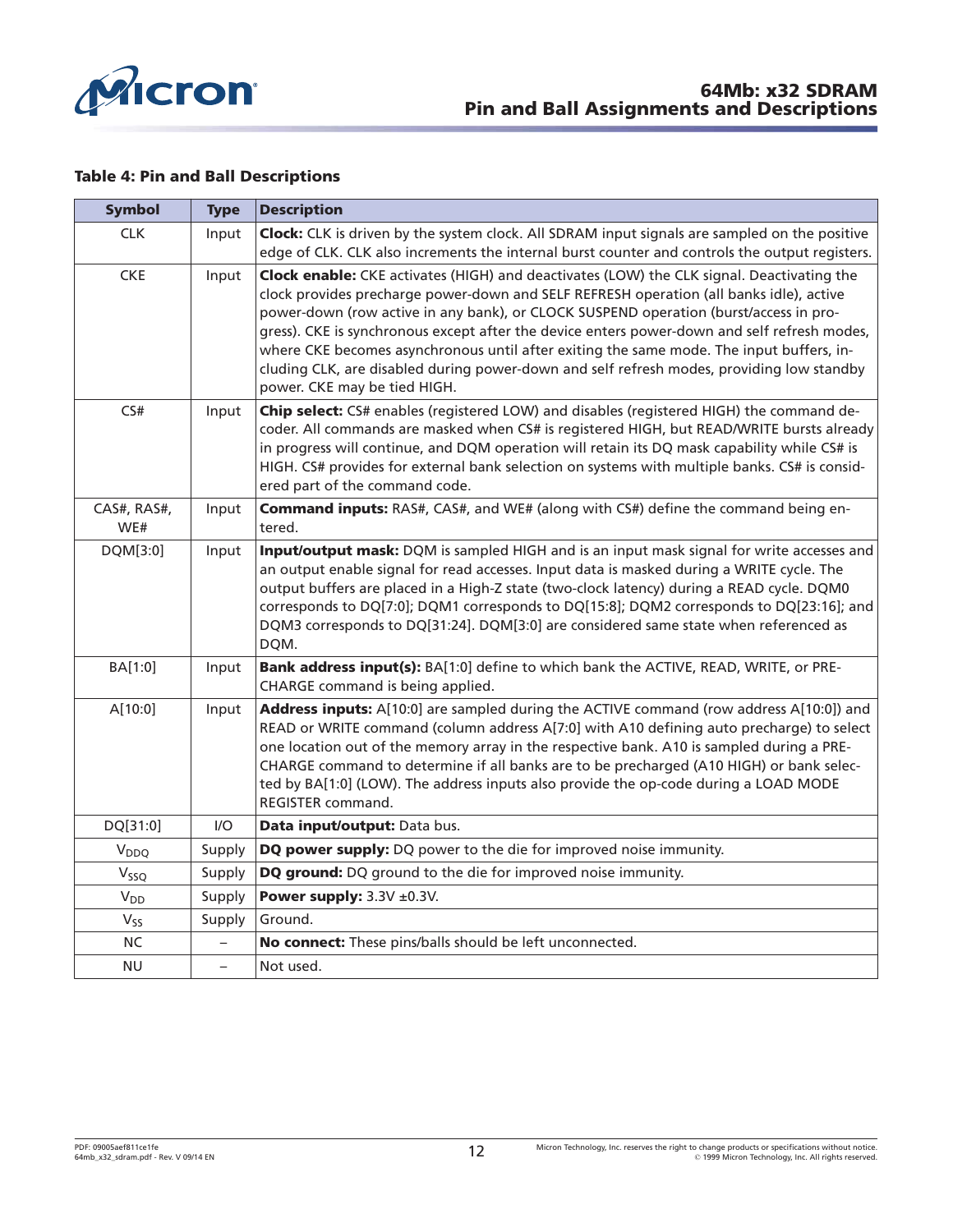<span id="page-11-0"></span>

#### **Table 4: Pin and Ball Descriptions**

| <b>Symbol</b>      | <b>Type</b>              | <b>Description</b>                                                                                                                                                                                                                                                                                                                                                                                                                                                                                                                                                                                     |
|--------------------|--------------------------|--------------------------------------------------------------------------------------------------------------------------------------------------------------------------------------------------------------------------------------------------------------------------------------------------------------------------------------------------------------------------------------------------------------------------------------------------------------------------------------------------------------------------------------------------------------------------------------------------------|
| <b>CLK</b>         | Input                    | Clock: CLK is driven by the system clock. All SDRAM input signals are sampled on the positive                                                                                                                                                                                                                                                                                                                                                                                                                                                                                                          |
|                    |                          | edge of CLK. CLK also increments the internal burst counter and controls the output registers.                                                                                                                                                                                                                                                                                                                                                                                                                                                                                                         |
| <b>CKE</b>         | Input                    | Clock enable: CKE activates (HIGH) and deactivates (LOW) the CLK signal. Deactivating the<br>clock provides precharge power-down and SELF REFRESH operation (all banks idle), active<br>power-down (row active in any bank), or CLOCK SUSPEND operation (burst/access in pro-<br>gress). CKE is synchronous except after the device enters power-down and self refresh modes,<br>where CKE becomes asynchronous until after exiting the same mode. The input buffers, in-<br>cluding CLK, are disabled during power-down and self refresh modes, providing low standby<br>power. CKE may be tied HIGH. |
| CS#                | Input                    | Chip select: CS# enables (registered LOW) and disables (registered HIGH) the command de-<br>coder. All commands are masked when CS# is registered HIGH, but READ/WRITE bursts already<br>in progress will continue, and DQM operation will retain its DQ mask capability while CS# is<br>HIGH. CS# provides for external bank selection on systems with multiple banks. CS# is consid-<br>ered part of the command code.                                                                                                                                                                               |
| CAS#, RAS#,<br>WE# | Input                    | <b>Command inputs:</b> RAS#, CAS#, and WE# (along with CS#) define the command being en-<br>tered.                                                                                                                                                                                                                                                                                                                                                                                                                                                                                                     |
| DQM[3:0]           | Input                    | Input/output mask: DQM is sampled HIGH and is an input mask signal for write accesses and<br>an output enable signal for read accesses. Input data is masked during a WRITE cycle. The<br>output buffers are placed in a High-Z state (two-clock latency) during a READ cycle. DQM0<br>corresponds to DQ[7:0]; DQM1 corresponds to DQ[15:8]; DQM2 corresponds to DQ[23:16]; and<br>DQM3 corresponds to DQ[31:24]. DQM[3:0] are considered same state when referenced as<br>DQM.                                                                                                                        |
| BA[1:0]            | Input                    | Bank address input(s): BA[1:0] define to which bank the ACTIVE, READ, WRITE, or PRE-<br>CHARGE command is being applied.                                                                                                                                                                                                                                                                                                                                                                                                                                                                               |
| A[10:0]            | Input                    | Address inputs: A[10:0] are sampled during the ACTIVE command (row address A[10:0]) and<br>READ or WRITE command (column address A[7:0] with A10 defining auto precharge) to select<br>one location out of the memory array in the respective bank. A10 is sampled during a PRE-<br>CHARGE command to determine if all banks are to be precharged (A10 HIGH) or bank selec-<br>ted by BA[1:0] (LOW). The address inputs also provide the op-code during a LOAD MODE<br>REGISTER command.                                                                                                               |
| DQ[31:0]           | I/O                      | Data input/output: Data bus.                                                                                                                                                                                                                                                                                                                                                                                                                                                                                                                                                                           |
| V <sub>DDQ</sub>   | Supply                   | DQ power supply: DQ power to the die for improved noise immunity.                                                                                                                                                                                                                                                                                                                                                                                                                                                                                                                                      |
| $V_{SSQ}$          | Supply                   | DQ ground: DQ ground to the die for improved noise immunity.                                                                                                                                                                                                                                                                                                                                                                                                                                                                                                                                           |
| $V_{DD}$           | Supply                   | Power supply: $3.3V \pm 0.3V$ .                                                                                                                                                                                                                                                                                                                                                                                                                                                                                                                                                                        |
| $V_{SS}$           | Supply                   | Ground.                                                                                                                                                                                                                                                                                                                                                                                                                                                                                                                                                                                                |
| $\sf NC$           |                          | No connect: These pins/balls should be left unconnected.                                                                                                                                                                                                                                                                                                                                                                                                                                                                                                                                               |
| <b>NU</b>          | $\overline{\phantom{0}}$ | Not used.                                                                                                                                                                                                                                                                                                                                                                                                                                                                                                                                                                                              |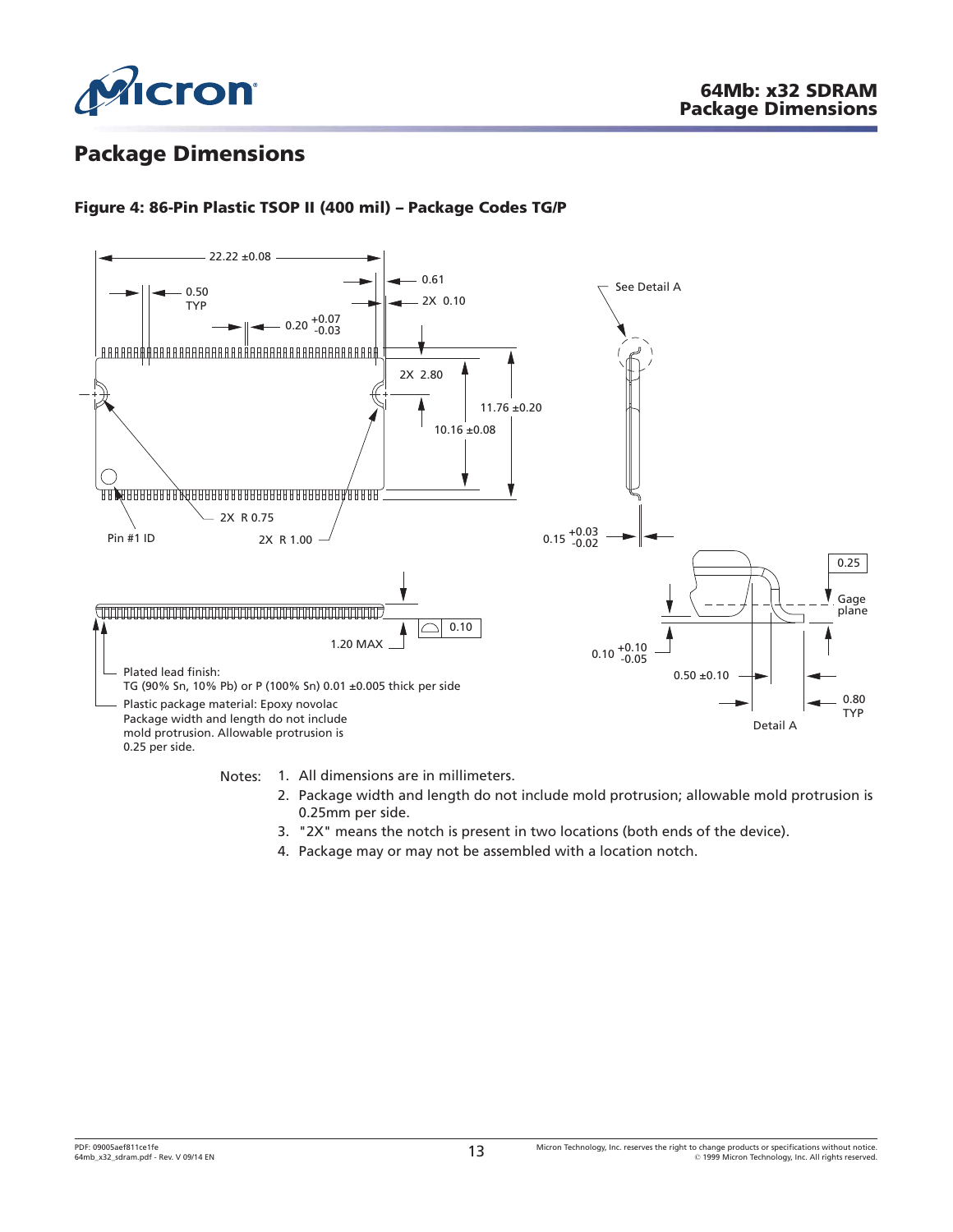<span id="page-12-0"></span>

# **Package Dimensions**

# **Figure 4: 86-Pin Plastic TSOP II (400 mil) – Package Codes TG/P**



Notes: 1. All dimensions are in millimeters.

- 2. Package width and length do not include mold protrusion; allowable mold protrusion is 0.25mm per side.
- 3. "2X" means the notch is present in two locations (both ends of the device).
- 4. Package may or may not be assembled with a location notch.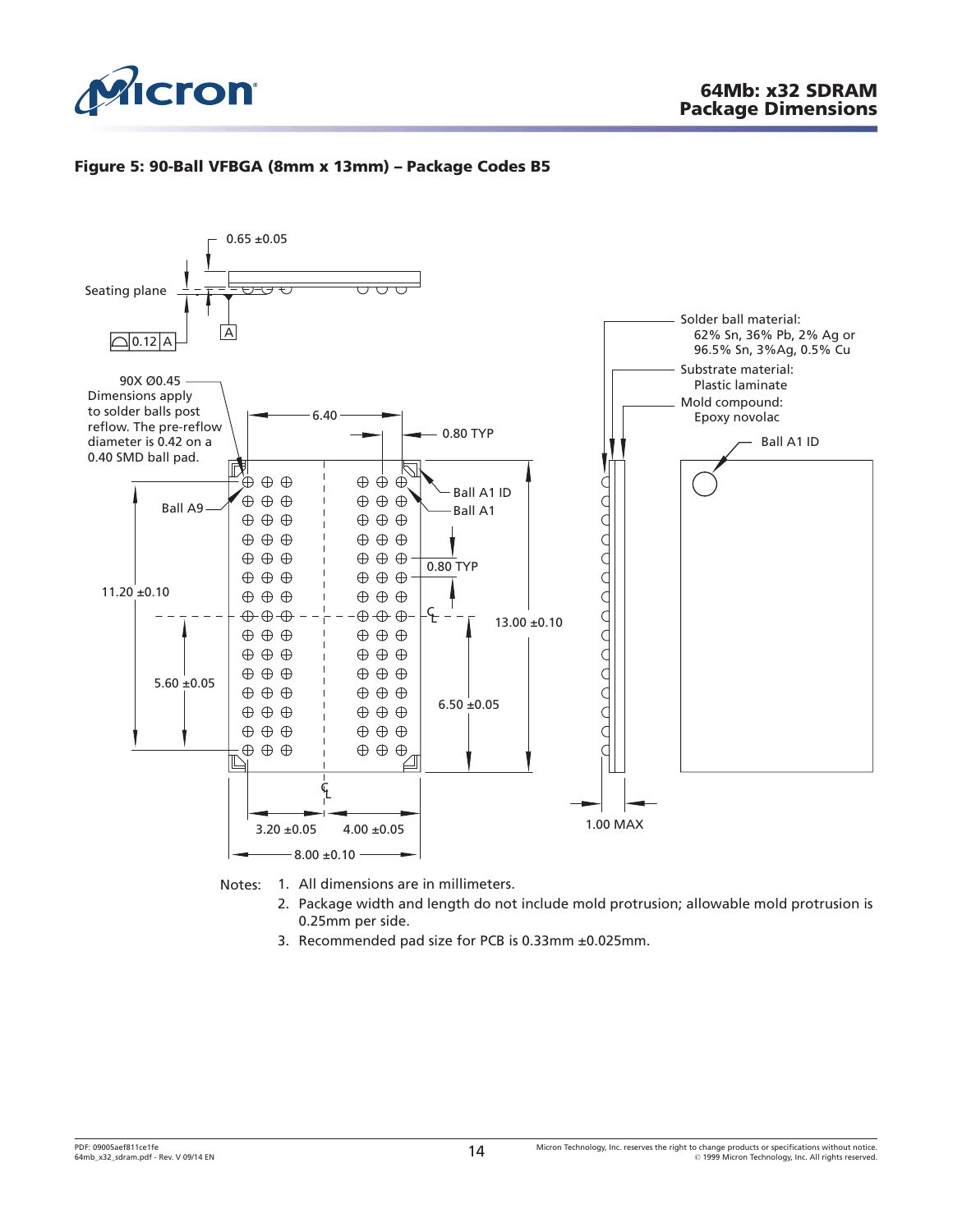<span id="page-13-0"></span>

### **Figure 5: 90-Ball VFBGA (8mm x 13mm) – Package Codes B5**



Notes: 1. All dimensions are in millimeters.

- 2. Package width and length do not include mold protrusion; allowable mold protrusion is 0.25mm per side.
- 3. Recommended pad size for PCB is 0.33mm ±0.025mm.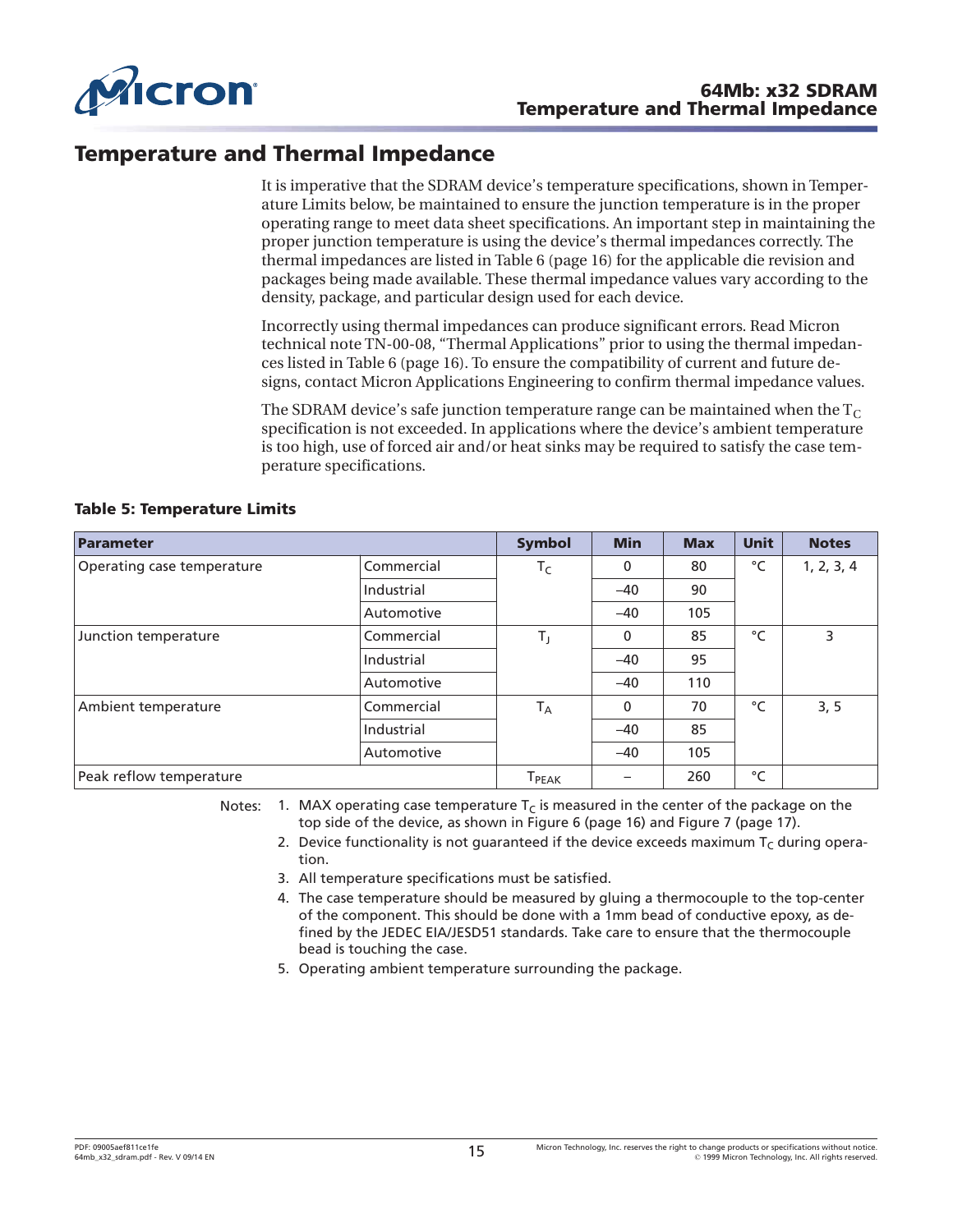<span id="page-14-0"></span>

# **Temperature and Thermal Impedance**

It is imperative that the SDRAM device's temperature specifications, shown in Temperature Limits below, be maintained to ensure the junction temperature is in the proper operating range to meet data sheet specifications. An important step in maintaining the proper junction temperature is using the device's thermal impedances correctly. The thermal impedances are listed in [Table 6](#page-15-0) ([page 16](#page-15-0)) for the applicable die revision and packages being made available. These thermal impedance values vary according to the density, package, and particular design used for each device.

Incorrectly using thermal impedances can produce significant errors. Read Micron technical note TN-00-08, "Thermal Applications" prior to using the thermal impedances listed in [Table 6](#page-15-0) ([page 16](#page-15-0)). To ensure the compatibility of current and future designs, contact Micron Applications Engineering to confirm thermal impedance values.

The SDRAM device's safe junction temperature range can be maintained when the  $T_c$ specification is not exceeded. In applications where the device's ambient temperature is too high, use of forced air and/or heat sinks may be required to satisfy the case temperature specifications.

| Parameter                  |            | <b>Symbol</b>                | <b>Min</b>               | <b>Max</b> | <b>Unit</b>  | <b>Notes</b> |
|----------------------------|------------|------------------------------|--------------------------|------------|--------------|--------------|
| Operating case temperature | Commercial | $T_C$                        | 0                        | 80         | °C           | 1, 2, 3, 4   |
|                            | Industrial |                              | $-40$                    | 90         |              |              |
|                            | Automotive |                              | $-40$                    | 105        |              |              |
| Junction temperature       | Commercial | $T_{\rm J}$                  | 0                        | 85         | $^{\circ}$ C | 3            |
|                            | Industrial |                              | $-40$                    | 95         |              |              |
|                            | Automotive |                              | $-40$                    | 110        |              |              |
| Ambient temperature        | Commercial | $T_A$                        | 0                        | 70         | °C           | 3, 5         |
|                            | Industrial |                              | $-40$                    | 85         |              |              |
|                            | Automotive |                              | $-40$                    | 105        |              |              |
| Peak reflow temperature    |            | $\mathsf{T}_{\mathsf{PEAK}}$ | $\overline{\phantom{0}}$ | 260        | °C           |              |

#### **Table 5: Temperature Limits**

Notes: 1. MAX operating case temperature  $T_c$  is measured in the center of the package on the top side of the device, as shown in [Figure 6](#page-15-0) ([page 16](#page-15-0)) and [Figure 7](#page-16-0) ([page 17](#page-16-0)).

- 2. Device functionality is not quaranteed if the device exceeds maximum  $T_c$  during operation.
- 3. All temperature specifications must be satisfied.
- 4. The case temperature should be measured by gluing a thermocouple to the top-center of the component. This should be done with a 1mm bead of conductive epoxy, as defined by the JEDEC EIA/JESD51 standards. Take care to ensure that the thermocouple bead is touching the case.
- 5. Operating ambient temperature surrounding the package.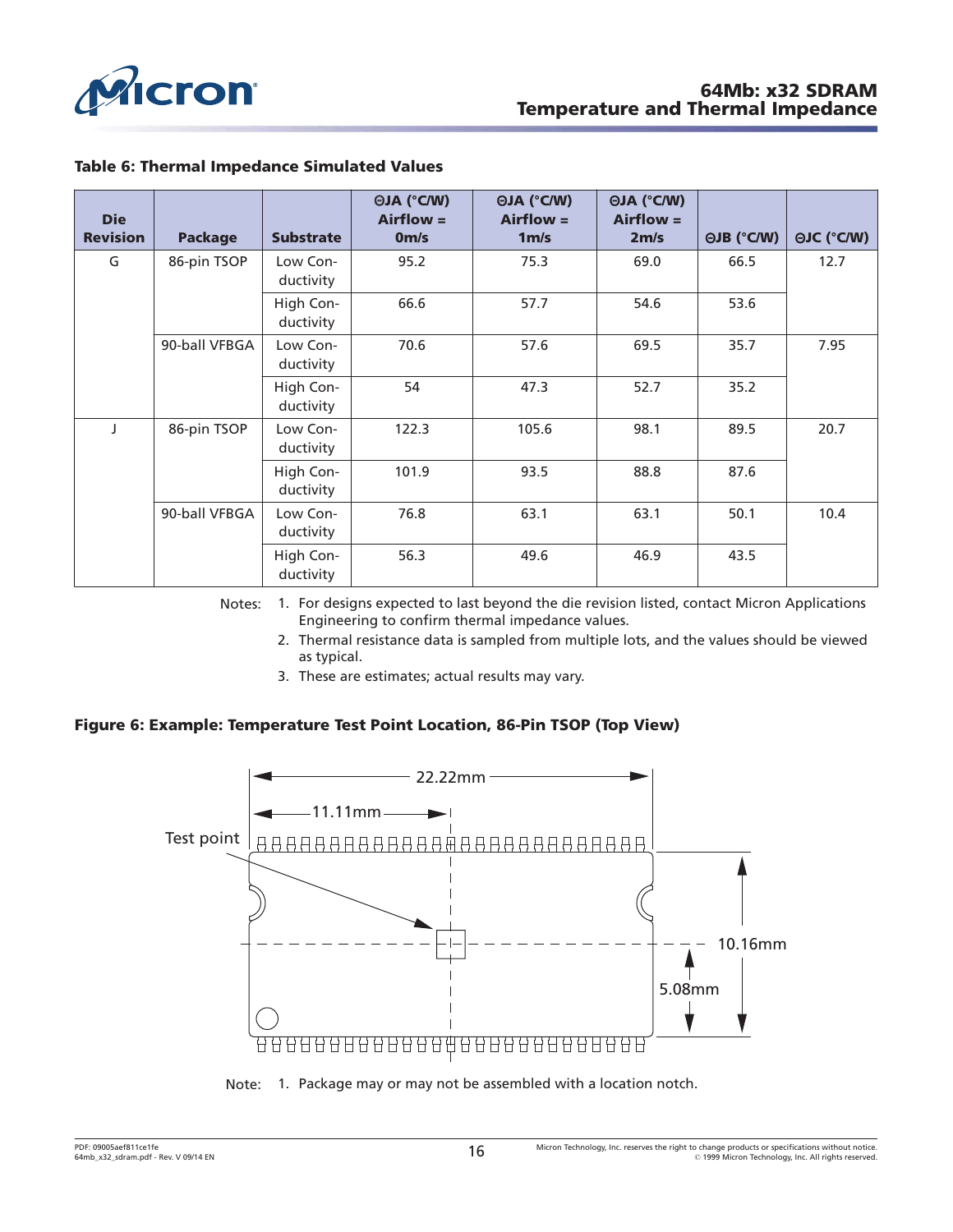<span id="page-15-0"></span>

| <b>Die</b><br><b>Revision</b> | <b>Package</b> | <b>Substrate</b>       | <b>OJA (°C/W)</b><br>$Airflow =$<br>0 <sub>m/s</sub> | <b>OJA (°C/W)</b><br>$Airflow =$<br>1 <sub>m/s</sub> | <b>OJA (°C/W)</b><br>$Airflow =$<br>2 <sub>m/s</sub> | <b>OJB (°C/W)</b> | <b>OJC (°C/W)</b> |
|-------------------------------|----------------|------------------------|------------------------------------------------------|------------------------------------------------------|------------------------------------------------------|-------------------|-------------------|
| G                             | 86-pin TSOP    | Low Con-<br>ductivity  | 95.2                                                 | 75.3                                                 | 69.0                                                 | 66.5              | 12.7              |
|                               |                | High Con-<br>ductivity | 66.6                                                 | 57.7                                                 | 54.6                                                 | 53.6              |                   |
|                               | 90-ball VFBGA  | Low Con-<br>ductivity  | 70.6                                                 | 57.6                                                 | 69.5                                                 | 35.7              | 7.95              |
|                               |                | High Con-<br>ductivity | 54                                                   | 47.3                                                 | 52.7                                                 | 35.2              |                   |
|                               | 86-pin TSOP    | Low Con-<br>ductivity  | 122.3                                                | 105.6                                                | 98.1                                                 | 89.5              | 20.7              |
|                               |                | High Con-<br>ductivity | 101.9                                                | 93.5                                                 | 88.8                                                 | 87.6              |                   |
|                               | 90-ball VFBGA  | Low Con-<br>ductivity  | 76.8                                                 | 63.1                                                 | 63.1                                                 | 50.1              | 10.4              |
|                               |                | High Con-<br>ductivity | 56.3                                                 | 49.6                                                 | 46.9                                                 | 43.5              |                   |

### **Table 6: Thermal Impedance Simulated Values**

Notes: 1. For designs expected to last beyond the die revision listed, contact Micron Applications Engineering to confirm thermal impedance values.

- 2. Thermal resistance data is sampled from multiple lots, and the values should be viewed as typical.
- 3. These are estimates; actual results may vary.

### **Figure 6: Example: Temperature Test Point Location, 86-Pin TSOP (Top View)**



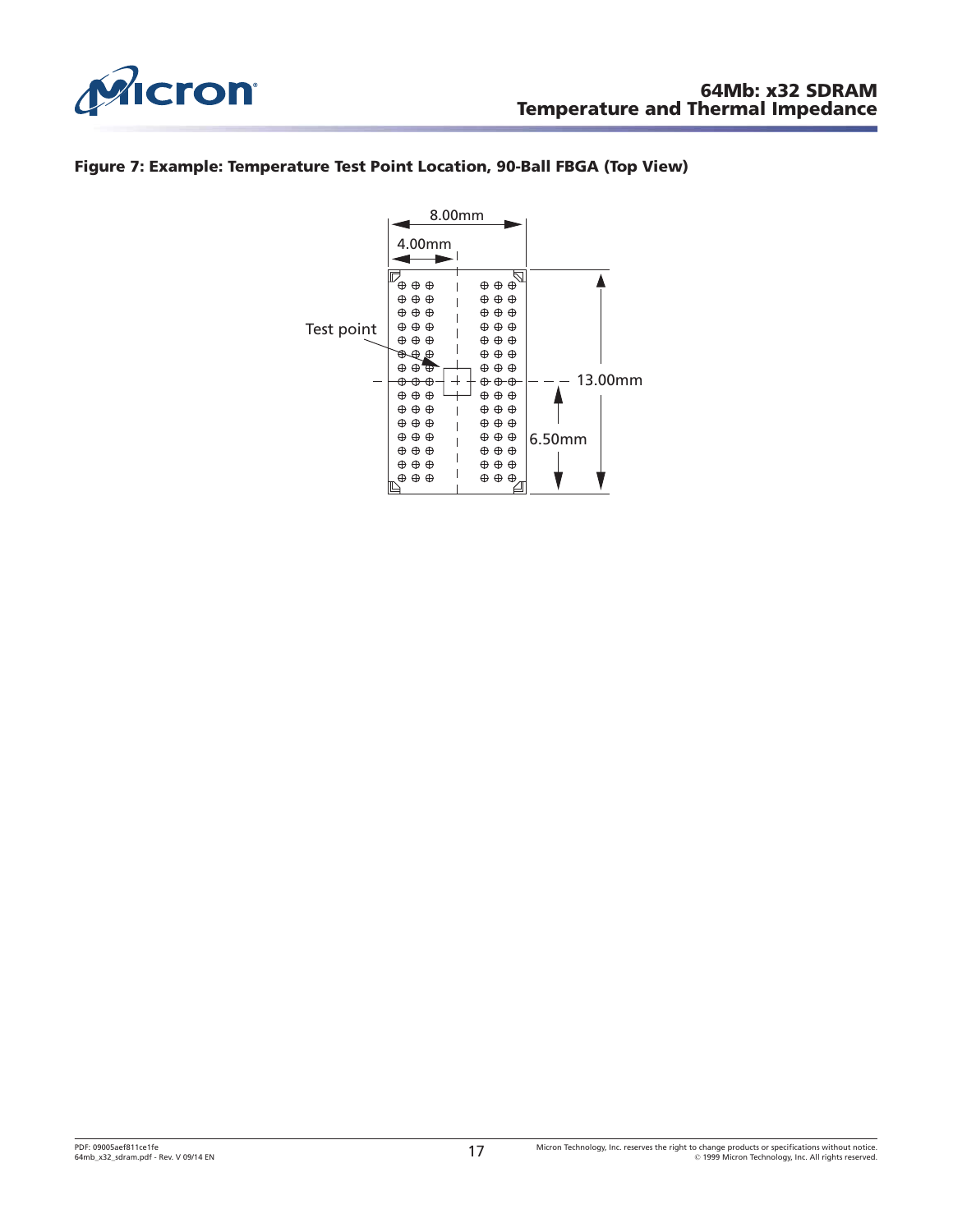<span id="page-16-0"></span>

### **Figure 7: Example: Temperature Test Point Location, 90-Ball FBGA (Top View)**

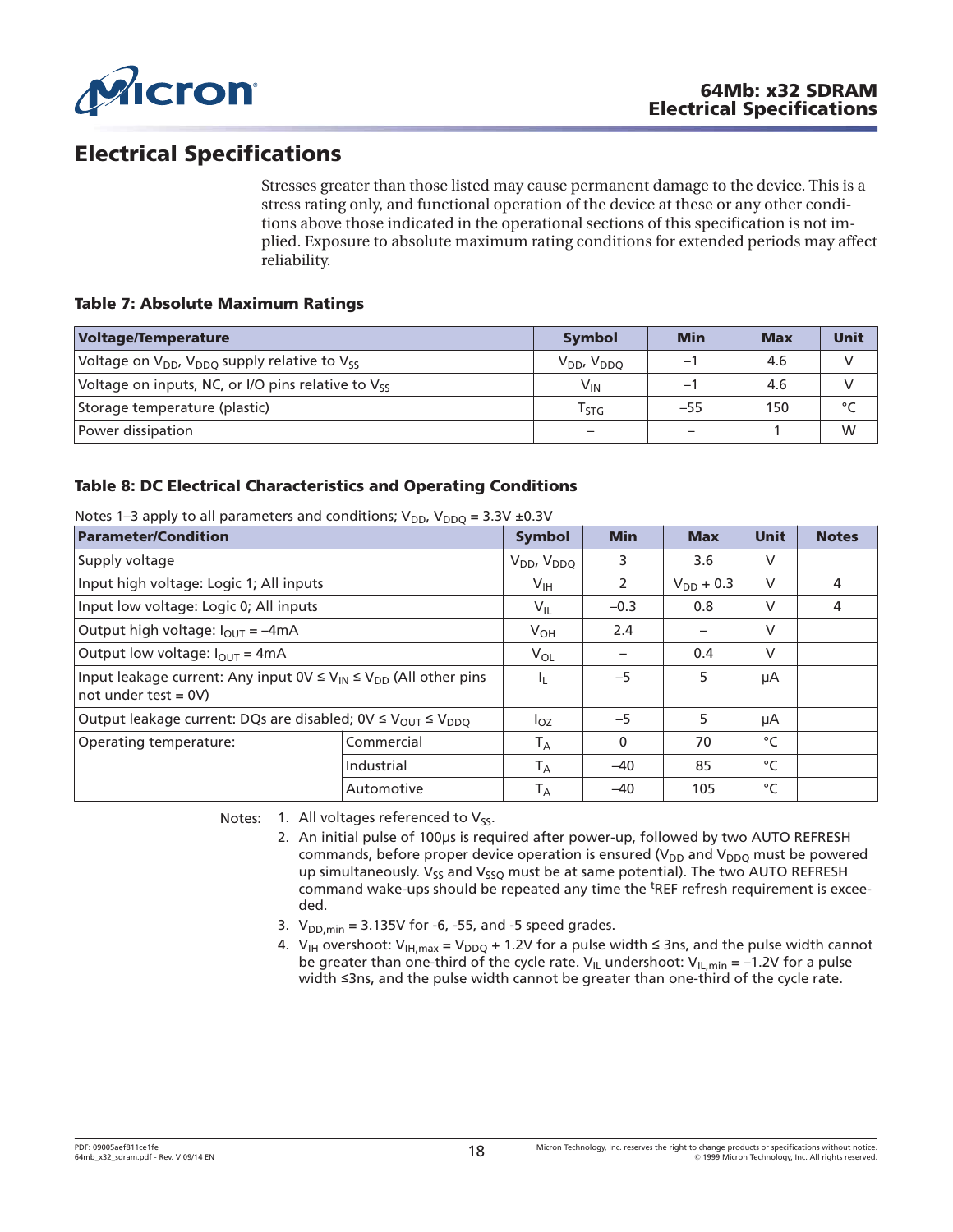<span id="page-17-0"></span>

# **Electrical Specifications**

Stresses greater than those listed may cause permanent damage to the device. This is a stress rating only, and functional operation of the device at these or any other conditions above those indicated in the operational sections of this specification is not implied. Exposure to absolute maximum rating conditions for extended periods may affect reliability.

### **Table 7: Absolute Maximum Ratings**

| <b>Voltage/Temperature</b>                                  | <b>Symbol</b>               | <b>Min</b>               | <b>Max</b> | <b>Unit</b>   |
|-------------------------------------------------------------|-----------------------------|--------------------------|------------|---------------|
| Voltage on $V_{DD}$ , $V_{DDO}$ supply relative to $V_{SS}$ | $V_{DD}$ , $V_{DDO}$        | $\overline{\phantom{0}}$ | 4.6        | $\mathcal{L}$ |
| Voltage on inputs, NC, or I/O pins relative to $V_{ss}$     | $V_{IN}$                    | $\overline{\phantom{0}}$ | 4.6        |               |
| Storage temperature (plastic)                               | $\mathsf{r}_{\mathsf{STG}}$ | $-55$                    | 150        | $\circ$       |
| Power dissipation                                           |                             |                          |            | W             |

### **Table 8: DC Electrical Characteristics and Operating Conditions**

| <b>Parameter/Condition</b>                                                                                 |            | <b>Symbol</b>           | <b>Min</b>   | <b>Max</b>     | <b>Unit</b> | <b>Notes</b> |
|------------------------------------------------------------------------------------------------------------|------------|-------------------------|--------------|----------------|-------------|--------------|
| Supply voltage                                                                                             |            | $V_{DD}$ , $V_{DDQ}$    | 3            | 3.6            | V           |              |
| Input high voltage: Logic 1; All inputs                                                                    |            | $V_{\text{IH}}$         | 2            | $V_{DD}$ + 0.3 | $\vee$      | 4            |
| Input low voltage: Logic 0; All inputs                                                                     |            | $V_{IL}$                | $-0.3$       | 0.8            | V           | 4            |
| Output high voltage: $I_{\text{OUT}} = -4 \text{mA}$                                                       |            | $V_{OH}$                | 2.4          |                | $\vee$      |              |
| Output low voltage: $I_{\text{OUT}} = 4 \text{mA}$                                                         |            | $V_{OL}$                |              | 0.4            | $\vee$      |              |
| Input leakage current: Any input $0 \vee \leq V_{1N} \leq V_{DD}$ (All other pins<br>$not under test = 0V$ |            | Ч.                      | $-5$         | 5              | μA          |              |
| Output leakage current: DQs are disabled; $0 \vee \leq V_{\text{OUT}} \leq V_{\text{DDO}}$                 |            | $I_{OZ}$                | $-5$         | 5              | μA          |              |
| Operating temperature:                                                                                     | Commercial | $T_A$                   | $\mathbf{0}$ | 70             | °C          |              |
|                                                                                                            | Industrial | $T_A$                   | $-40$        | 85             | °C          |              |
|                                                                                                            | Automotive | $\mathsf{T}_\mathsf{A}$ | $-40$        | 105            | °C          |              |

Notes 1–3 apply to all parameters and conditions;  $V_{\text{DE}}$ ,  $V_{\text{DE}}$  = 3.3V +0.3V

Notes: 1. All voltages referenced to  $V_{\mathsf{SS}}$ .

- 2. An initial pulse of 100μs is required after power-up, followed by two AUTO REFRESH commands, before proper device operation is ensured ( $V_{DD}$  and  $V_{DDO}$  must be powered up simultaneously. V<sub>SS</sub> and V<sub>SSO</sub> must be at same potential). The two AUTO REFRESH command wake-ups should be repeated any time the <sup>t</sup>REF refresh requirement is exceeded.
- 3.  $V_{DD,min} = 3.135V$  for -6, -55, and -5 speed grades.
- 4. V<sub>IH</sub> overshoot: V<sub>IH,max</sub> = V<sub>DDQ</sub> + 1.2V for a pulse width  $\leq$  3ns, and the pulse width cannot be greater than one-third of the cycle rate.  $V_{\text{IL}}$  undershoot:  $V_{\text{IL,min}} = -1.2V$  for a pulse width  $\leq$ 3ns, and the pulse width cannot be greater than one-third of the cycle rate.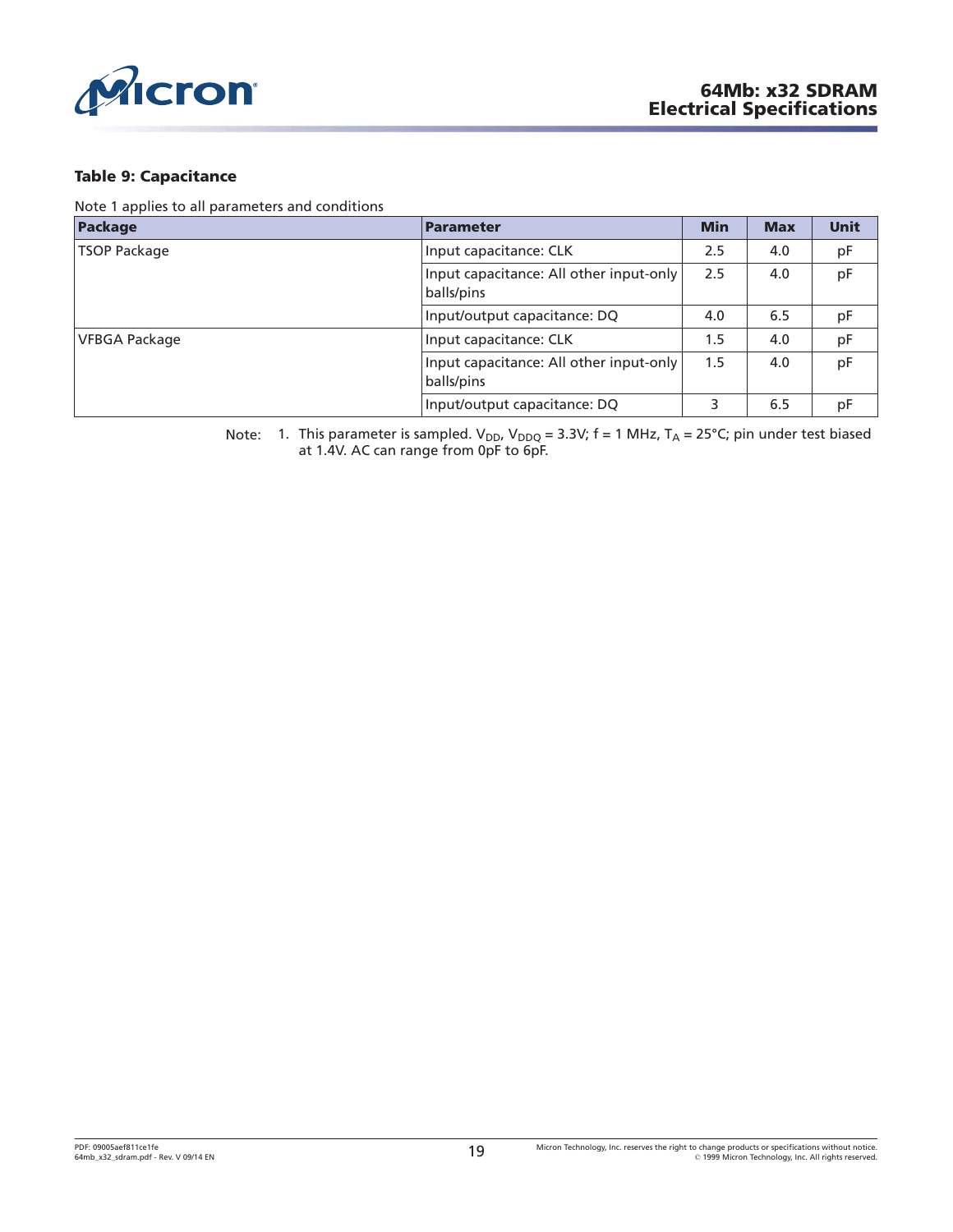<span id="page-18-0"></span>

#### **Table 9: Capacitance**

Note 1 applies to all parameters and conditions

| Package              | <b>Parameter</b>                                      | <b>Min</b> | <b>Max</b> | <b>Unit</b> |
|----------------------|-------------------------------------------------------|------------|------------|-------------|
| <b>TSOP Package</b>  | Input capacitance: CLK                                | 2.5        | 4.0        | pF          |
|                      | Input capacitance: All other input-only<br>balls/pins | 2.5        | 4.0        | pF          |
|                      | Input/output capacitance: DQ                          | 4.0        | 6.5        | pF          |
| <b>VFBGA Package</b> | Input capacitance: CLK                                | 1.5        | 4.0        | pF          |
|                      | Input capacitance: All other input-only<br>balls/pins | 1.5        | 4.0        | pF          |
|                      | Input/output capacitance: DQ                          |            | 6.5        | рF          |

Note: 1. This parameter is sampled. V<sub>DD</sub>, V<sub>DDQ</sub> = 3.3V; f = 1 MHz, T<sub>A</sub> = 25°C; pin under test biased at 1.4V. AC can range from 0pF to 6pF.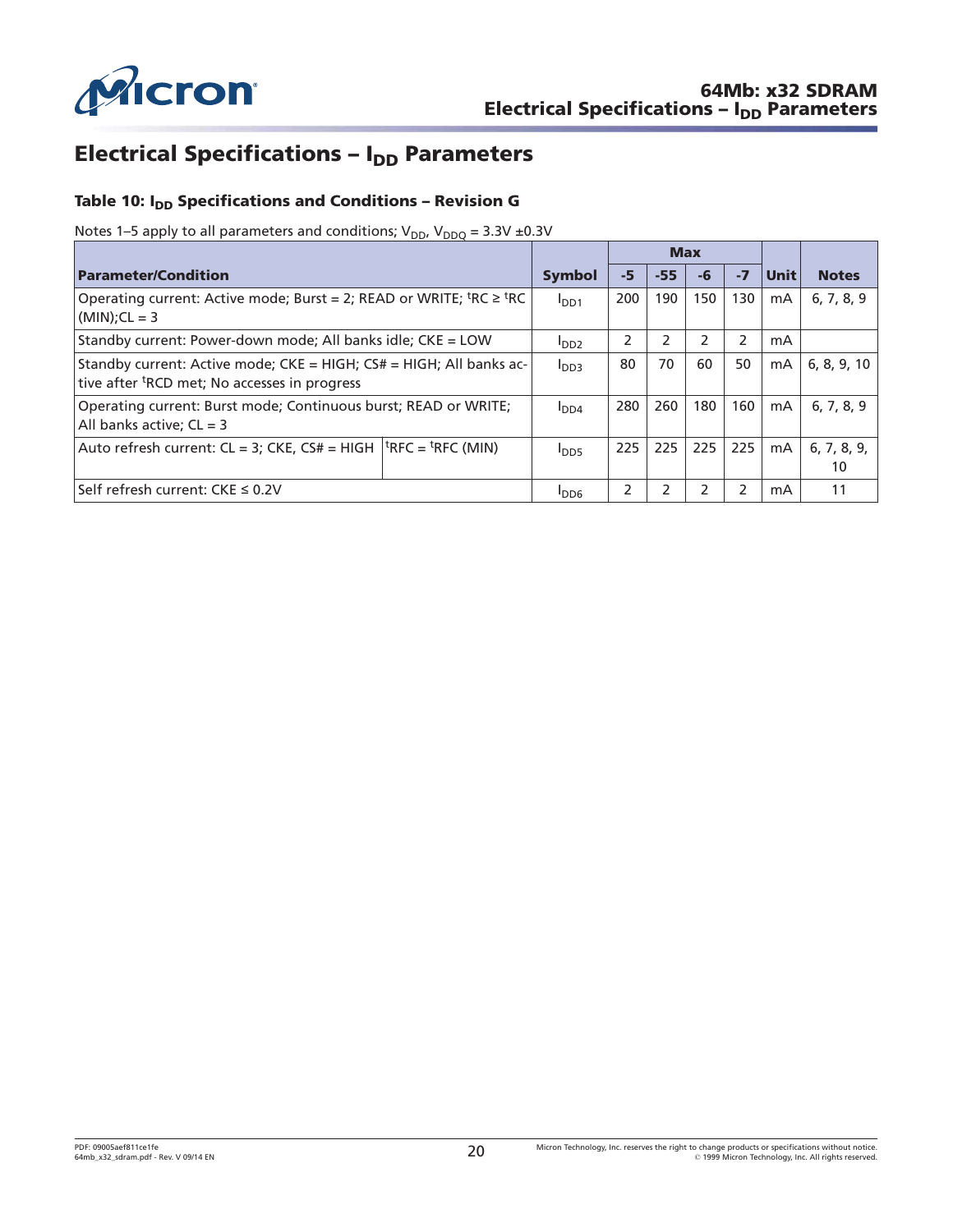<span id="page-19-0"></span>

# **Electrical Specifications – I<sub>DD</sub> Parameters**

# Table 10: I<sub>DD</sub> Specifications and Conditions - Revision G

Notes 1–5 apply to all parameters and conditions;  $V_{DD}$ ,  $V_{DDQ} = 3.3V \pm 0.3V$ 

|                                                                                                                                 |                  |      | <b>Max</b> |                |                |             |                   |
|---------------------------------------------------------------------------------------------------------------------------------|------------------|------|------------|----------------|----------------|-------------|-------------------|
| <b>Parameter/Condition</b>                                                                                                      | Symbol           | $-5$ | $-55$      | -6             | $-7$           | <b>Unit</b> | <b>Notes</b>      |
| Operating current: Active mode; Burst = 2; READ or WRITE; ${}^{\text{t}}$ RC $\geq$ ${}^{\text{t}}$ RC<br>$(MIN):CL = 3$        | I <sub>DD1</sub> | 200  | 190        | 150            | 130            | mA          | 6, 7, 8, 9        |
| Standby current: Power-down mode; All banks idle; CKE = LOW                                                                     | I <sub>DD2</sub> | 2    | 2          | $\mathfrak{p}$ | 2              | mA          |                   |
| Standby current: Active mode; CKE = HIGH; CS# = HIGH; All banks ac-<br>tive after <sup>t</sup> RCD met; No accesses in progress | I <sub>DD3</sub> | 80   | 70         | 60             | 50             | mA          | 6, 8, 9, 10       |
| Operating current: Burst mode; Continuous burst; READ or WRITE;<br>All banks active; $CL = 3$                                   | I <sub>DD4</sub> | 280  | 260        | 180            | 160            | mA          | 6, 7, 8, 9        |
| Auto refresh current: $CL = 3$ ; $CKE$ , $CS# = HIGH   HFC = HFC (MIN)$                                                         | $I_{DD5}$        | 225  | 225        | 225            | 225            | mA          | 6, 7, 8, 9,<br>10 |
| Self refresh current: CKE ≤ 0.2V                                                                                                | <b>IDD6</b>      | 2    |            | フ              | $\overline{2}$ | mA          | 11                |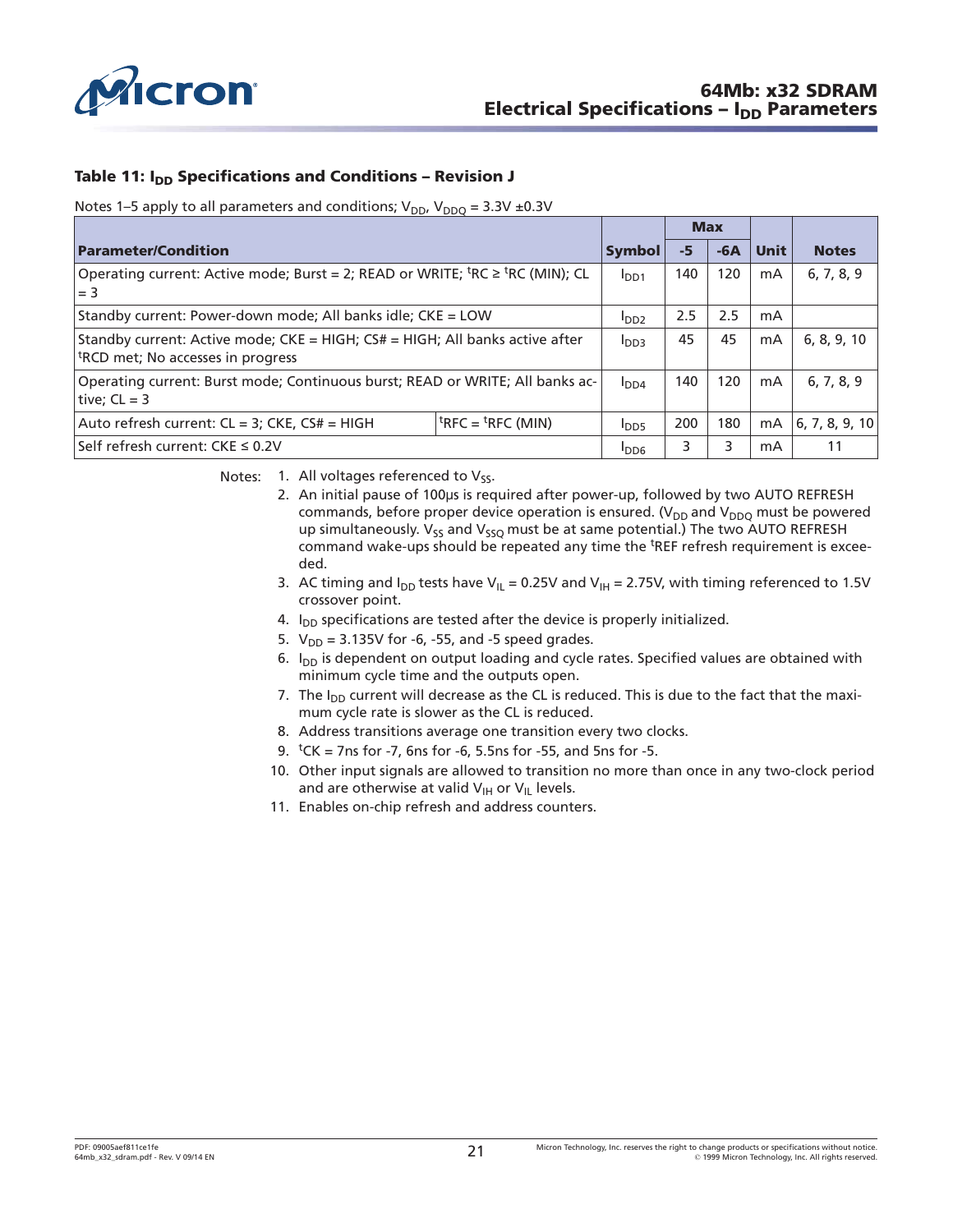<span id="page-20-0"></span>

### **Table 11: I<sub>DD</sub> Specifications and Conditions – Revision J**

#### Notes 1–5 apply to all parameters and conditions;  $V_{DD}$ ,  $V_{DDQ} = 3.3V \pm 0.3V$

| <b>Parameter/Condition</b>                                                                                                    | Symbol           | -5               | $-6A$ | <b>Unit</b> | <b>Notes</b>   |             |  |  |  |  |
|-------------------------------------------------------------------------------------------------------------------------------|------------------|------------------|-------|-------------|----------------|-------------|--|--|--|--|
| Operating current: Active mode; Burst = 2; READ or WRITE; <sup>t</sup> RC ≥ <sup>t</sup> RC (MIN); CL<br>$l = 3$              | I <sub>DD1</sub> | 140              | 120   | mA          | 6, 7, 8, 9     |             |  |  |  |  |
| Standby current: Power-down mode; All banks idle; CKE = LOW                                                                   |                  | I <sub>DD2</sub> | 2.5   | 2.5         | mA             |             |  |  |  |  |
| Standby current: Active mode; CKE = HIGH; CS# = HIGH; All banks active after<br><sup>t</sup> RCD met; No accesses in progress |                  | I <sub>DD3</sub> | 45    | 45          | mA             | 6, 8, 9, 10 |  |  |  |  |
| Operating current: Burst mode; Continuous burst; READ or WRITE; All banks ac-<br>  tive; $CL = 3$                             | I <sub>DD4</sub> | 140              | 120   | mA          | 6, 7, 8, 9     |             |  |  |  |  |
| Auto refresh current: CL = 3; CKE, CS# = HIGH                                                                                 | $I_{\text{DD5}}$ | 200              | 180   | mA          | 6, 7, 8, 9, 10 |             |  |  |  |  |
| Self refresh current: CKE ≤ 0.2V                                                                                              |                  | $I_{DD6}$        |       |             | mA             | 11          |  |  |  |  |

Notes: 1. All voltages referenced to  $V_{ss}$ .

- 2. An initial pause of 100µs is required after power-up, followed by two AUTO REFRESH commands, before proper device operation is ensured. ( $V_{DD}$  and  $V_{DDO}$  must be powered up simultaneously.  $V_{SS}$  and  $V_{SSO}$  must be at same potential.) The two AUTO REFRESH command wake-ups should be repeated any time the <sup>t</sup>REF refresh requirement is exceeded.
- 3. AC timing and  $I_{DD}$  tests have V<sub>IL</sub> = 0.25V and V<sub>IH</sub> = 2.75V, with timing referenced to 1.5V crossover point.
- 4.  $I<sub>DD</sub>$  specifications are tested after the device is properly initialized.
- 5.  $V_{DD} = 3.135V$  for -6, -55, and -5 speed grades.
- 6.  $I_{DD}$  is dependent on output loading and cycle rates. Specified values are obtained with minimum cycle time and the outputs open.
- 7. The  $I_{DD}$  current will decrease as the CL is reduced. This is due to the fact that the maximum cycle rate is slower as the CL is reduced.
- 8. Address transitions average one transition every two clocks.
- 9.  $tCK = 7$ ns for -7, 6ns for -6, 5.5ns for -55, and 5ns for -5.
- 10. Other input signals are allowed to transition no more than once in any two-clock period and are otherwise at valid  $V_{\text{IH}}$  or  $V_{\text{II}}$  levels.
- 11. Enables on-chip refresh and address counters.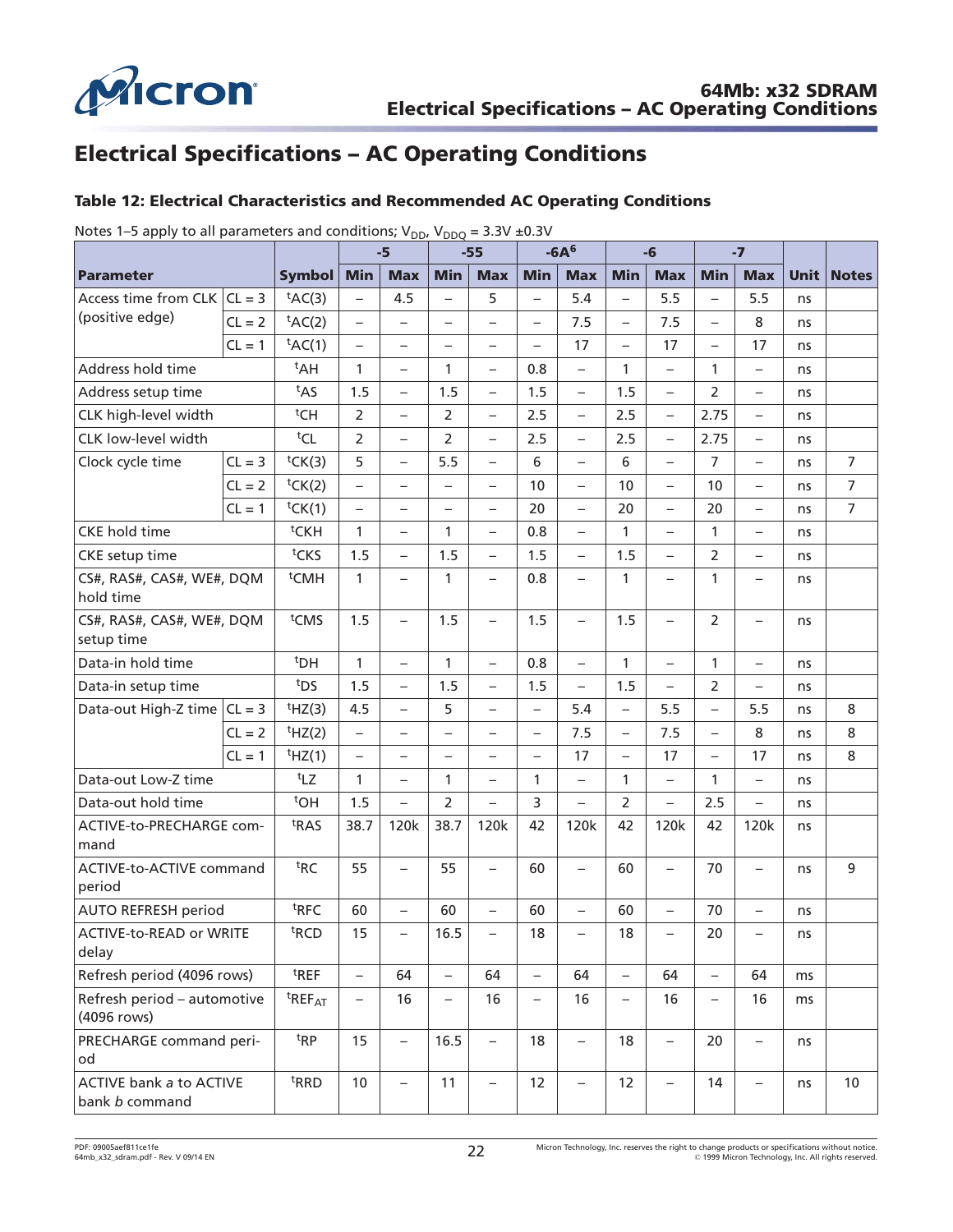<span id="page-21-0"></span>

# **Electrical Specifications – AC Operating Conditions**

### **Table 12: Electrical Characteristics and Recommended AC Operating Conditions**

|                                            |          |                                | $-5$                     |                          | $-55$                    |                          | $-6A6$                   |                          | -6                       |                          | $-7$                     |                          |             |                |
|--------------------------------------------|----------|--------------------------------|--------------------------|--------------------------|--------------------------|--------------------------|--------------------------|--------------------------|--------------------------|--------------------------|--------------------------|--------------------------|-------------|----------------|
| <b>Parameter</b>                           |          | <b>Symbol</b>                  | <b>Min</b>               | <b>Max</b>               | <b>Min</b>               | <b>Max</b>               | <b>Min</b>               | <b>Max</b>               | <b>Min</b>               | <b>Max</b>               | <b>Min</b>               | <b>Max</b>               | <b>Unit</b> | <b>Notes</b>   |
| Access time from CLK $ CL = 3$             |          | $tAC(3)$                       | $\overline{\phantom{0}}$ | 4.5                      | $\overline{\phantom{0}}$ | 5                        | $\overline{\phantom{0}}$ | 5.4                      | $\overline{\phantom{0}}$ | 5.5                      | $\overline{\phantom{0}}$ | 5.5                      | ns          |                |
| (positive edge)                            | $CL = 2$ | tAC(2)                         | $\overline{\phantom{0}}$ | $\qquad \qquad -$        | $\overline{\phantom{0}}$ | $\overline{\phantom{0}}$ | $\overline{\phantom{0}}$ | 7.5                      | $\overline{\phantom{0}}$ | 7.5                      | $\overline{\phantom{0}}$ | 8                        | ns          |                |
|                                            | $CL = 1$ | $tAC(1)$                       | $\overline{\phantom{0}}$ | $\qquad \qquad -$        | $\overline{\phantom{0}}$ | $\overline{\phantom{0}}$ | $\overline{\phantom{0}}$ | 17                       | $\overline{\phantom{0}}$ | 17                       | $\overline{\phantom{0}}$ | 17                       | ns          |                |
| Address hold time                          |          | $t$ AH                         | 1                        | $\overline{\phantom{a}}$ | 1                        | $\overline{\phantom{0}}$ | 0.8                      | $\overline{\phantom{0}}$ | $\mathbf{1}$             | $\overline{\phantom{0}}$ | 1                        | $\overline{\phantom{0}}$ | ns          |                |
| Address setup time                         |          | t <sub>AS</sub>                | 1.5                      | $\overline{\phantom{0}}$ | 1.5                      | $\overline{\phantom{0}}$ | 1.5                      | $\overline{\phantom{0}}$ | 1.5                      | $\overline{\phantom{0}}$ | 2                        | $\overline{\phantom{0}}$ | ns          |                |
| CLK high-level width                       |          | <sup>t</sup> CH                | $\overline{2}$           | $\overline{\phantom{a}}$ | $\overline{2}$           | $\overline{\phantom{0}}$ | 2.5                      | $-$                      | 2.5                      | $\overline{\phantom{0}}$ | 2.75                     | $\overline{\phantom{0}}$ | ns          |                |
| CLK low-level width                        |          | tCL                            | 2                        | $\overline{\phantom{0}}$ | 2                        | $\overline{\phantom{0}}$ | 2.5                      | $\overline{\phantom{0}}$ | 2.5                      | $\overline{\phantom{0}}$ | 2.75                     | $\overline{\phantom{0}}$ | ns          |                |
| Clock cycle time                           | $CL = 3$ | tCK(3)                         | 5                        | $\overline{\phantom{0}}$ | 5.5                      | $\overline{\phantom{0}}$ | 6                        | $\overline{\phantom{0}}$ | 6                        | $\overline{\phantom{0}}$ | $\overline{7}$           | $\overline{\phantom{0}}$ | ns          | $\overline{7}$ |
|                                            | $CL = 2$ | tCK(2)                         | $\overline{\phantom{0}}$ | $\overline{\phantom{0}}$ | $\overline{\phantom{0}}$ | $\overline{\phantom{0}}$ | 10                       | $\overline{\phantom{0}}$ | 10                       | $\overline{\phantom{0}}$ | 10                       | $\overline{\phantom{0}}$ | ns          | $\overline{7}$ |
|                                            | $CL = 1$ | tCK(1)                         | $\overline{\phantom{0}}$ | $\qquad \qquad -$        | $\overline{\phantom{0}}$ | $\overline{\phantom{0}}$ | 20                       | $\overline{\phantom{0}}$ | 20                       | $\overline{\phantom{0}}$ | 20                       | $\overline{\phantom{0}}$ | ns          | $\overline{7}$ |
| <b>CKE</b> hold time                       |          | <sup>t</sup> CKH               | 1                        | $\qquad \qquad -$        | 1                        | $\overline{\phantom{0}}$ | 0.8                      | $\overline{\phantom{0}}$ | $\mathbf{1}$             | $\overline{\phantom{0}}$ | 1                        | $\overline{\phantom{0}}$ | ns          |                |
| CKE setup time                             |          | <sup>t</sup> CKS               | 1.5                      | $\overline{\phantom{a}}$ | 1.5                      | $\equiv$                 | 1.5                      | $\overline{\phantom{0}}$ | 1.5                      | $\overline{\phantom{0}}$ | $\overline{2}$           | $\overline{\phantom{0}}$ | ns          |                |
| CS#, RAS#, CAS#, WE#, DQM<br>hold time     |          | <sup>t</sup> CMH               | 1                        |                          | 1                        | $\overline{\phantom{0}}$ | 0.8                      | $\overline{\phantom{0}}$ | 1                        |                          | 1                        | $\overline{\phantom{0}}$ | ns          |                |
| CS#, RAS#, CAS#, WE#, DQM<br>setup time    |          | <sup>t</sup> CMS               | 1.5                      | $\overline{\phantom{0}}$ | 1.5                      | $\overline{\phantom{0}}$ | 1.5                      | $\overline{\phantom{0}}$ | 1.5                      | $\overline{\phantom{0}}$ | $\overline{2}$           | $\overline{\phantom{0}}$ | ns          |                |
| Data-in hold time                          |          | <sup>t</sup> DH                | 1                        | $\overline{\phantom{a}}$ | $\mathbf{1}$             | $\overline{\phantom{0}}$ | 0.8                      | $\overline{\phantom{0}}$ | $\mathbf{1}$             | $\qquad \qquad -$        | 1                        | $\overline{\phantom{0}}$ | ns          |                |
| Data-in setup time                         |          | t <sub>DS</sub>                | 1.5                      | $\overline{\phantom{0}}$ | 1.5                      | $\overline{\phantom{0}}$ | 1.5                      | $\overline{\phantom{0}}$ | 1.5                      | $\overline{\phantom{0}}$ | $\overline{2}$           | $\overline{\phantom{0}}$ | ns          |                |
| Data-out High-Z time $ CL = 3$             |          | $t$ HZ(3)                      | 4.5                      | $\overline{\phantom{0}}$ | 5                        | $\overline{\phantom{0}}$ | $\overline{\phantom{0}}$ | 5.4                      | $\overline{\phantom{0}}$ | 5.5                      | $\overline{\phantom{0}}$ | 5.5                      | ns          | 8              |
|                                            | $CL = 2$ | HZ(2)                          | $\overline{\phantom{0}}$ | $\overline{\phantom{a}}$ | $\overline{\phantom{0}}$ | $\overline{\phantom{0}}$ | $\overline{\phantom{0}}$ | 7.5                      | $\overline{\phantom{0}}$ | 7.5                      | $\overline{\phantom{0}}$ | 8                        | ns          | 8              |
|                                            | $CL = 1$ | $†HZ(1)$                       | $\qquad \qquad -$        | $\overline{\phantom{0}}$ | $\overline{\phantom{0}}$ | $\overline{\phantom{0}}$ | $\overline{\phantom{0}}$ | 17                       | $\overline{\phantom{0}}$ | 17                       | $\overline{\phantom{0}}$ | 17                       | ns          | 8              |
| Data-out Low-Z time                        |          | $t_{\text{LZ}}$                | 1                        | $\overline{\phantom{0}}$ | 1                        | $\qquad \qquad -$        | $\mathbf{1}$             | $\overline{\phantom{0}}$ | $\mathbf{1}$             | $\overline{\phantom{0}}$ | 1                        | $\overline{\phantom{0}}$ | ns          |                |
| Data-out hold time                         |          | <sup>t</sup> OH                | 1.5                      | $\qquad \qquad -$        | 2                        | $\overline{\phantom{0}}$ | 3                        | $\overline{\phantom{0}}$ | $\overline{2}$           | $\overline{\phantom{0}}$ | 2.5                      | $\overline{\phantom{0}}$ | ns          |                |
| ACTIVE-to-PRECHARGE com-<br>mand           |          | <sup>t</sup> RAS               | 38.7                     | 120k                     | 38.7                     | 120k                     | 42                       | 120k                     | 42                       | 120k                     | 42                       | 120k                     | ns          |                |
| ACTIVE-to-ACTIVE command<br>period         |          | <sup>t</sup> RC                | 55                       | $\overline{\phantom{0}}$ | 55                       | $\overline{\phantom{0}}$ | 60                       | $\overline{\phantom{0}}$ | 60                       | $\overline{\phantom{0}}$ | 70                       | $\overline{\phantom{0}}$ | ns          | 9              |
| <b>AUTO REFRESH period</b>                 |          | <sup>t</sup> RFC               | 60                       | $\overline{\phantom{0}}$ | 60                       | $\qquad \qquad -$        | 60                       | $\overline{\phantom{0}}$ | 60                       | $\overline{\phantom{0}}$ | 70                       | $\overline{\phantom{0}}$ | ns          |                |
| ACTIVE-to-READ or WRITE<br>delay           |          | <sup>t</sup> RCD               | 15                       | $\overline{\phantom{0}}$ | 16.5                     | $\qquad \qquad -$        | 18                       | $\overline{\phantom{0}}$ | 18                       | $\overline{\phantom{0}}$ | 20                       | $\overline{\phantom{0}}$ | ns          |                |
| Refresh period (4096 rows)                 |          | <sup>t</sup> REF               | $\overline{\phantom{0}}$ | 64                       | $\overline{\phantom{0}}$ | 64                       | $\overline{\phantom{0}}$ | 64                       | $\overline{\phantom{0}}$ | 64                       | $\overline{\phantom{0}}$ | 64                       | ms          |                |
| Refresh period - automotive<br>(4096 rows) |          | <sup>t</sup> REF <sub>AT</sub> | $\qquad \qquad -$        | 16                       | $\qquad \qquad -$        | 16                       | $\overline{\phantom{0}}$ | 16                       | $\overline{\phantom{0}}$ | 16                       | $\overline{\phantom{0}}$ | 16                       | ms          |                |
| PRECHARGE command peri-<br>od              |          | ${}^{\text{t}}$ RP             | 15                       | $\overline{\phantom{m}}$ | 16.5                     | $\overline{\phantom{0}}$ | 18                       | $\overline{\phantom{0}}$ | 18                       | $\overline{\phantom{0}}$ | 20                       | $\qquad \qquad -$        | ns          |                |
| ACTIVE bank a to ACTIVE<br>bank b command  |          | <sup>t</sup> RRD               | 10                       | $\qquad \qquad -$        | 11                       | $\overline{\phantom{0}}$ | 12                       | $\overline{\phantom{0}}$ | 12                       | $\overline{\phantom{0}}$ | 14                       | $\overline{\phantom{0}}$ | ns          | 10             |

Notes 1–5 apply to all parameters and conditions;  $V_{DD}$ ,  $V_{DDQ} = 3.3V \pm 0.3V$ 

PDF: 09005aef811ce1fe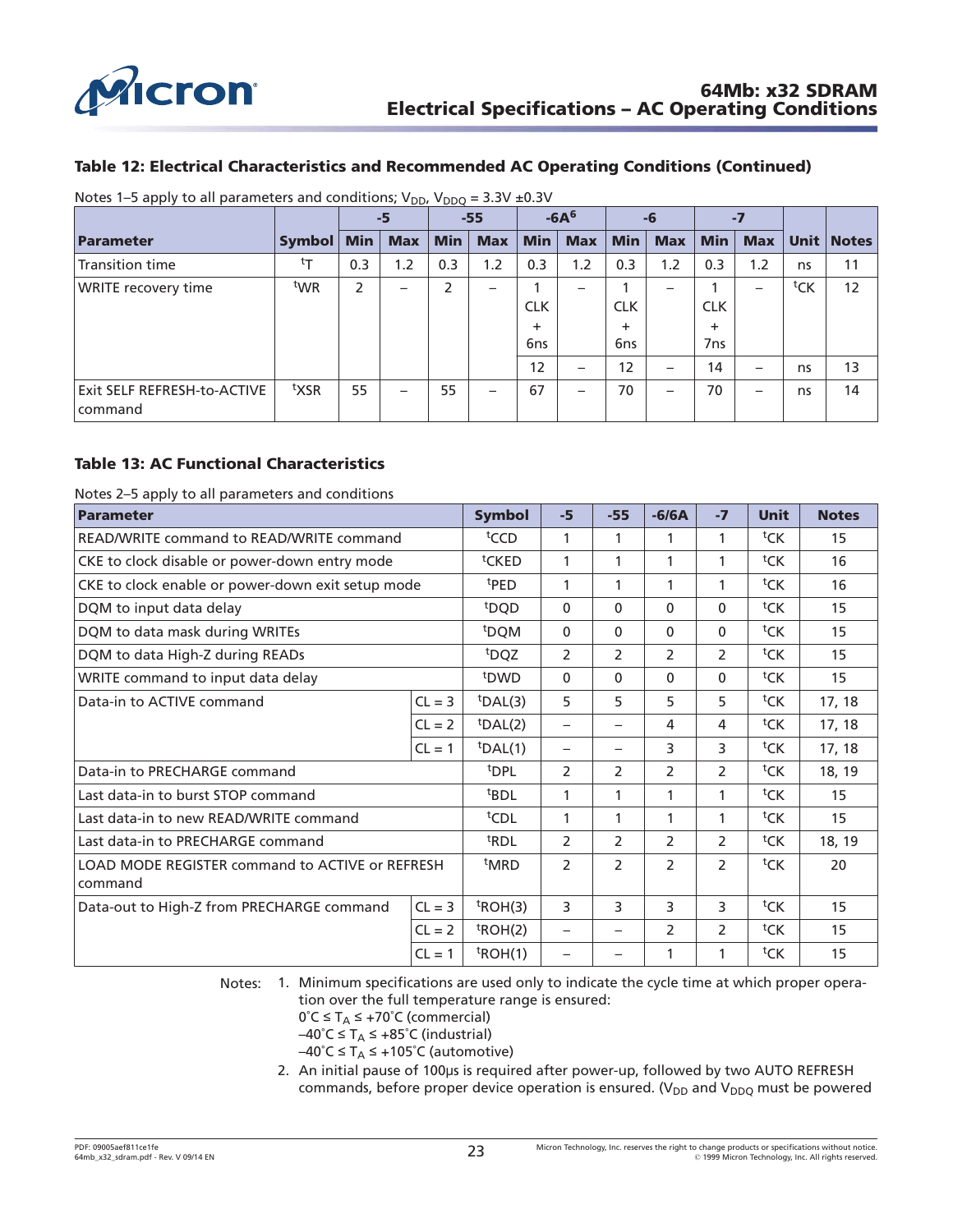<span id="page-22-0"></span>

### **Table 12: Electrical Characteristics and Recommended AC Operating Conditions (Continued)**

|                                                 |                  |            | $-5$                     |            | $-55$                    |            | $-6A6$                   |            | -6                       |            | -7         |     |              |
|-------------------------------------------------|------------------|------------|--------------------------|------------|--------------------------|------------|--------------------------|------------|--------------------------|------------|------------|-----|--------------|
| <b>Parameter</b>                                | <b>Symbol</b>    | <b>Min</b> | <b>Max</b>               | <b>Min</b> | <b>Max</b>               | Min        | <b>Max</b>               | <b>Min</b> | <b>Max</b>               | Min        | <b>Max</b> |     | Unit   Notes |
| <b>Transition time</b>                          | tŢ               | 0.3        | 1.2                      | 0.3        | 1.2                      | 0.3        | 1.2                      | 0.3        | 1.2                      | 0.3        | 1.2        | ns  | 11           |
| <b>WRITE recovery time</b>                      | tw <sub>R</sub>  | 2          | $\overline{\phantom{0}}$ | 2          |                          |            |                          |            |                          |            |            | tCK | 12           |
|                                                 |                  |            |                          |            |                          | <b>CLK</b> |                          | <b>CLK</b> |                          | <b>CLK</b> |            |     |              |
|                                                 |                  |            |                          |            |                          | +          |                          | ٠          |                          | ÷.         |            |     |              |
|                                                 |                  |            |                          |            |                          | 6ns        |                          | 6ns        |                          | 7ns        |            |     |              |
|                                                 |                  |            |                          |            |                          | 12         | —                        | 12         | —                        | 14         | —          | ns  | 13           |
| <b>Exit SELF REFRESH-to-ACTIVE</b><br>l command | <sup>t</sup> XSR | 55         | $\overline{\phantom{m}}$ | 55         | $\overline{\phantom{0}}$ | 67         | $\overline{\phantom{0}}$ | 70         | $\overline{\phantom{0}}$ | 70         | —          | ns  | 14           |

Notes 1–5 apply to all parameters and conditions;  $V_{DD}$ ,  $V_{DDQ} = 3.3V \pm 0.3V$ 

### **Table 13: AC Functional Characteristics**

Notes 2–5 apply to all parameters and conditions

| Parameter                                                  |          | <b>Symbol</b>    | $-5$                     | $-55$                             | $-6/6A$        | $-7$           | <b>Unit</b>        | <b>Notes</b> |
|------------------------------------------------------------|----------|------------------|--------------------------|-----------------------------------|----------------|----------------|--------------------|--------------|
| READ/WRITE command to READ/WRITE command                   |          | <sup>t</sup> CCD | $\mathbf{1}$             | 1                                 | 1              | 1              | ${}^{\text{t}}$ CK | 15           |
| CKE to clock disable or power-down entry mode              |          | tCKED            | 1                        | 1                                 | 1              | 1              | ${}^{\text{t}}$ CK | 16           |
| CKE to clock enable or power-down exit setup mode          |          | <sup>t</sup> PED | 1                        | 1                                 | 1              | 1              | ${}^{\text{t}}$ CK | 16           |
| DQM to input data delay                                    |          | <sup>t</sup> DQD | $\Omega$                 | $\mathbf{0}$                      | $\mathbf{0}$   | 0              | ${}^{\text{t}}$ CK | 15           |
| DQM to data mask during WRITEs                             |          | <sup>t</sup> DQM | $\mathbf{0}$             | $\mathbf{0}$                      | $\Omega$       | 0              | ${}^{\text{t}}$ CK | 15           |
| DQM to data High-Z during READs                            |          | <sup>t</sup> DQZ | 2                        | 2                                 | 2              | $\overline{2}$ | ${}^{\text{t}}$ CK | 15           |
| WRITE command to input data delay                          |          | <sup>t</sup> DWD | $\Omega$                 | $\Omega$                          | $\Omega$       | 0              | ${}^{\text{t}}$ CK | 15           |
| Data-in to ACTIVE command                                  | $CL = 3$ | $tDAL(3)$        | 5                        | 5                                 | 5              | 5              | ${}^{\text{t}}$ CK | 17, 18       |
|                                                            | $CL = 2$ | $t$ DAL(2)       | $\overline{\phantom{0}}$ | $\overbrace{\phantom{12322111}}$  | 4              | 4              | ${}^{\text{t}}$ CK | 17, 18       |
|                                                            | $CL = 1$ | $t$ DAL(1)       | $\overline{\phantom{0}}$ | $\overbrace{\phantom{123221111}}$ | 3              | 3              | ${}^{\text{t}}$ CK | 17, 18       |
| Data-in to PRECHARGE command                               |          | <sup>t</sup> DPL | 2                        | 2                                 | $\overline{2}$ | $\overline{2}$ | ${}^{\text{t}}$ CK | 18, 19       |
| Last data-in to burst STOP command                         |          | <sup>t</sup> BDL | 1                        | 1                                 | 1              | 1              | ${}^{\text{t}}$ CK | 15           |
| Last data-in to new READ/WRITE command                     |          | <sup>t</sup> CDL | 1                        | 1                                 | 1              | 1              | ${}^{\text{t}}$ CK | 15           |
| Last data-in to PRECHARGE command                          |          | <sup>t</sup> RDL | 2                        | 2                                 | $\overline{2}$ | $\overline{2}$ | ${}^{\text{t}}$ CK | 18, 19       |
| LOAD MODE REGISTER command to ACTIVE or REFRESH<br>command |          | <sup>t</sup> MRD | 2                        | $\mathcal{P}$                     | $\mathcal{P}$  | $\overline{2}$ | ${}^{\text{t}}$ CK | 20           |
|                                                            |          |                  | 3                        |                                   |                |                | ${}^{\text{t}}$ CK |              |
| Data-out to High-Z from PRECHARGE command                  | $CL = 3$ | $t$ ROH(3)       |                          | 3                                 | 3              | 3              |                    | 15           |
|                                                            | $CL = 2$ | $t$ ROH(2)       | $\overline{\phantom{0}}$ |                                   | $\overline{2}$ | $\overline{2}$ | ${}^{\text{t}}$ CK | 15           |
|                                                            | $CL = 1$ | $t$ ROH(1)       |                          |                                   | 1              | 1              | ${}^{\text{t}}$ CK | 15           |

Notes: 1. Minimum specifications are used only to indicate the cycle time at which proper operation over the full temperature range is ensured:

- $0^{\circ}C \leq T_A \leq +70^{\circ}C$  (commercial)
- –40°C ≤ T<sub>A</sub> ≤ +85°C (industrial)
- $-40^{\circ}$ C  $\leq$  T<sub>A</sub>  $\leq$  +105 $^{\circ}$ C (automotive)
- 2. An initial pause of 100µs is required after power-up, followed by two AUTO REFRESH commands, before proper device operation is ensured. ( $V_{DD}$  and  $V_{DDO}$  must be powered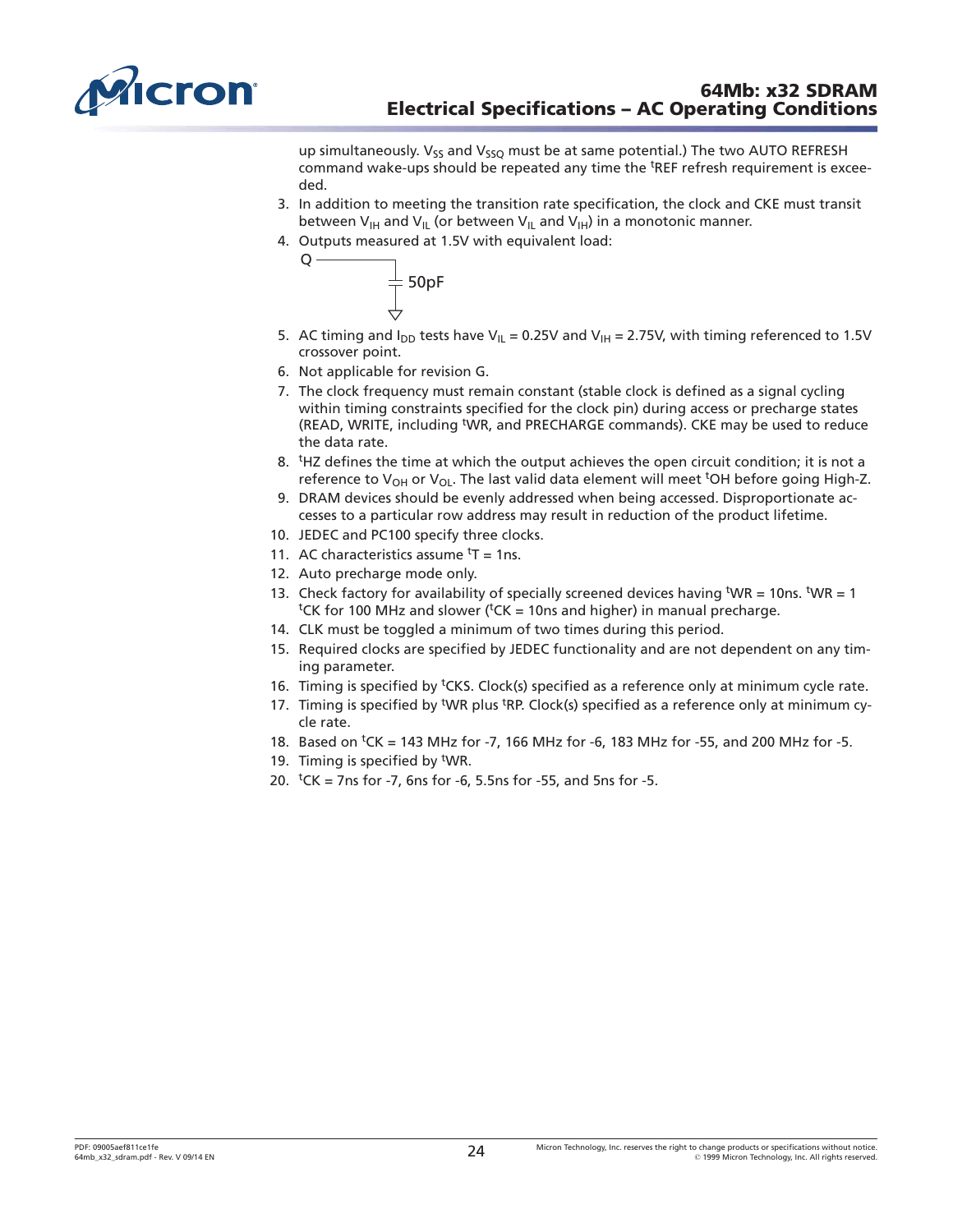<span id="page-23-0"></span>

up simultaneously.  $V_{55}$  and  $V_{550}$  must be at same potential.) The two AUTO REFRESH command wake-ups should be repeated any time the <sup>t</sup>REF refresh requirement is exceeded.

- 3. In addition to meeting the transition rate specification, the clock and CKE must transit between  $V_{\text{IH}}$  and  $V_{\text{IL}}$  (or between  $V_{\text{IL}}$  and  $V_{\text{IH}}$ ) in a monotonic manner.
- 4. Outputs measured at 1.5V with equivalent load:



- 5. AC timing and  $I_{DD}$  tests have V<sub>IL</sub> = 0.25V and V<sub>IH</sub> = 2.75V, with timing referenced to 1.5V crossover point.
- 6. Not applicable for revision G.

Q

- 7. The clock frequency must remain constant (stable clock is defined as a signal cycling within timing constraints specified for the clock pin) during access or precharge states (READ, WRITE, including <sup>t</sup>WR, and PRECHARGE commands). CKE may be used to reduce the data rate.
- 8. <sup>t</sup>HZ defines the time at which the output achieves the open circuit condition; it is not a reference to V<sub>OH</sub> or V<sub>OL</sub>. The last valid data element will meet <sup>t</sup>OH before going High-Z.
- 9. DRAM devices should be evenly addressed when being accessed. Disproportionate accesses to a particular row address may result in reduction of the product lifetime.
- 10. JEDEC and PC100 specify three clocks.
- 11. AC characteristics assume  $<sup>t</sup>T = 1$ ns.</sup>
- 12. Auto precharge mode only.
- 13. Check factory for availability of specially screened devices having  $WR = 10$ ns.  $WR = 1$ <sup>t</sup>CK for 100 MHz and slower (<sup>t</sup>CK = 10ns and higher) in manual precharge.
- 14. CLK must be toggled a minimum of two times during this period.
- 15. Required clocks are specified by JEDEC functionality and are not dependent on any timing parameter.
- 16. Timing is specified by <sup>t</sup>CKS. Clock(s) specified as a reference only at minimum cycle rate.
- 17. Timing is specified by <sup>t</sup>WR plus <sup>t</sup>RP. Clock(s) specified as a reference only at minimum cycle rate.
- 18. Based on <sup>t</sup>CK = 143 MHz for -7, 166 MHz for -6, 183 MHz for -55, and 200 MHz for -5.
- 19. Timing is specified by <sup>t</sup>WR.
- 20.  $tCK = 7$ ns for -7, 6ns for -6, 5.5ns for -55, and 5ns for -5.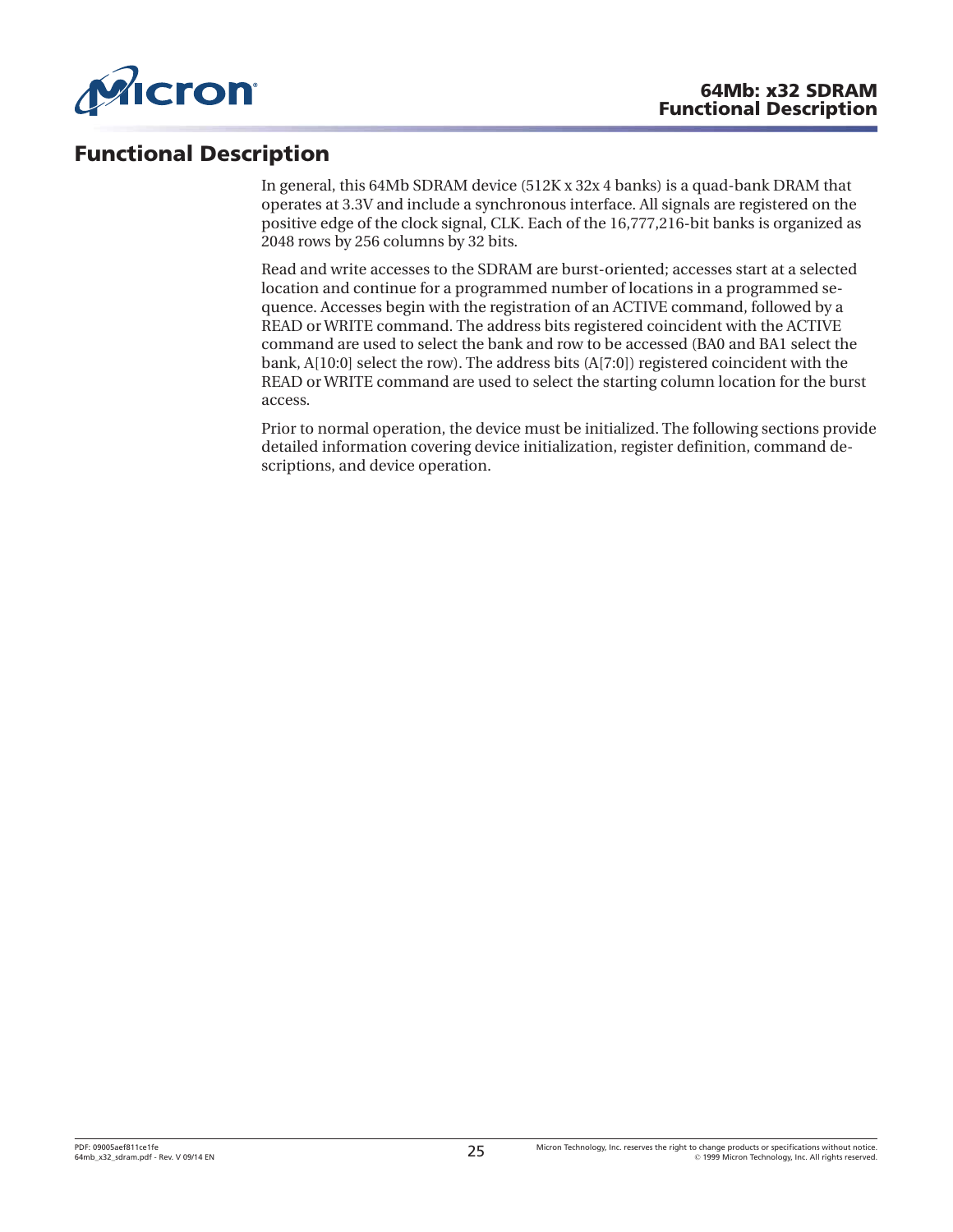<span id="page-24-0"></span>

# **Functional Description**

In general, this 64Mb SDRAM device (512K x 32x 4 banks) is a quad-bank DRAM that operates at 3.3V and include a synchronous interface. All signals are registered on the positive edge of the clock signal, CLK. Each of the 16,777,216-bit banks is organized as 2048 rows by 256 columns by 32 bits.

Read and write accesses to the SDRAM are burst-oriented; accesses start at a selected location and continue for a programmed number of locations in a programmed sequence. Accesses begin with the registration of an ACTIVE command, followed by a READ or WRITE command. The address bits registered coincident with the ACTIVE command are used to select the bank and row to be accessed (BA0 and BA1 select the bank, A[10:0] select the row). The address bits (A[7:0]) registered coincident with the READ or WRITE command are used to select the starting column location for the burst access.

Prior to normal operation, the device must be initialized. The following sections provide detailed information covering device initialization, register definition, command descriptions, and device operation.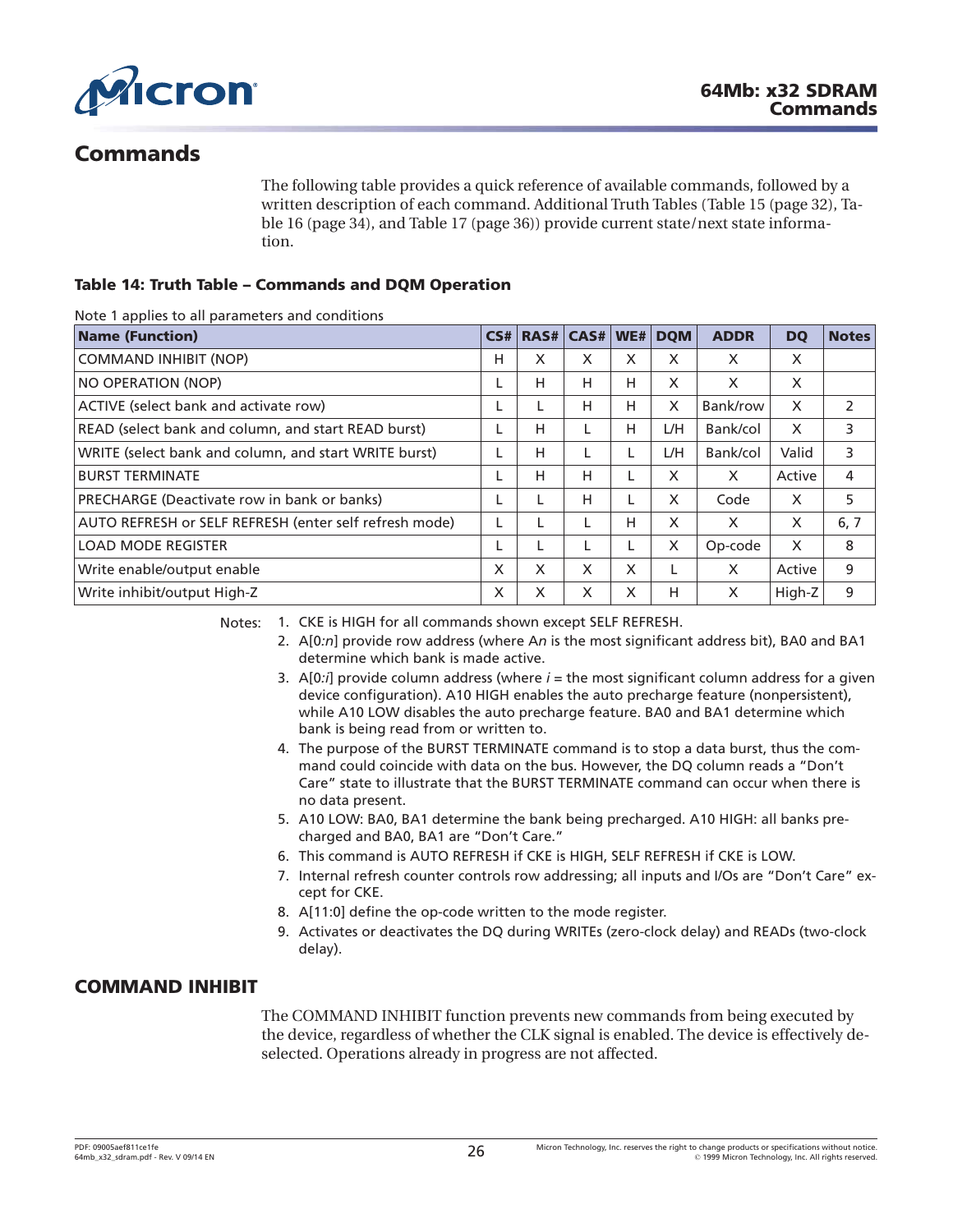<span id="page-25-0"></span>

# **Commands**

The following table provides a quick reference of available commands, followed by a written description of each command. Additional Truth Tables ([Table 15](#page-31-0) ([page 32](#page-31-0)), [Ta](#page-33-0)[ble 16](#page-33-0) ([page 34](#page-33-0)), and [Table 17](#page-35-0) [\(page 36\)](#page-35-0)) provide current state/next state information.

### **Table 14: Truth Table – Commands and DQM Operation**

Note 1 applies to all parameters and conditions

| <b>Name (Function)</b>                                 | CS# | RAS# | CAS# | WE# | <b>DOM</b> | <b>ADDR</b> | <b>DQ</b> | <b>Notes</b> |
|--------------------------------------------------------|-----|------|------|-----|------------|-------------|-----------|--------------|
| <b>COMMAND INHIBIT (NOP)</b>                           | н   | X    | X    | X   | X          | X           | X         |              |
| NO OPERATION (NOP)                                     |     | H    | н    | н   | X          | X           | X         |              |
| ACTIVE (select bank and activate row)                  |     | L    | Н    | н   | X          | Bank/row    | X         | 2            |
| READ (select bank and column, and start READ burst)    |     | H    |      | н   | L/H        | Bank/col    | X         | 3            |
| WRITE (select bank and column, and start WRITE burst)  |     | H    |      |     | L/H        | Bank/col    | Valid     | 3            |
| <b>BURST TERMINATE</b>                                 |     | H    | Н    |     | X          | X           | Active    | 4            |
| PRECHARGE (Deactivate row in bank or banks)            |     |      | н    |     | X          | Code        | X         | 5            |
| AUTO REFRESH or SELF REFRESH (enter self refresh mode) |     |      |      | н   | X          | X           | X         | 6, 7         |
| <b>LOAD MODE REGISTER</b>                              |     | L    |      |     | X          | Op-code     | X         | 8            |
| Write enable/output enable                             | X   | X    | X    | X   |            | X           | Active    | 9            |
| Write inhibit/output High-Z                            | X   | X    | X    | X   | н          | X           | High-Z    | 9            |

Notes: 1. CKE is HIGH for all commands shown except SELF REFRESH.

- 2. A[0*:n*] provide row address (where A*n* is the most significant address bit), BA0 and BA1 determine which bank is made active.
- 3.  $A[0:j]$  provide column address (where  $i =$  the most significant column address for a given device configuration). A10 HIGH enables the auto precharge feature (nonpersistent), while A10 LOW disables the auto precharge feature. BA0 and BA1 determine which bank is being read from or written to.
- 4. The purpose of the BURST TERMINATE command is to stop a data burst, thus the command could coincide with data on the bus. However, the DQ column reads a "Don't Care" state to illustrate that the BURST TERMINATE command can occur when there is no data present.
- 5. A10 LOW: BA0, BA1 determine the bank being precharged. A10 HIGH: all banks precharged and BA0, BA1 are "Don't Care."
- 6. This command is AUTO REFRESH if CKE is HIGH, SELF REFRESH if CKE is LOW.
- 7. Internal refresh counter controls row addressing; all inputs and I/Os are "Don't Care" except for CKE.
- 8. A[11:0] define the op-code written to the mode register.
- 9. Activates or deactivates the DQ during WRITEs (zero-clock delay) and READs (two-clock delay).

## **COMMAND INHIBIT**

The COMMAND INHIBIT function prevents new commands from being executed by the device, regardless of whether the CLK signal is enabled. The device is effectively deselected. Operations already in progress are not affected.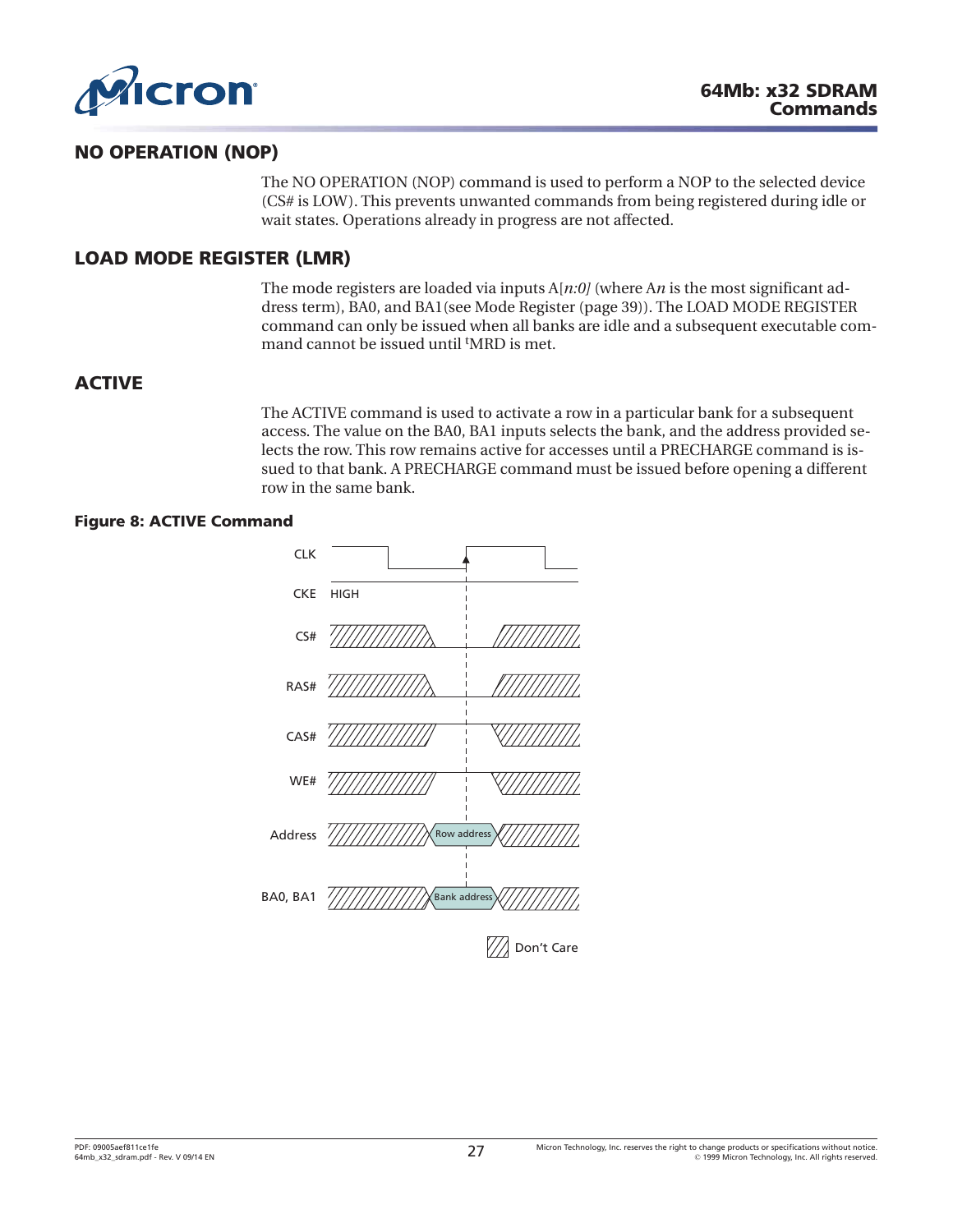<span id="page-26-0"></span>

# **NO OPERATION (NOP)**

The NO OPERATION (NOP) command is used to perform a NOP to the selected device (CS# is LOW). This prevents unwanted commands from being registered during idle or wait states. Operations already in progress are not affected.

# **LOAD MODE REGISTER (LMR)**

The mode registers are loaded via inputs A[*n:0]* (where A*n* is the most significant address term), BA0, and BA1(see [Mode Register \(page 39\)](#page-38-0)). The LOAD MODE REGISTER command can only be issued when all banks are idle and a subsequent executable command cannot be issued until <sup>t</sup>MRD is met.

## **ACTIVE**

The ACTIVE command is used to activate a row in a particular bank for a subsequent access. The value on the BA0, BA1 inputs selects the bank, and the address provided selects the row. This row remains active for accesses until a PRECHARGE command is issued to that bank. A PRECHARGE command must be issued before opening a different row in the same bank.

### **Figure 8: ACTIVE Command**

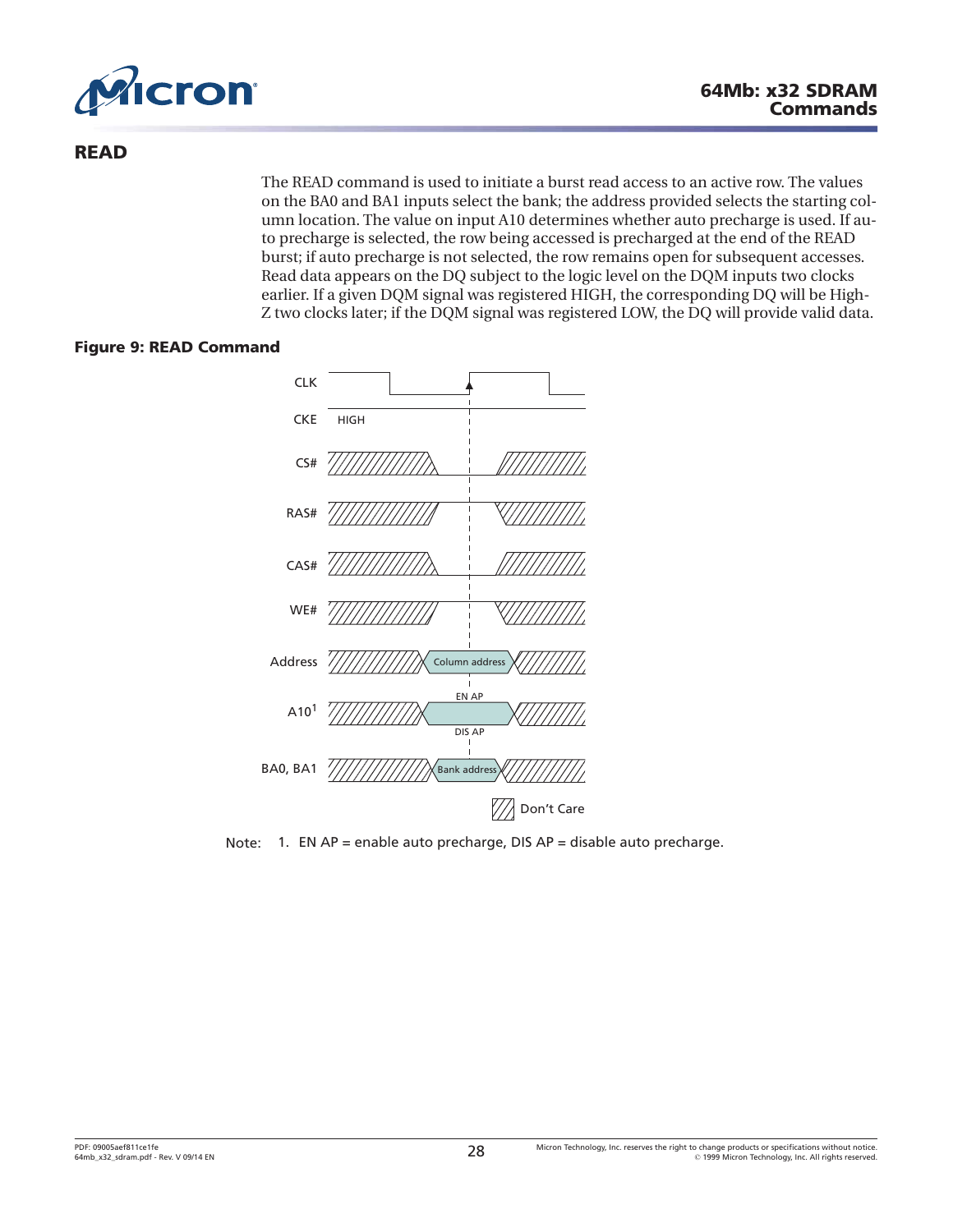<span id="page-27-0"></span>

# **READ**

The READ command is used to initiate a burst read access to an active row. The values on the BA0 and BA1 inputs select the bank; the address provided selects the starting column location. The value on input A10 determines whether auto precharge is used. If auto precharge is selected, the row being accessed is precharged at the end of the READ burst; if auto precharge is not selected, the row remains open for subsequent accesses. Read data appears on the DQ subject to the logic level on the DQM inputs two clocks earlier. If a given DQM signal was registered HIGH, the corresponding DQ will be High-Z two clocks later; if the DQM signal was registered LOW, the DQ will provide valid data.

#### **Figure 9: READ Command**



Note: 1. EN AP = enable auto precharge, DIS AP = disable auto precharge.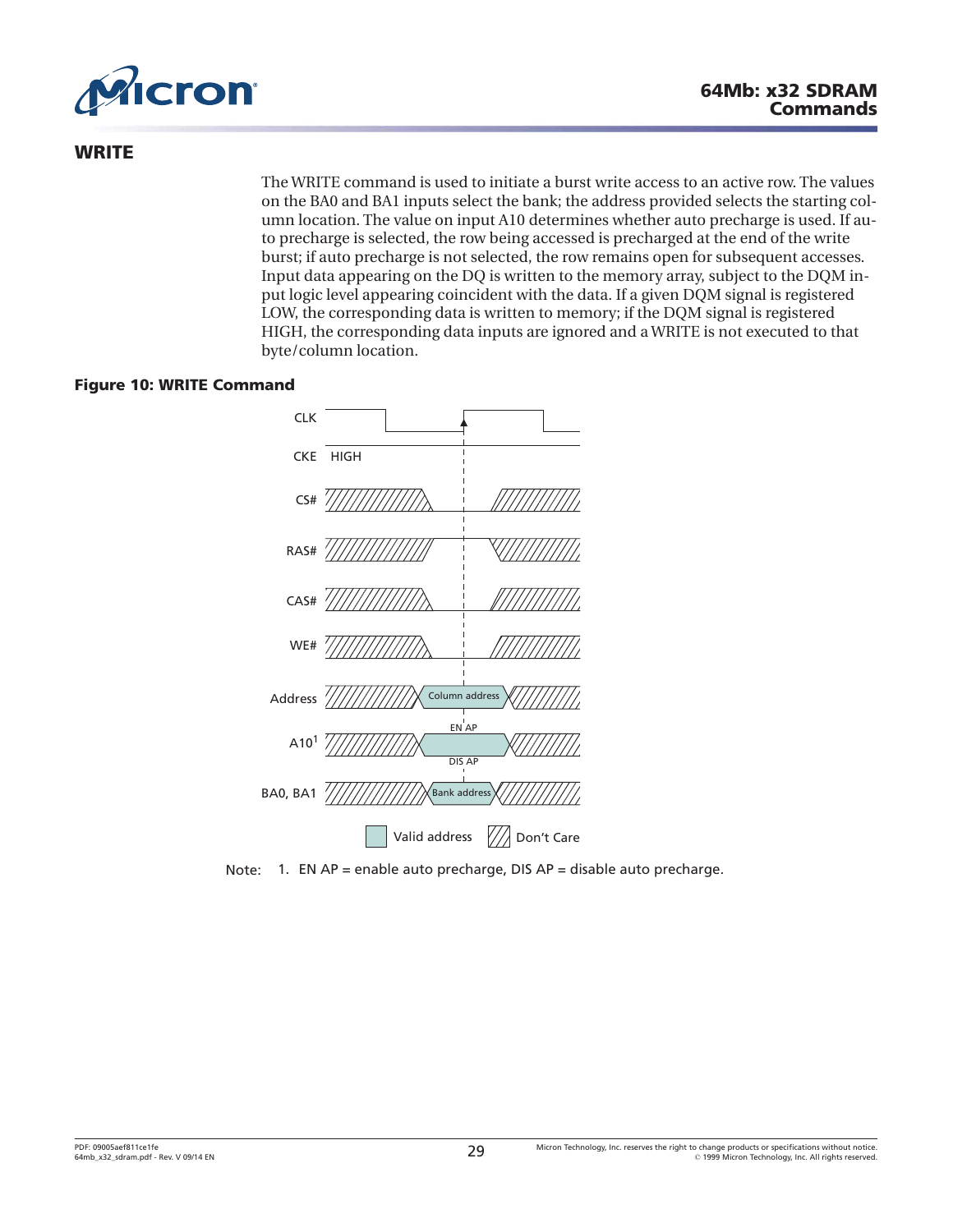<span id="page-28-0"></span>

# **WRITE**

The WRITE command is used to initiate a burst write access to an active row. The values on the BA0 and BA1 inputs select the bank; the address provided selects the starting column location. The value on input A10 determines whether auto precharge is used. If auto precharge is selected, the row being accessed is precharged at the end of the write burst; if auto precharge is not selected, the row remains open for subsequent accesses. Input data appearing on the DQ is written to the memory array, subject to the DQM input logic level appearing coincident with the data. If a given DQM signal is registered LOW, the corresponding data is written to memory; if the DQM signal is registered HIGH, the corresponding data inputs are ignored and a WRITE is not executed to that byte/column location.

### **Figure 10: WRITE Command**



Note: 1. EN AP = enable auto precharge, DIS AP = disable auto precharge.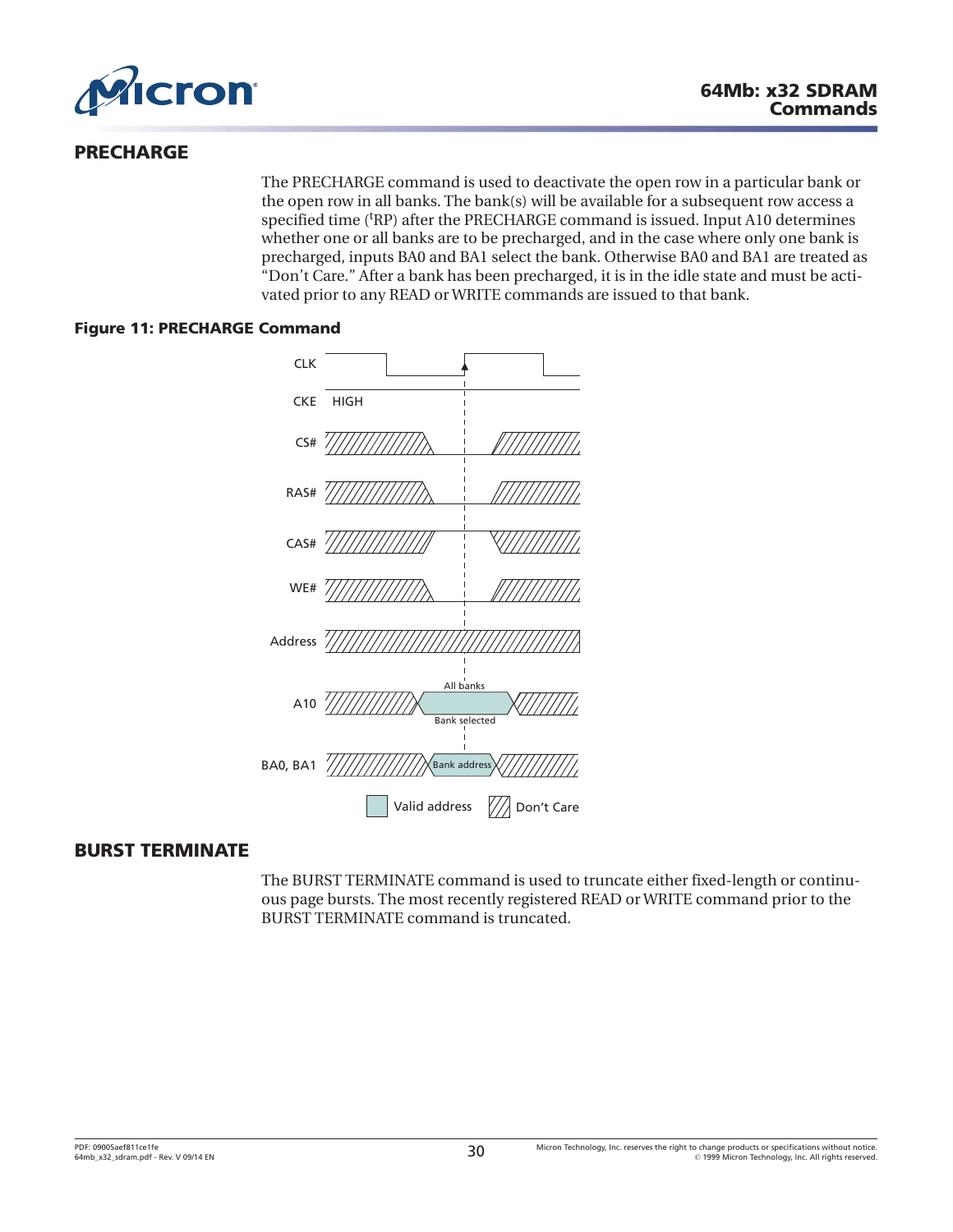<span id="page-29-0"></span>

# **PRECHARGE**

The PRECHARGE command is used to deactivate the open row in a particular bank or the open row in all banks. The bank(s) will be available for a subsequent row access a specified time ('RP) after the PRECHARGE command is issued. Input A10 determines whether one or all banks are to be precharged, and in the case where only one bank is precharged, inputs BA0 and BA1 select the bank. Otherwise BA0 and BA1 are treated as "Don't Care." After a bank has been precharged, it is in the idle state and must be activated prior to any READ or WRITE commands are issued to that bank.

### **Figure 11: PRECHARGE Command**



# **BURST TERMINATE**

The BURST TERMINATE command is used to truncate either fixed-length or continuous page bursts. The most recently registered READ or WRITE command prior to the BURST TERMINATE command is truncated.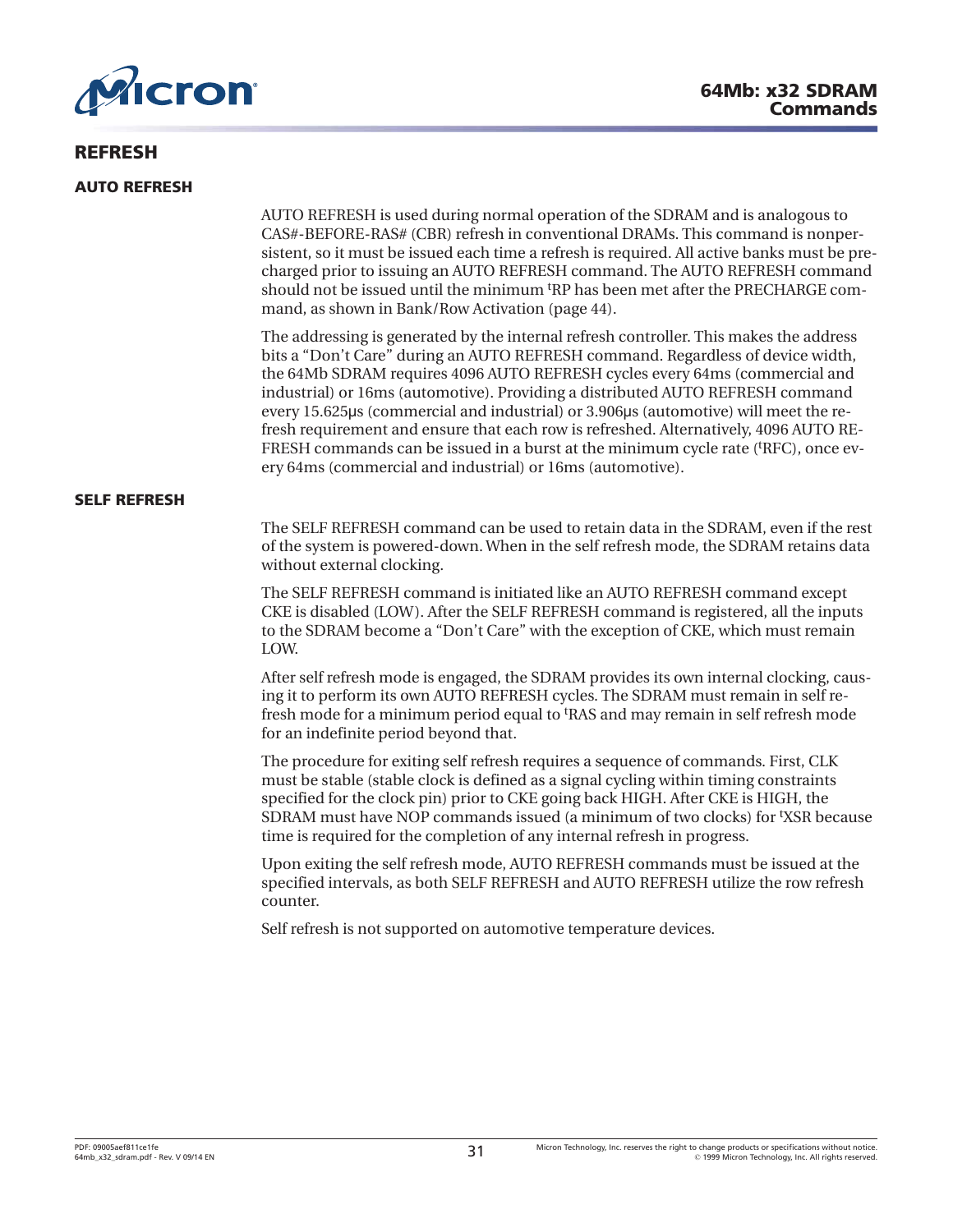<span id="page-30-0"></span>

# **64Mb: x32 SDRAM Commands**

# **REFRESH**

#### **AUTO REFRESH**

AUTO REFRESH is used during normal operation of the SDRAM and is analogous to CAS#-BEFORE-RAS# (CBR) refresh in conventional DRAMs. This command is nonpersistent, so it must be issued each time a refresh is required. All active banks must be precharged prior to issuing an AUTO REFRESH command. The AUTO REFRESH command should not be issued until the minimum <sup>t</sup> RP has been met after the PRECHARGE command, as shown in [Bank/Row Activation](#page-43-0) ([page 44](#page-43-0)).

The addressing is generated by the internal refresh controller. This makes the address bits a "Don't Care" during an AUTO REFRESH command. Regardless of device width, the 64Mb SDRAM requires 4096 AUTO REFRESH cycles every 64ms (commercial and industrial) or 16ms (automotive). Providing a distributed AUTO REFRESH command every 15.625µs (commercial and industrial) or 3.906µs (automotive) will meet the refresh requirement and ensure that each row is refreshed. Alternatively, 4096 AUTO RE-FRESH commands can be issued in a burst at the minimum cycle rate ('RFC), once every 64ms (commercial and industrial) or 16ms (automotive).

#### **SELF REFRESH**

The SELF REFRESH command can be used to retain data in the SDRAM, even if the rest of the system is powered-down. When in the self refresh mode, the SDRAM retains data without external clocking.

The SELF REFRESH command is initiated like an AUTO REFRESH command except CKE is disabled (LOW). After the SELF REFRESH command is registered, all the inputs to the SDRAM become a "Don't Care" with the exception of CKE, which must remain LOW.

After self refresh mode is engaged, the SDRAM provides its own internal clocking, causing it to perform its own AUTO REFRESH cycles. The SDRAM must remain in self refresh mode for a minimum period equal to <sup>t</sup>RAS and may remain in self refresh mode for an indefinite period beyond that.

The procedure for exiting self refresh requires a sequence of commands. First, CLK must be stable (stable clock is defined as a signal cycling within timing constraints specified for the clock pin) prior to CKE going back HIGH. After CKE is HIGH, the SDRAM must have NOP commands issued (a minimum of two clocks) for <sup>t</sup> XSR because time is required for the completion of any internal refresh in progress.

Upon exiting the self refresh mode, AUTO REFRESH commands must be issued at the specified intervals, as both SELF REFRESH and AUTO REFRESH utilize the row refresh counter.

Self refresh is not supported on automotive temperature devices.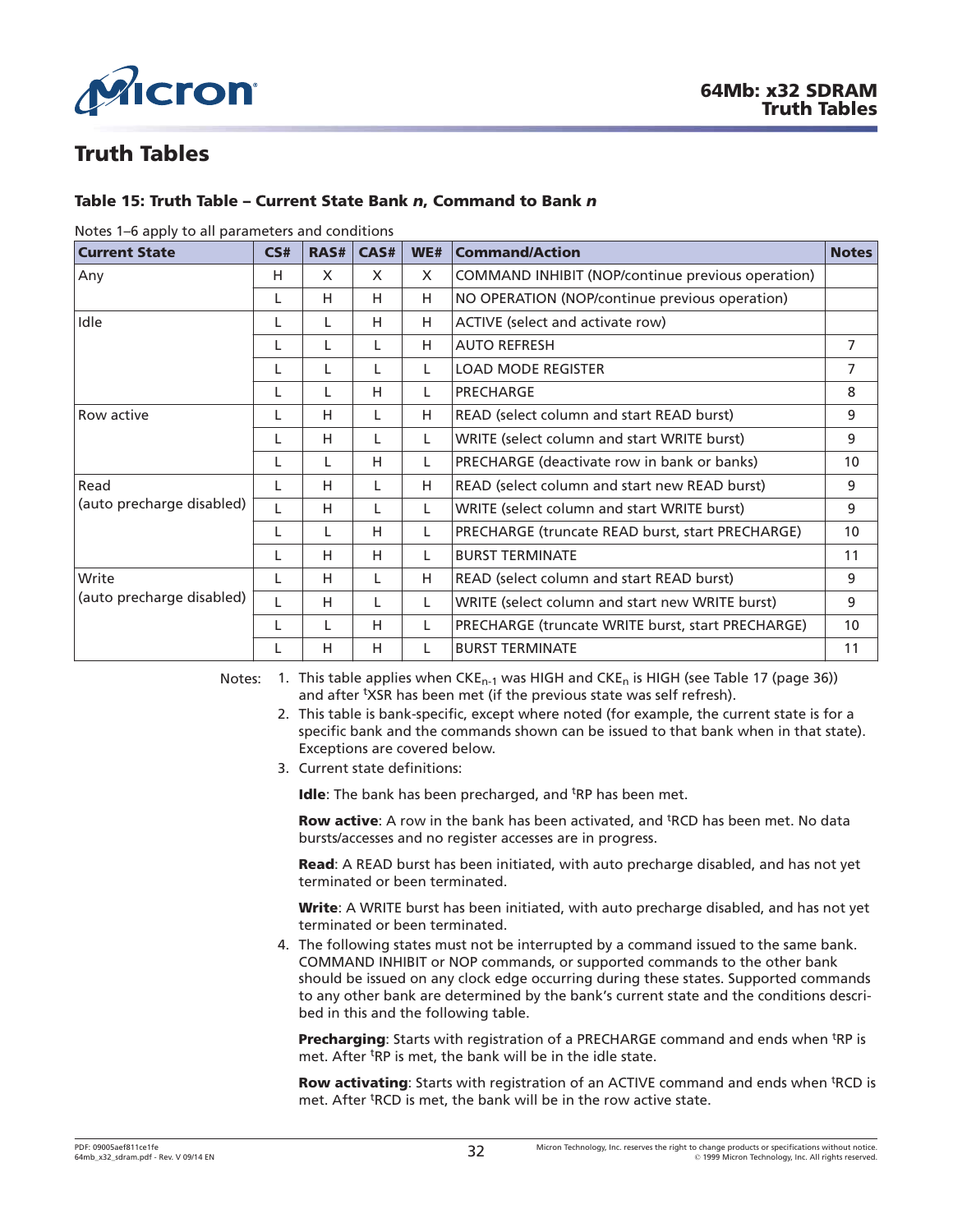<span id="page-31-0"></span>

# **Truth Tables**

### **Table 15: Truth Table – Current State Bank** *n***, Command to Bank** *n*

| <b>Current State</b>      | CS# | RAS# | CAS# | WE# | <b>Command/Action</b>                             | <b>Notes</b>    |
|---------------------------|-----|------|------|-----|---------------------------------------------------|-----------------|
| Any                       | H   | X    | X    | X   | COMMAND INHIBIT (NOP/continue previous operation) |                 |
|                           | L   | н    | H    | H   | NO OPERATION (NOP/continue previous operation)    |                 |
| Idle                      |     | L    | H    | н   | ACTIVE (select and activate row)                  |                 |
|                           |     | L    | L    | H   | <b>AUTO REFRESH</b>                               | 7               |
|                           |     | L    | L    | L   | <b>LOAD MODE REGISTER</b>                         | 7               |
|                           |     | L    | н    | L   | PRECHARGE                                         | 8               |
| <b>Row active</b>         |     | н    | L    | H   | READ (select column and start READ burst)         | 9               |
|                           |     | н    |      | L   | WRITE (select column and start WRITE burst)       | 9               |
|                           |     | L    | H    | L   | PRECHARGE (deactivate row in bank or banks)       | 10 <sup>°</sup> |
| Read                      |     | н    | L    | н   | READ (select column and start new READ burst)     | 9               |
| (auto precharge disabled) |     | н    | L    | L   | WRITE (select column and start WRITE burst)       | 9               |
|                           |     | L    | H    | L   | PRECHARGE (truncate READ burst, start PRECHARGE)  | 10              |
|                           |     | н    | H    | L   | <b>BURST TERMINATE</b>                            | 11              |
| Write                     |     | н    | L    | H   | READ (select column and start READ burst)         | 9               |
| (auto precharge disabled) |     | н    | L    | L   | WRITE (select column and start new WRITE burst)   | 9               |
|                           |     | L    | H    | L   | PRECHARGE (truncate WRITE burst, start PRECHARGE) | 10 <sup>°</sup> |
|                           |     | н    | H    | L   | <b>BURST TERMINATE</b>                            | 11              |

#### Notes 1–6 apply to all parameters and conditions

Notes: 1. This table applies when  $CKE_{n-1}$  was HIGH and  $CKE_n$  is HIGH (see [Table 17 \(page 36\)](#page-35-0)) and after <sup>t</sup>XSR has been met (if the previous state was self refresh).

- 2. This table is bank-specific, except where noted (for example, the current state is for a specific bank and the commands shown can be issued to that bank when in that state). Exceptions are covered below.
- 3. Current state definitions:

Idle: The bank has been precharged, and <sup>t</sup>RP has been met.

Row active: A row in the bank has been activated, and <sup>t</sup>RCD has been met. No data bursts/accesses and no register accesses are in progress.

**Read**: A READ burst has been initiated, with auto precharge disabled, and has not yet terminated or been terminated.

**Write**: A WRITE burst has been initiated, with auto precharge disabled, and has not yet terminated or been terminated.

4. The following states must not be interrupted by a command issued to the same bank. COMMAND INHIBIT or NOP commands, or supported commands to the other bank should be issued on any clock edge occurring during these states. Supported commands to any other bank are determined by the bank's current state and the conditions described in this and the following table.

Precharging: Starts with registration of a PRECHARGE command and ends when <sup>t</sup>RP is met. After <sup>t</sup>RP is met, the bank will be in the idle state.

Row activating: Starts with registration of an ACTIVE command and ends when <sup>t</sup>RCD is met. After <sup>t</sup>RCD is met, the bank will be in the row active state.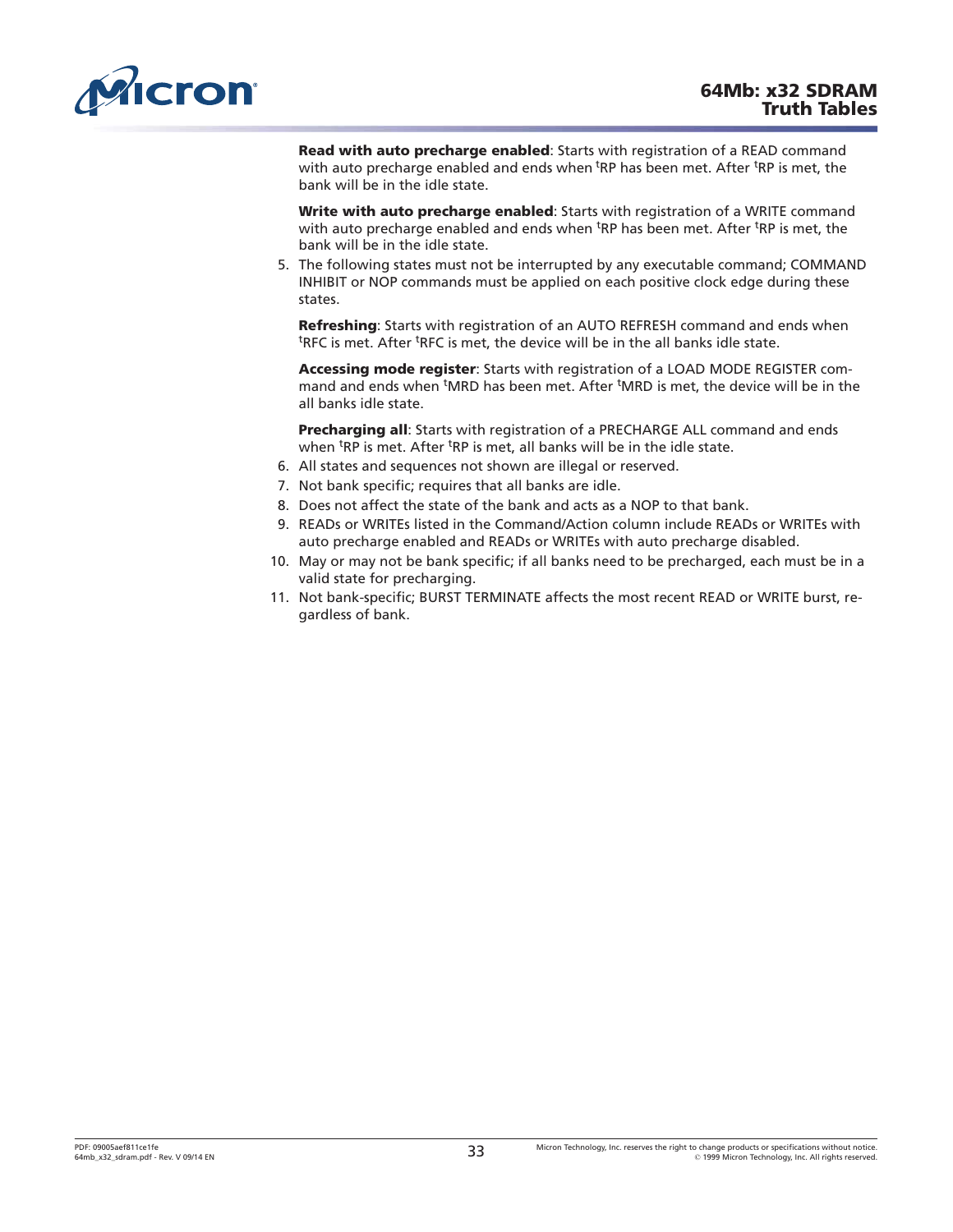<span id="page-32-0"></span>

**Read with auto precharge enabled**: Starts with registration of a READ command with auto precharge enabled and ends when <sup>t</sup>RP has been met. After <sup>t</sup>RP is met, the bank will be in the idle state.

**Write with auto precharge enabled**: Starts with registration of a WRITE command with auto precharge enabled and ends when <sup>t</sup>RP has been met. After <sup>t</sup>RP is met, the bank will be in the idle state.

5. The following states must not be interrupted by any executable command; COMMAND INHIBIT or NOP commands must be applied on each positive clock edge during these states.

**Refreshing**: Starts with registration of an AUTO REFRESH command and ends when <sup>t</sup>RFC is met. After <sup>t</sup>RFC is met, the device will be in the all banks idle state.

**Accessing mode register**: Starts with registration of a LOAD MODE REGISTER command and ends when <sup>t</sup>MRD has been met. After <sup>t</sup>MRD is met, the device will be in the all banks idle state.

**Precharging all**: Starts with registration of a PRECHARGE ALL command and ends when <sup>t</sup>RP is met. After <sup>t</sup>RP is met, all banks will be in the idle state.

- 6. All states and sequences not shown are illegal or reserved.
- 7. Not bank specific; requires that all banks are idle.
- 8. Does not affect the state of the bank and acts as a NOP to that bank.
- 9. READs or WRITEs listed in the Command/Action column include READs or WRITEs with auto precharge enabled and READs or WRITEs with auto precharge disabled.
- 10. May or may not be bank specific; if all banks need to be precharged, each must be in a valid state for precharging.
- 11. Not bank-specific; BURST TERMINATE affects the most recent READ or WRITE burst, regardless of bank.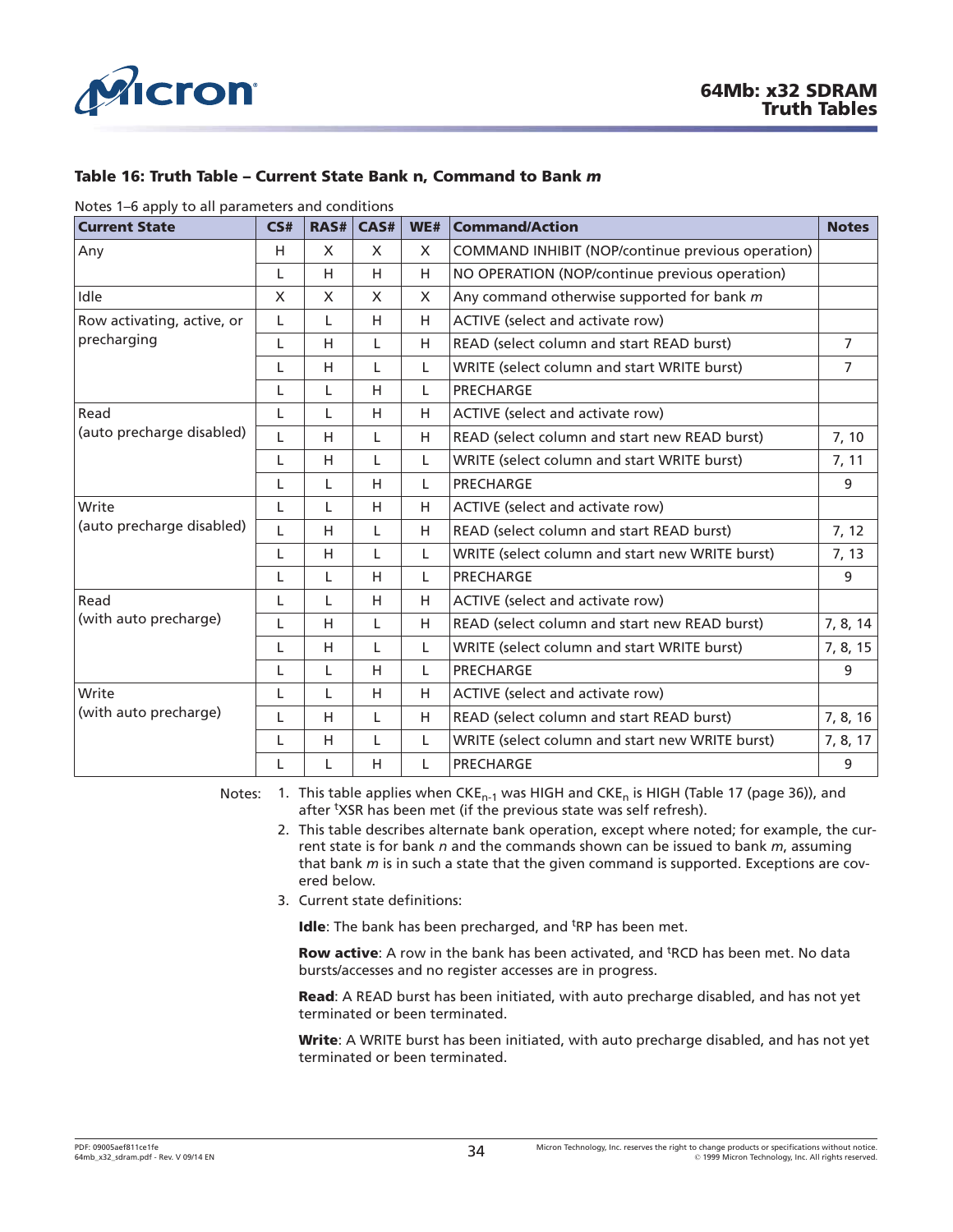<span id="page-33-0"></span>

### **Table 16: Truth Table – Current State Bank n, Command to Bank** *m*

Notes 1–6 apply to all parameters and conditions

| <b>Current State</b>       | CS#      | RAS#         | CAS#         | WE# | <b>Command/Action</b>                             | <b>Notes</b>   |
|----------------------------|----------|--------------|--------------|-----|---------------------------------------------------|----------------|
| Any                        | H        | X            | X            | X   | COMMAND INHIBIT (NOP/continue previous operation) |                |
|                            | L        | H            | H            | H   | NO OPERATION (NOP/continue previous operation)    |                |
| Idle                       | $\times$ | $\mathsf{x}$ | $\mathsf{x}$ | X   | Any command otherwise supported for bank m        |                |
| Row activating, active, or | L        | L            | H            | H   | ACTIVE (select and activate row)                  |                |
| precharging                | L        | H            | L            | H   | READ (select column and start READ burst)         | $\overline{7}$ |
|                            | L        | H            | L            | L   | WRITE (select column and start WRITE burst)       | $\overline{7}$ |
|                            | L        | L            | H            | L   | PRECHARGE                                         |                |
| Read                       | L        | L            | H            | H   | ACTIVE (select and activate row)                  |                |
| (auto precharge disabled)  | L        | H            | L            | H   | READ (select column and start new READ burst)     | 7, 10          |
|                            | L        | H            | L            | L   | WRITE (select column and start WRITE burst)       | 7, 11          |
|                            | L        | L            | H            | L   | PRECHARGE                                         | 9              |
| Write                      | L        | L            | H            | H   | ACTIVE (select and activate row)                  |                |
| (auto precharge disabled)  | L        | H            | L            | H   | READ (select column and start READ burst)         | 7, 12          |
|                            | L        | H            | L            | L   | WRITE (select column and start new WRITE burst)   | 7, 13          |
|                            | L        | L            | H            | L   | PRECHARGE                                         | 9              |
| Read                       | L        | L            | H            | H   | ACTIVE (select and activate row)                  |                |
| (with auto precharge)      | L        | H            | L            | H   | READ (select column and start new READ burst)     | 7, 8, 14       |
|                            | L        | H            | L            | L   | WRITE (select column and start WRITE burst)       | 7, 8, 15       |
|                            | L        | L            | H            | L   | PRECHARGE                                         | 9              |
| Write                      | L        | L            | H            | H   | ACTIVE (select and activate row)                  |                |
| (with auto precharge)      | L        | H            | L            | H   | READ (select column and start READ burst)         | 7, 8, 16       |
|                            | L        | H            | L            | L   | WRITE (select column and start new WRITE burst)   | 7, 8, 17       |
|                            | L        | L            | H            | L   | PRECHARGE                                         | 9              |

Notes: 1. This table applies when CKE<sub>n-1</sub> was HIGH and CKE<sub>n</sub> is HIGH ([Table 17 \(page 36\)](#page-35-0)), and after <sup>t</sup>XSR has been met (if the previous state was self refresh).

- 2. This table describes alternate bank operation, except where noted; for example, the current state is for bank *n* and the commands shown can be issued to bank *m*, assuming that bank *m* is in such a state that the given command is supported. Exceptions are covered below.
- 3. Current state definitions:

Idle: The bank has been precharged, and <sup>t</sup>RP has been met.

Row active: A row in the bank has been activated, and <sup>t</sup>RCD has been met. No data bursts/accesses and no register accesses are in progress.

**Read**: A READ burst has been initiated, with auto precharge disabled, and has not yet terminated or been terminated.

**Write**: A WRITE burst has been initiated, with auto precharge disabled, and has not yet terminated or been terminated.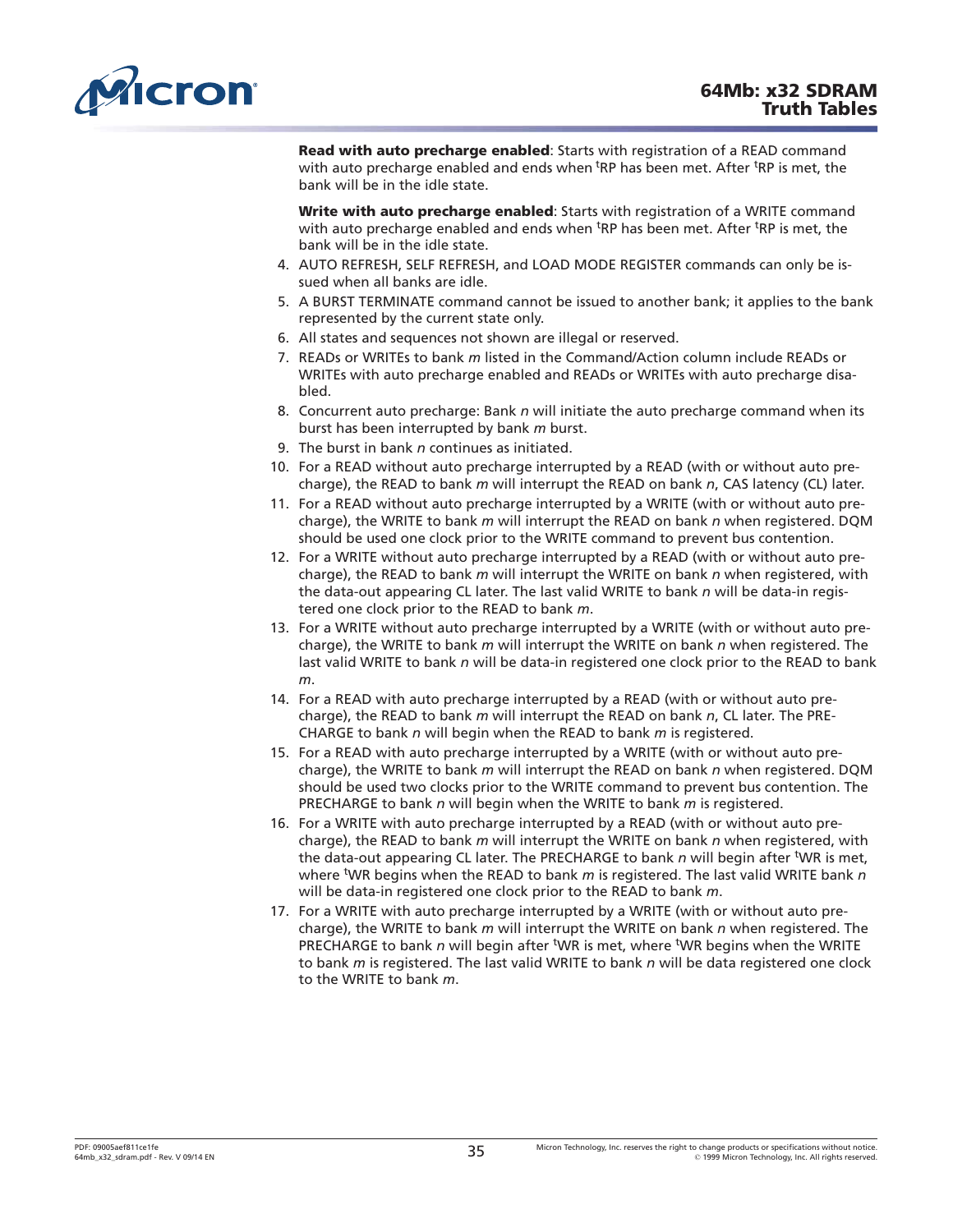<span id="page-34-0"></span>

**Read with auto precharge enabled**: Starts with registration of a READ command with auto precharge enabled and ends when <sup>t</sup>RP has been met. After <sup>t</sup>RP is met, the bank will be in the idle state.

**Write with auto precharge enabled**: Starts with registration of a WRITE command with auto precharge enabled and ends when <sup>t</sup>RP has been met. After <sup>t</sup>RP is met, the bank will be in the idle state.

- 4. AUTO REFRESH, SELF REFRESH, and LOAD MODE REGISTER commands can only be issued when all banks are idle.
- 5. A BURST TERMINATE command cannot be issued to another bank; it applies to the bank represented by the current state only.
- 6. All states and sequences not shown are illegal or reserved.
- 7. READs or WRITEs to bank *m* listed in the Command/Action column include READs or WRITEs with auto precharge enabled and READs or WRITEs with auto precharge disabled.
- 8. Concurrent auto precharge: Bank *n* will initiate the auto precharge command when its burst has been interrupted by bank *m* burst.
- 9. The burst in bank *n* continues as initiated.
- 10. For a READ without auto precharge interrupted by a READ (with or without auto precharge), the READ to bank *m* will interrupt the READ on bank *n*, CAS latency (CL) later.
- 11. For a READ without auto precharge interrupted by a WRITE (with or without auto precharge), the WRITE to bank *m* will interrupt the READ on bank *n* when registered. DQM should be used one clock prior to the WRITE command to prevent bus contention.
- 12. For a WRITE without auto precharge interrupted by a READ (with or without auto precharge), the READ to bank *m* will interrupt the WRITE on bank *n* when registered, with the data-out appearing CL later. The last valid WRITE to bank *n* will be data-in registered one clock prior to the READ to bank *m*.
- 13. For a WRITE without auto precharge interrupted by a WRITE (with or without auto precharge), the WRITE to bank *m* will interrupt the WRITE on bank *n* when registered. The last valid WRITE to bank *n* will be data-in registered one clock prior to the READ to bank *m*.
- 14. For a READ with auto precharge interrupted by a READ (with or without auto precharge), the READ to bank *m* will interrupt the READ on bank *n*, CL later. The PRE-CHARGE to bank *n* will begin when the READ to bank *m* is registered.
- 15. For a READ with auto precharge interrupted by a WRITE (with or without auto precharge), the WRITE to bank *m* will interrupt the READ on bank *n* when registered. DQM should be used two clocks prior to the WRITE command to prevent bus contention. The PRECHARGE to bank *n* will begin when the WRITE to bank *m* is registered.
- 16. For a WRITE with auto precharge interrupted by a READ (with or without auto precharge), the READ to bank *m* will interrupt the WRITE on bank *n* when registered, with the data-out appearing CL later. The PRECHARGE to bank *n* will begin after <sup>t</sup>WR is met, where t WR begins when the READ to bank *m* is registered. The last valid WRITE bank *n* will be data-in registered one clock prior to the READ to bank *m*.
- 17. For a WRITE with auto precharge interrupted by a WRITE (with or without auto precharge), the WRITE to bank *m* will interrupt the WRITE on bank *n* when registered. The PRECHARGE to bank n will begin after <sup>t</sup>WR is met, where <sup>t</sup>WR begins when the WRITE to bank *m* is registered. The last valid WRITE to bank *n* will be data registered one clock to the WRITE to bank *m*.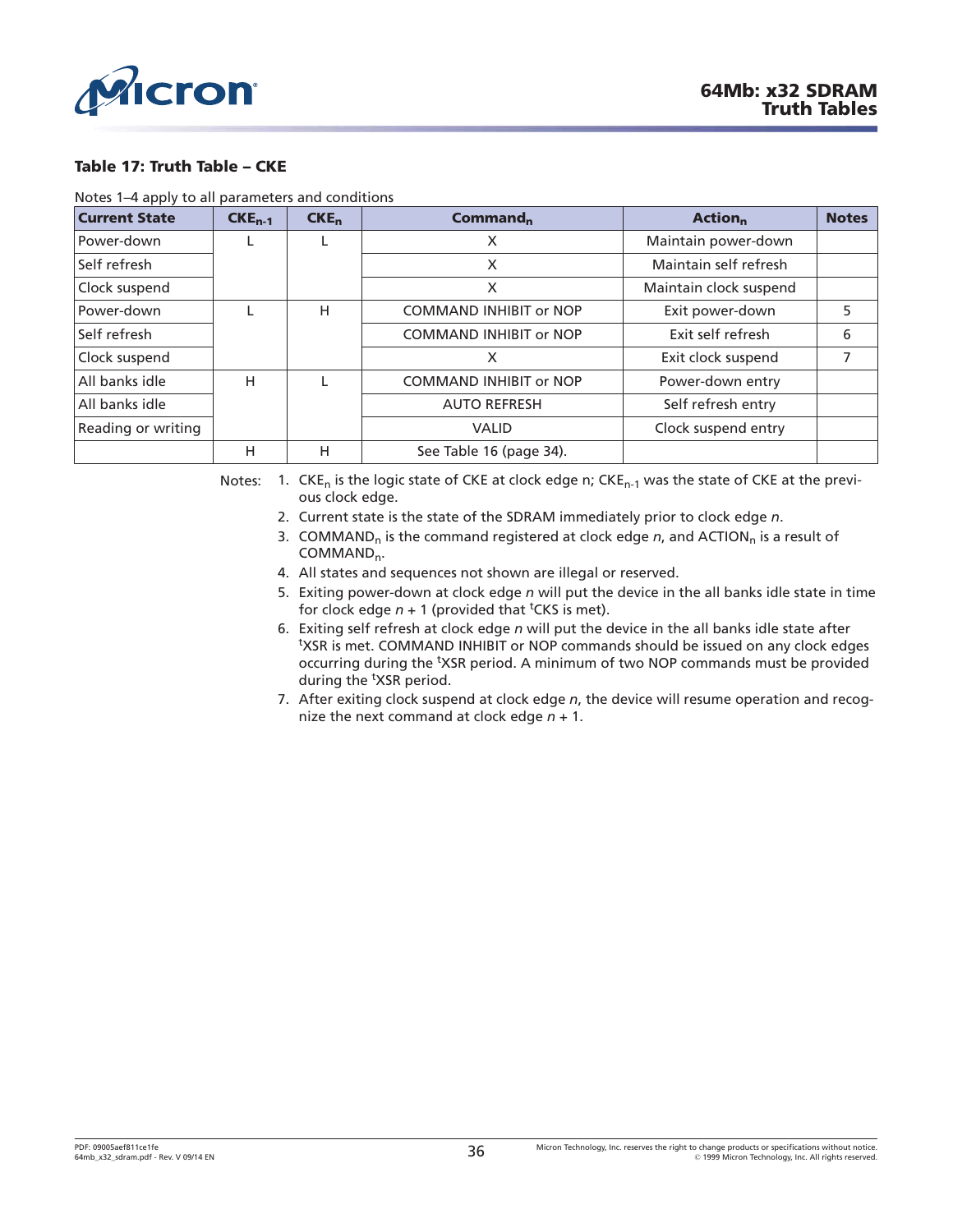<span id="page-35-0"></span>

#### **Table 17: Truth Table – CKE**

Notes 1–4 apply to all parameters and conditions

| <b>Current State</b> | $CKE_{n-1}$ | CKE <sub>n</sub> | Commonmod <sub>n</sub>        | <b>Action</b> <sub>n</sub> | <b>Notes</b> |
|----------------------|-------------|------------------|-------------------------------|----------------------------|--------------|
| Power-down           | L.          |                  | X                             | Maintain power-down        |              |
| Self refresh         |             |                  | X                             | Maintain self refresh      |              |
| Clock suspend        |             |                  | X                             | Maintain clock suspend     |              |
| Power-down           |             | н                | <b>COMMAND INHIBIT or NOP</b> | Exit power-down            | 5            |
| Self refresh         |             |                  | <b>COMMAND INHIBIT or NOP</b> | Exit self refresh          | 6            |
| Clock suspend        |             |                  | X                             | Exit clock suspend         |              |
| All banks idle       | н           |                  | <b>COMMAND INHIBIT or NOP</b> | Power-down entry           |              |
| All banks idle       |             |                  | <b>AUTO REFRESH</b>           | Self refresh entry         |              |
| Reading or writing   |             |                  | <b>VALID</b>                  | Clock suspend entry        |              |
|                      | н           | н                | See Table 16 (page 34).       |                            |              |

Notes: 1.  $CKE_n$  is the logic state of CKE at clock edge n;  $CKE_{n-1}$  was the state of CKE at the previous clock edge.

- 2. Current state is the state of the SDRAM immediately prior to clock edge *n*.
- 3. COMMAND<sub>n</sub> is the command registered at clock edge *n*, and ACTION<sub>n</sub> is a result of COMMAND<sub>n</sub>.
- 4. All states and sequences not shown are illegal or reserved.
- 5. Exiting power-down at clock edge *n* will put the device in the all banks idle state in time for clock edge  $n + 1$  (provided that <sup>t</sup>CKS is met).
- 6. Exiting self refresh at clock edge *n* will put the device in the all banks idle state after <sup>t</sup>XSR is met. COMMAND INHIBIT or NOP commands should be issued on any clock edges occurring during the <sup>t</sup>XSR period. A minimum of two NOP commands must be provided during the <sup>t</sup>XSR period.
- 7. After exiting clock suspend at clock edge *n*, the device will resume operation and recognize the next command at clock edge *n* + 1.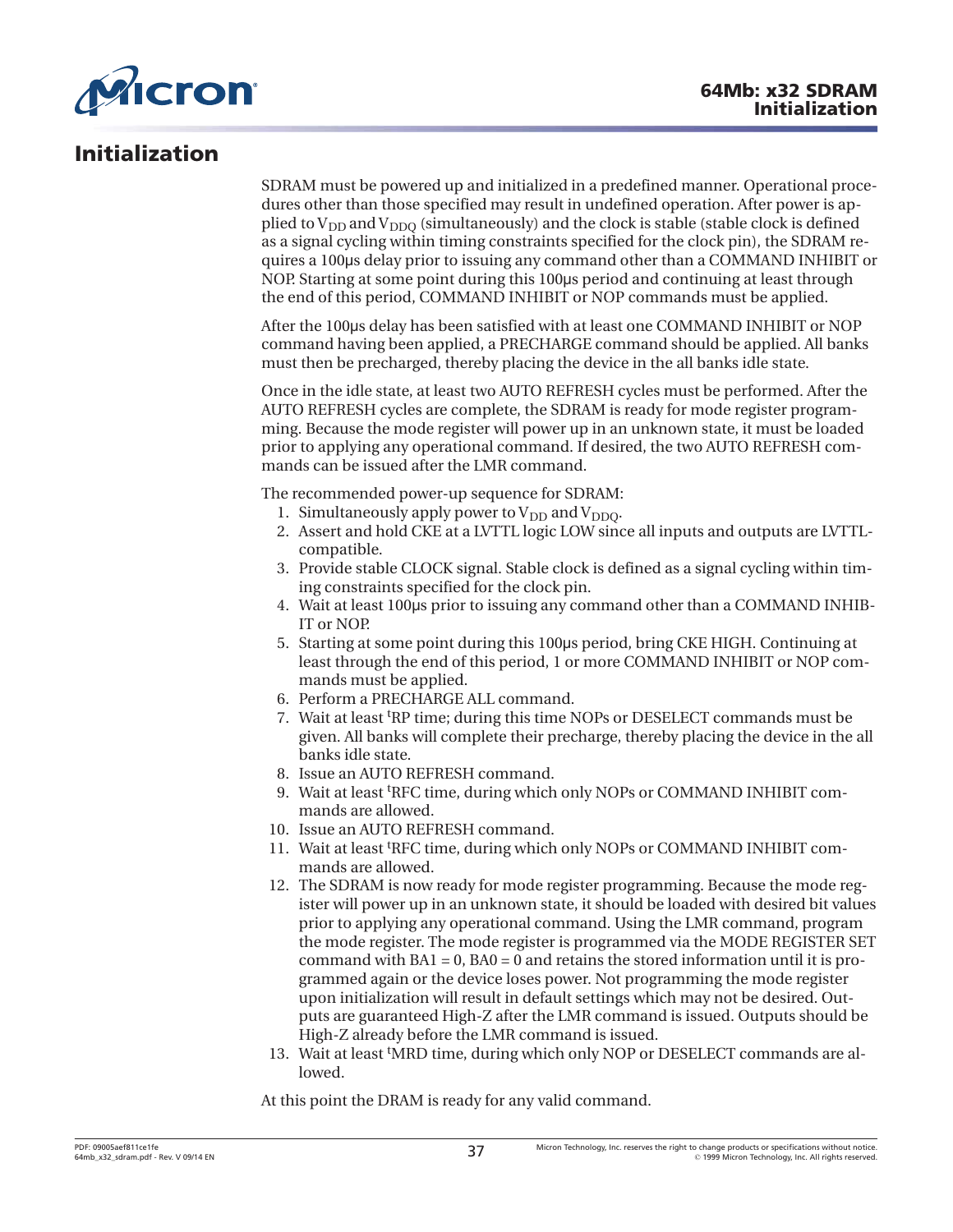

# **Initialization**

SDRAM must be powered up and initialized in a predefined manner. Operational procedures other than those specified may result in undefined operation. After power is applied to  $V_{DD}$  and  $V_{DDO}$  (simultaneously) and the clock is stable (stable clock is defined as a signal cycling within timing constraints specified for the clock pin), the SDRAM requires a 100˩s delay prior to issuing any command other than a COMMAND INHIBIT or NOP. Starting at some point during this 100µs period and continuing at least through the end of this period, COMMAND INHIBIT or NOP commands must be applied.

After the 100˩s delay has been satisfied with at least one COMMAND INHIBIT or NOP command having been applied, a PRECHARGE command should be applied. All banks must then be precharged, thereby placing the device in the all banks idle state.

Once in the idle state, at least two AUTO REFRESH cycles must be performed. After the AUTO REFRESH cycles are complete, the SDRAM is ready for mode register programming. Because the mode register will power up in an unknown state, it must be loaded prior to applying any operational command. If desired, the two AUTO REFRESH commands can be issued after the LMR command.

The recommended power-up sequence for SDRAM:

- 1. Simultaneously apply power to  $V_{DD}$  and  $V_{DDO}$ .
- 2. Assert and hold CKE at a LVTTL logic LOW since all inputs and outputs are LVTTLcompatible.
- 3. Provide stable CLOCK signal. Stable clock is defined as a signal cycling within timing constraints specified for the clock pin.
- 4. Wait at least 100˩s prior to issuing any command other than a COMMAND INHIB-IT or NOP.
- 5. Starting at some point during this 100µs period, bring CKE HIGH. Continuing at least through the end of this period, 1 or more COMMAND INHIBIT or NOP commands must be applied.
- 6. Perform a PRECHARGE ALL command.
- 7. Wait at least t RP time; during this time NOPs or DESELECT commands must be given. All banks will complete their precharge, thereby placing the device in the all banks idle state.
- 8. Issue an AUTO REFRESH command.
- 9. Wait at least t RFC time, during which only NOPs or COMMAND INHIBIT commands are allowed.
- 10. Issue an AUTO REFRESH command.
- 11. Wait at least <sup>t</sup> RFC time, during which only NOPs or COMMAND INHIBIT commands are allowed.
- 12. The SDRAM is now ready for mode register programming. Because the mode register will power up in an unknown state, it should be loaded with desired bit values prior to applying any operational command. Using the LMR command, program the mode register. The mode register is programmed via the MODE REGISTER SET command with  $BA1 = 0$ ,  $BA0 = 0$  and retains the stored information until it is programmed again or the device loses power. Not programming the mode register upon initialization will result in default settings which may not be desired. Outputs are guaranteed High-Z after the LMR command is issued. Outputs should be High-Z already before the LMR command is issued.
- 13. Wait at least 'MRD time, during which only NOP or DESELECT commands are allowed.

At this point the DRAM is ready for any valid command.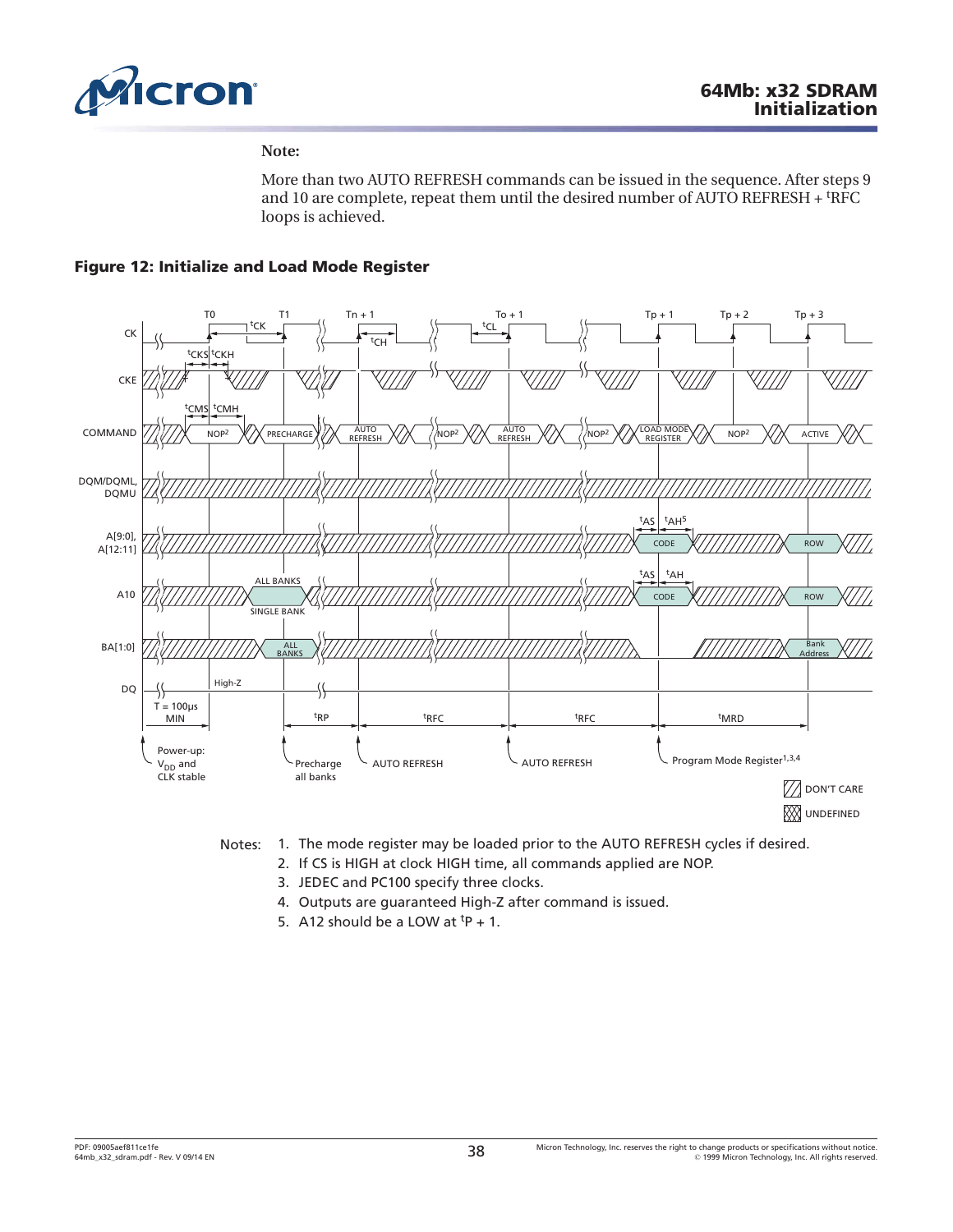

### **Note:**

More than two AUTO REFRESH commands can be issued in the sequence. After steps 9 and 10 are complete, repeat them until the desired number of AUTO REFRESH + <sup>t</sup>RFC loops is achieved.

# **Figure 12: Initialize and Load Mode Register**



- Notes: 1. The mode register may be loaded prior to the AUTO REFRESH cycles if desired.
	- 2. If CS is HIGH at clock HIGH time, all commands applied are NOP.
	- 3. JEDEC and PC100 specify three clocks.
	- 4. Outputs are guaranteed High-Z after command is issued.
	- 5. A12 should be a LOW at  $tp + 1$ .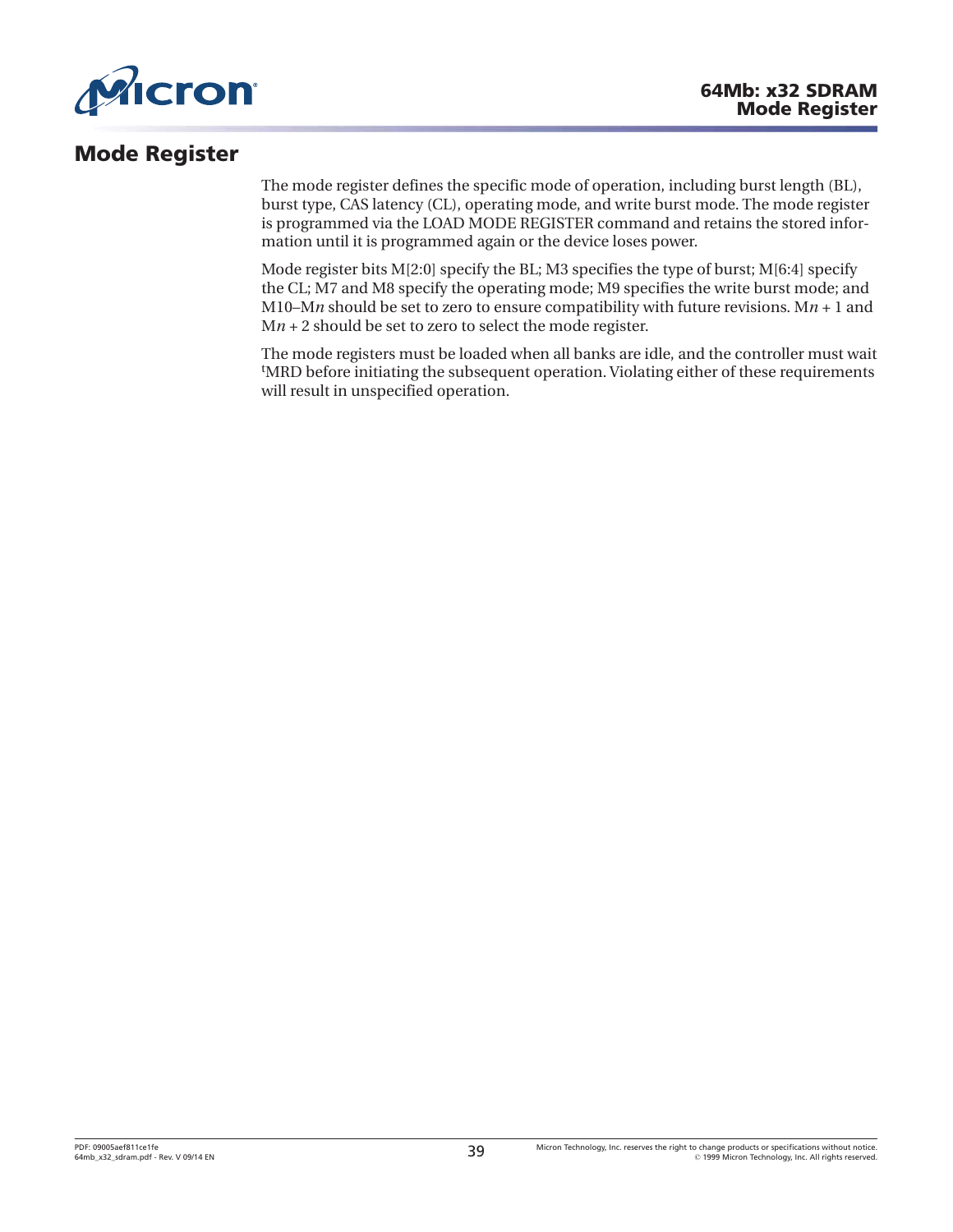

# **Mode Register**

The mode register defines the specific mode of operation, including burst length (BL), burst type, CAS latency (CL), operating mode, and write burst mode. The mode register is programmed via the LOAD MODE REGISTER command and retains the stored information until it is programmed again or the device loses power.

Mode register bits  $M[2:0]$  specify the BL; M3 specifies the type of burst;  $M[6:4]$  specify the CL; M7 and M8 specify the operating mode; M9 specifies the write burst mode; and M10–M*n* should be set to zero to ensure compatibility with future revisions. M $n + 1$  and M*n* + 2 should be set to zero to select the mode register.

The mode registers must be loaded when all banks are idle, and the controller must wait t MRD before initiating the subsequent operation. Violating either of these requirements will result in unspecified operation.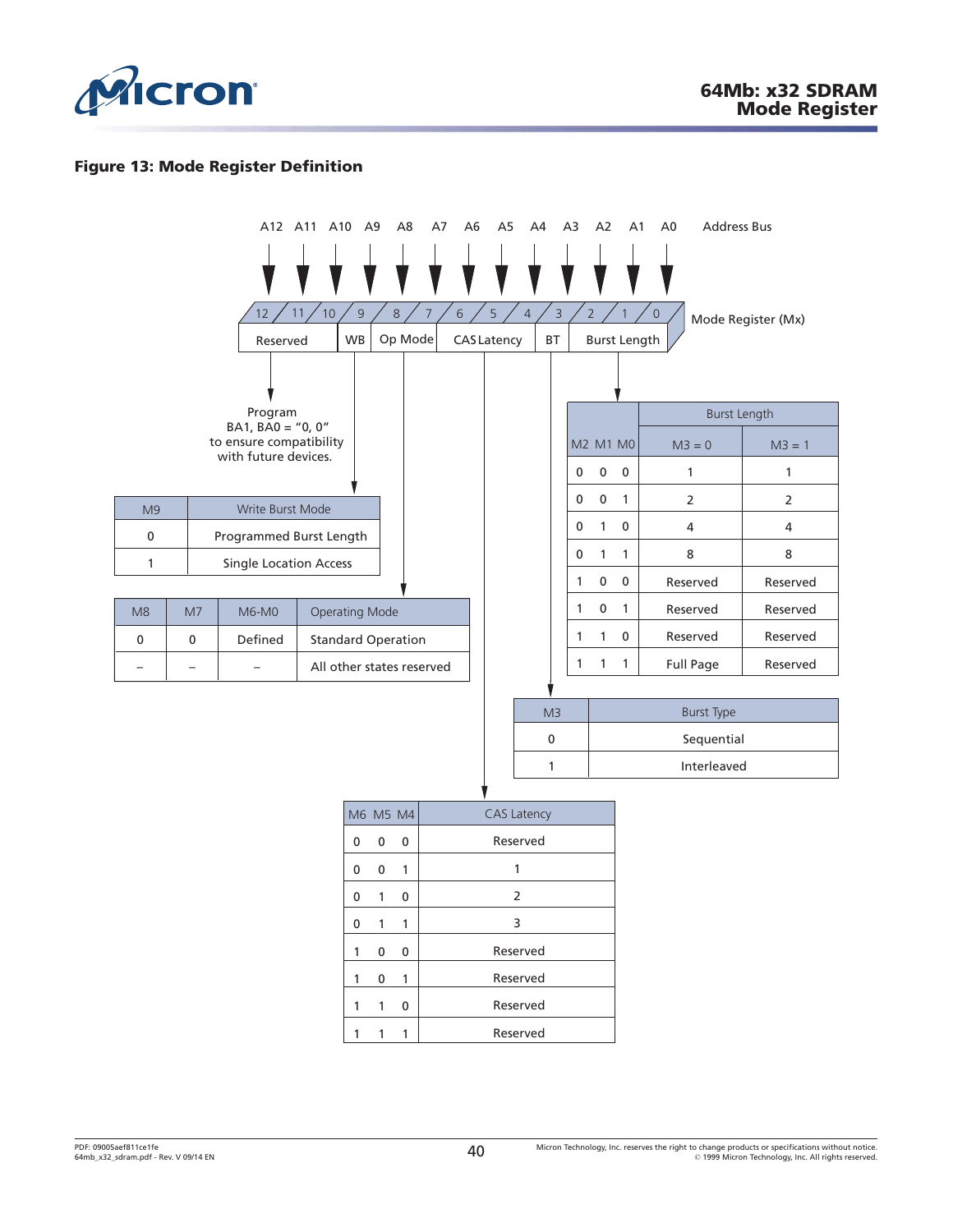

# **Figure 13: Mode Register Definition**

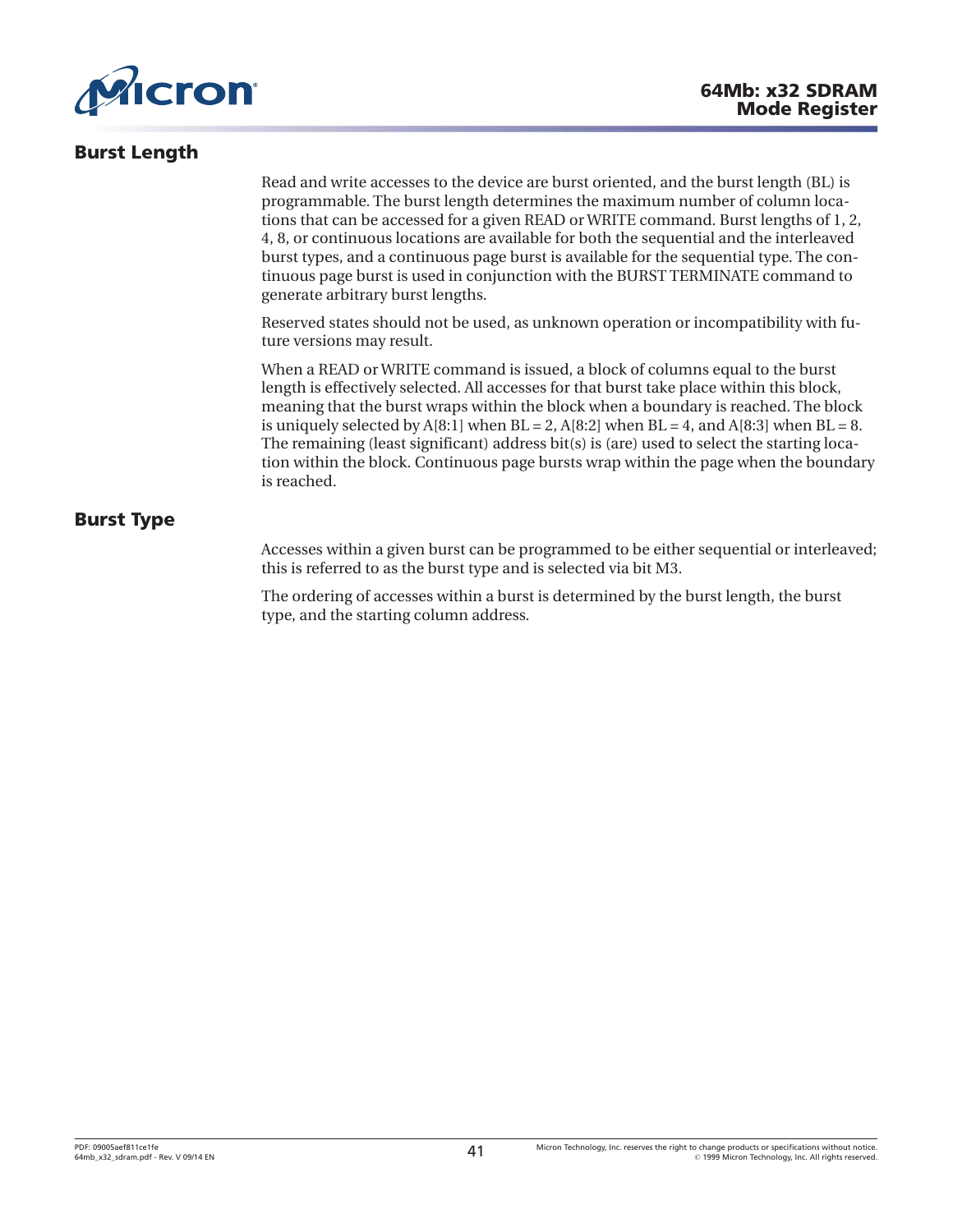<span id="page-40-0"></span>

# **Burst Length**

Read and write accesses to the device are burst oriented, and the burst length (BL) is programmable. The burst length determines the maximum number of column locations that can be accessed for a given READ or WRITE command. Burst lengths of 1, 2, 4, 8, or continuous locations are available for both the sequential and the interleaved burst types, and a continuous page burst is available for the sequential type. The continuous page burst is used in conjunction with the BURST TERMINATE command to generate arbitrary burst lengths.

Reserved states should not be used, as unknown operation or incompatibility with future versions may result.

When a READ or WRITE command is issued, a block of columns equal to the burst length is effectively selected. All accesses for that burst take place within this block, meaning that the burst wraps within the block when a boundary is reached. The block is uniquely selected by  $A[8:1]$  when  $BL = 2$ ,  $A[8:2]$  when  $BL = 4$ , and  $A[8:3]$  when  $BL = 8$ . The remaining (least significant) address bit(s) is (are) used to select the starting location within the block. Continuous page bursts wrap within the page when the boundary is reached.

# **Burst Type**

Accesses within a given burst can be programmed to be either sequential or interleaved; this is referred to as the burst type and is selected via bit M3.

The ordering of accesses within a burst is determined by the burst length, the burst type, and the starting column address.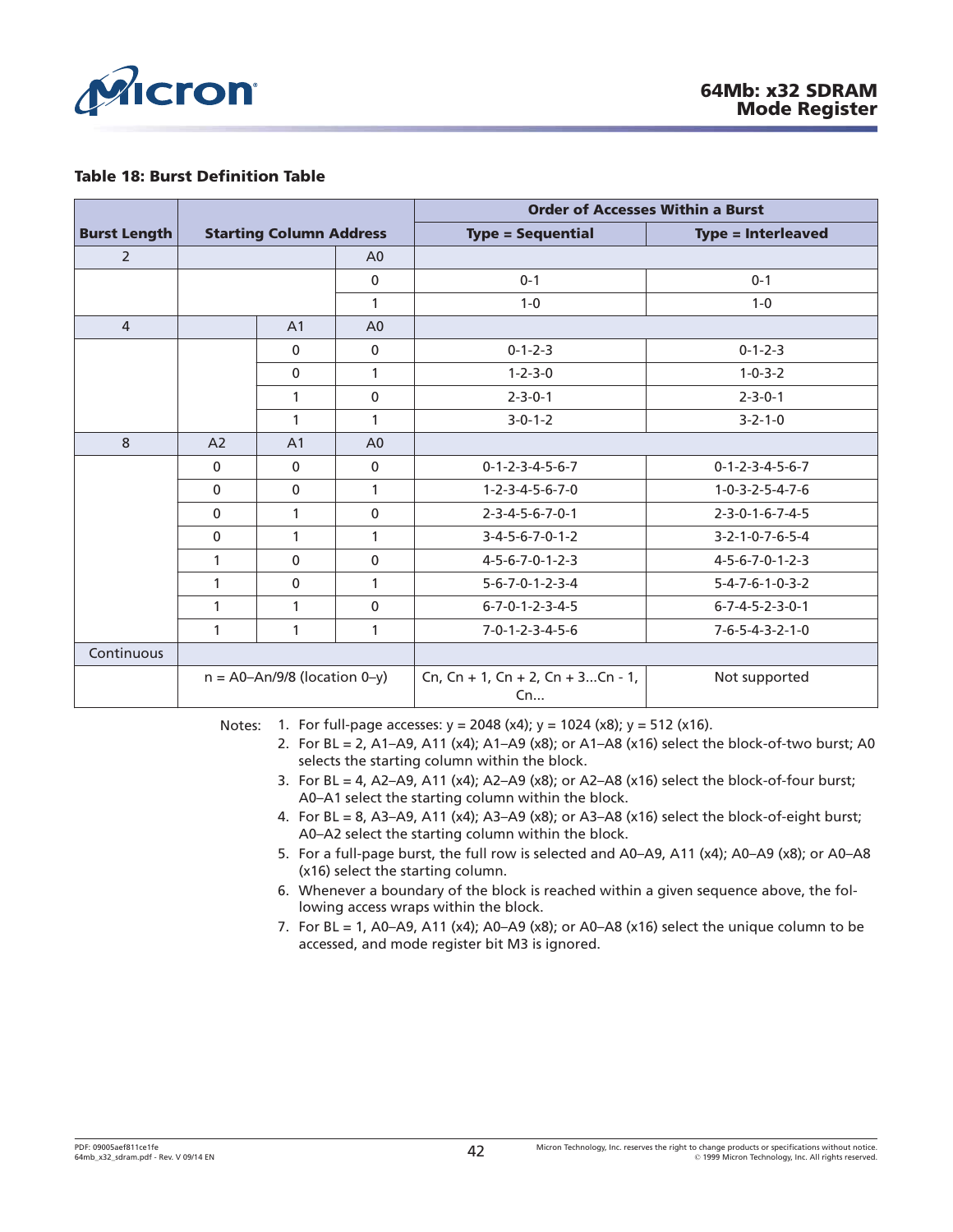

#### **Table 18: Burst Definition Table**

|                     | <b>Starting Column Address</b>   |                |                | <b>Order of Accesses Within a Burst</b> |                                 |
|---------------------|----------------------------------|----------------|----------------|-----------------------------------------|---------------------------------|
| <b>Burst Length</b> |                                  |                |                | <b>Type = Sequential</b>                | <b>Type = Interleaved</b>       |
| $\overline{2}$      |                                  |                | A <sub>0</sub> |                                         |                                 |
|                     |                                  |                | $\mathbf{0}$   | $0 - 1$                                 | $0 - 1$                         |
|                     |                                  |                | 1              | $1 - 0$                                 | $1 - 0$                         |
| $\overline{4}$      |                                  | A <sub>1</sub> | A <sub>0</sub> |                                         |                                 |
|                     |                                  | $\mathbf{0}$   | $\mathbf 0$    | $0 - 1 - 2 - 3$                         | $0 - 1 - 2 - 3$                 |
|                     |                                  | $\mathbf{0}$   | $\mathbf{1}$   | $1 - 2 - 3 - 0$                         | $1 - 0 - 3 - 2$                 |
|                     |                                  | 1              | $\mathbf{0}$   | $2 - 3 - 0 - 1$                         | $2 - 3 - 0 - 1$                 |
|                     |                                  | 1              | 1              | $3 - 0 - 1 - 2$                         | $3 - 2 - 1 - 0$                 |
| 8                   | A <sub>2</sub>                   | A <sub>1</sub> | A <sub>0</sub> |                                         |                                 |
|                     | $\Omega$                         | $\Omega$       | $\mathbf{0}$   | $0 - 1 - 2 - 3 - 4 - 5 - 6 - 7$         | $0 - 1 - 2 - 3 - 4 - 5 - 6 - 7$ |
|                     | $\mathbf{0}$                     | $\mathbf{0}$   | $\mathbf{1}$   | $1 - 2 - 3 - 4 - 5 - 6 - 7 - 0$         | $1 - 0 - 3 - 2 - 5 - 4 - 7 - 6$ |
|                     | $\mathbf{0}$                     | 1              | $\mathbf 0$    | $2 - 3 - 4 - 5 - 6 - 7 - 0 - 1$         | $2 - 3 - 0 - 1 - 6 - 7 - 4 - 5$ |
|                     | $\mathbf{0}$                     | 1              | 1              | $3 - 4 - 5 - 6 - 7 - 0 - 1 - 2$         | $3 - 2 - 1 - 0 - 7 - 6 - 5 - 4$ |
|                     | 1                                | $\Omega$       | $\mathbf{0}$   | 4-5-6-7-0-1-2-3                         | 4-5-6-7-0-1-2-3                 |
|                     | 1                                | $\mathbf{0}$   | 1              | $5 - 6 - 7 - 0 - 1 - 2 - 3 - 4$         | $5 - 4 - 7 - 6 - 1 - 0 - 3 - 2$ |
|                     | 1                                | 1              | $\mathbf 0$    | $6 - 7 - 0 - 1 - 2 - 3 - 4 - 5$         | $6 - 7 - 4 - 5 - 2 - 3 - 0 - 1$ |
|                     | 1                                | 1              | 1              | $7 - 0 - 1 - 2 - 3 - 4 - 5 - 6$         | $7 - 6 - 5 - 4 - 3 - 2 - 1 - 0$ |
| Continuous          |                                  |                |                |                                         |                                 |
|                     | $n = A0 - An/9/8$ (location 0-y) |                |                | Cn, Cn + 1, Cn + 2, Cn + 3Cn - 1,<br>Cn | Not supported                   |

Notes: 1. For full-page accesses:  $y = 2048$  (x4);  $y = 1024$  (x8);  $y = 512$  (x16).

- 2. For BL = 2, A1–A9, A11 (x4); A1–A9 (x8); or A1–A8 (x16) select the block-of-two burst; A0 selects the starting column within the block.
- 3. For BL = 4, A2-A9, A11 (x4); A2-A9 (x8); or A2-A8 (x16) select the block-of-four burst; A0–A1 select the starting column within the block.
- 4. For BL = 8, A3–A9, A11 (x4); A3–A9 (x8); or A3–A8 (x16) select the block-of-eight burst; A0–A2 select the starting column within the block.
- 5. For a full-page burst, the full row is selected and A0–A9, A11 (x4); A0–A9 (x8); or A0–A8 (x16) select the starting column.
- 6. Whenever a boundary of the block is reached within a given sequence above, the following access wraps within the block.
- 7. For BL = 1, A0–A9, A11 (x4); A0–A9 (x8); or A0–A8 (x16) select the unique column to be accessed, and mode register bit M3 is ignored.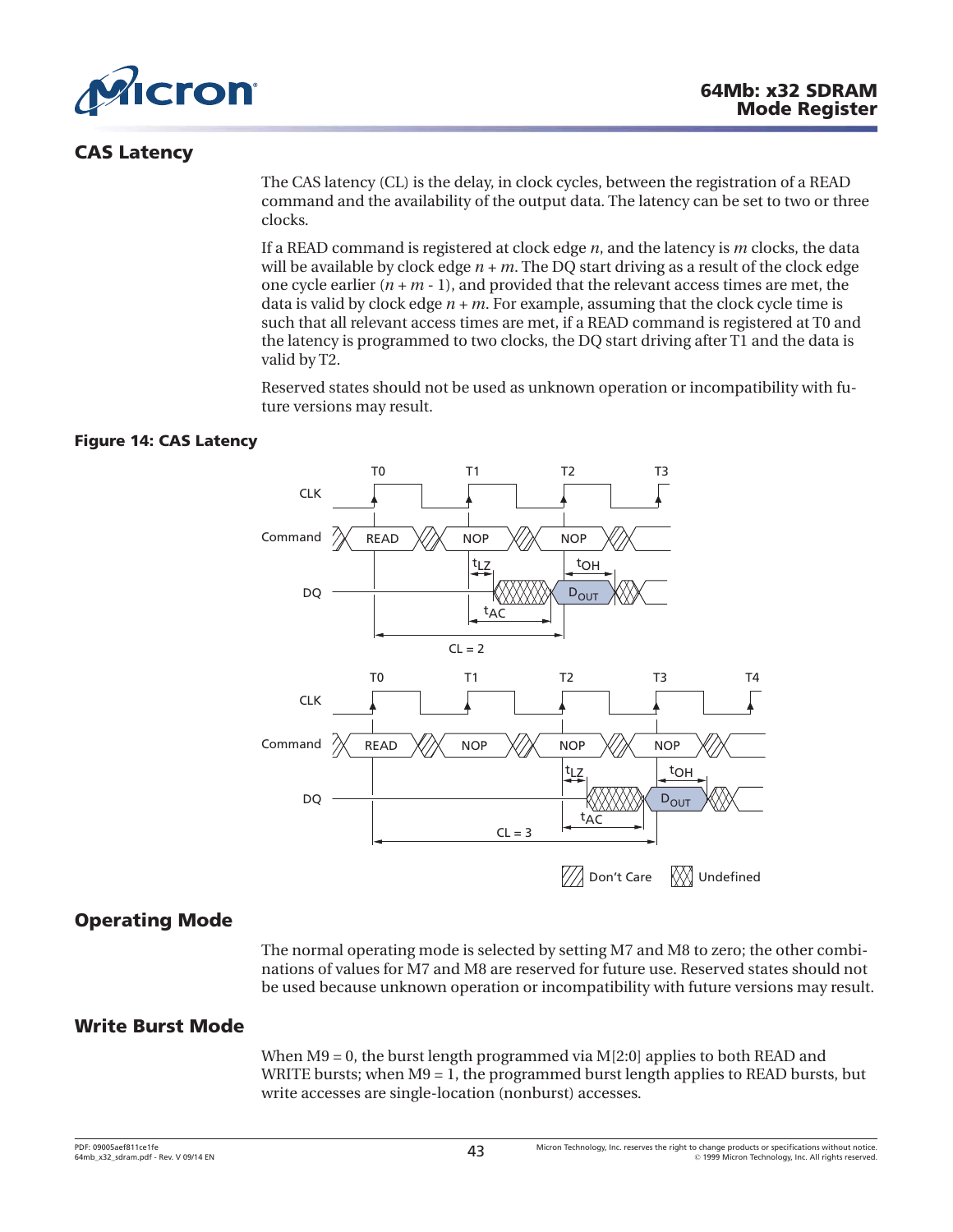

# **CAS Latency**

The CAS latency (CL) is the delay, in clock cycles, between the registration of a READ command and the availability of the output data. The latency can be set to two or three clocks.

If a READ command is registered at clock edge *n*, and the latency is *m* clocks, the data will be available by clock edge *n + m*. The DQ start driving as a result of the clock edge one cycle earlier  $(n + m - 1)$ , and provided that the relevant access times are met, the data is valid by clock edge *n + m*. For example, assuming that the clock cycle time is such that all relevant access times are met, if a READ command is registered at T0 and the latency is programmed to two clocks, the DQ start driving after T1 and the data is valid by T2.

Reserved states should not be used as unknown operation or incompatibility with future versions may result.

# **Figure 14: CAS Latency**



# **Operating Mode**

The normal operating mode is selected by setting M7 and M8 to zero; the other combinations of values for M7 and M8 are reserved for future use. Reserved states should not be used because unknown operation or incompatibility with future versions may result.

# **Write Burst Mode**

When M9 = 0, the burst length programmed via M[2:0] applies to both READ and WRITE bursts; when  $M9 = 1$ , the programmed burst length applies to READ bursts, but write accesses are single-location (nonburst) accesses.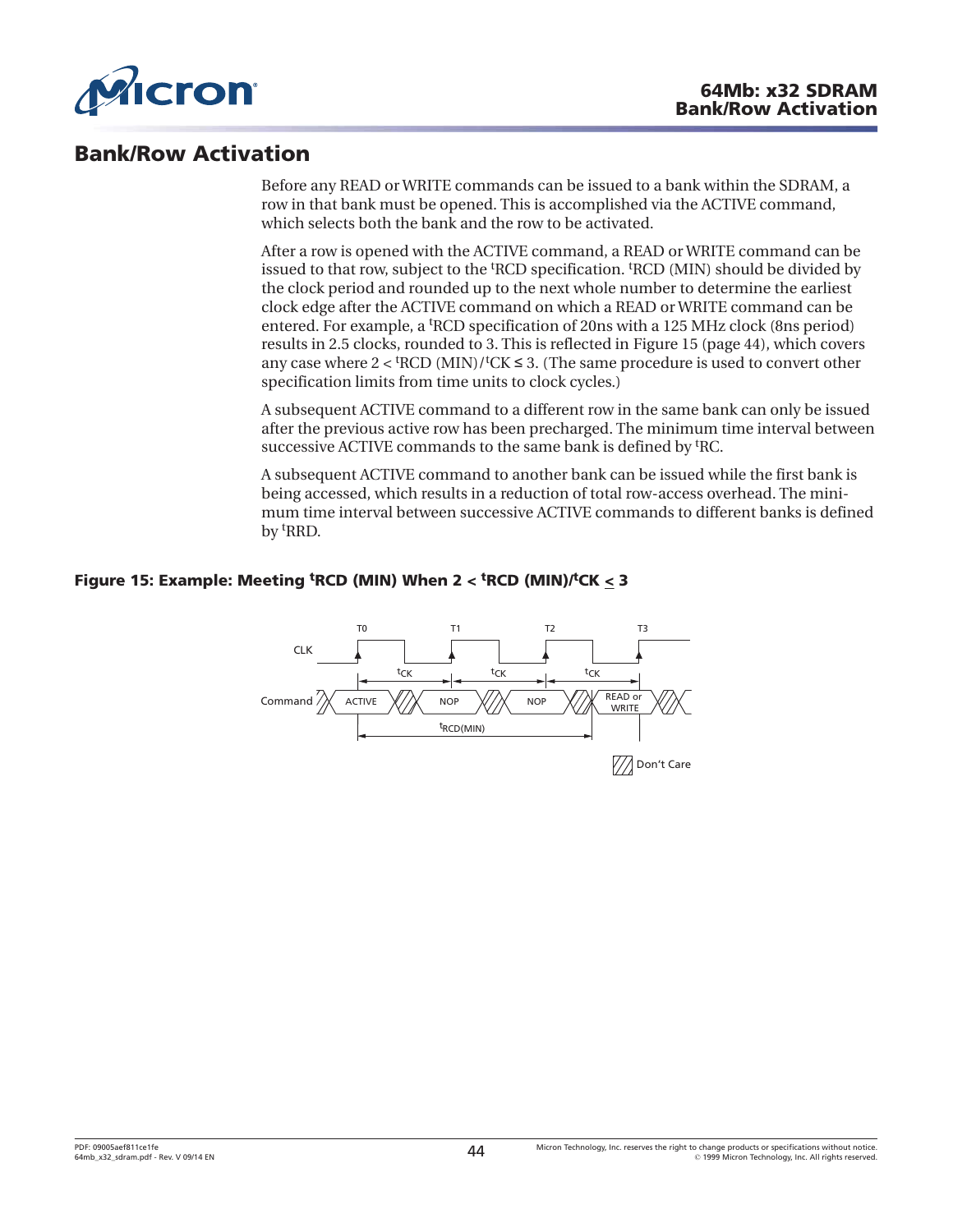

# **Bank/Row Activation**

Before any READ or WRITE commands can be issued to a bank within the SDRAM, a row in that bank must be opened. This is accomplished via the ACTIVE command, which selects both the bank and the row to be activated.

After a row is opened with the ACTIVE command, a READ or WRITE command can be issued to that row, subject to the <sup>t</sup>RCD specification. <sup>t</sup>RCD (MIN) should be divided by the clock period and rounded up to the next whole number to determine the earliest clock edge after the ACTIVE command on which a READ or WRITE command can be entered. For example, a <sup>t</sup> RCD specification of 20ns with a 125 MHz clock (8ns period) results in 2.5 clocks, rounded to 3. This is reflected in Figure 15 (page 44), which covers any case where  $2 <$  <sup>t</sup>RCD (MIN)/<sup>t</sup>CK  $\leq$  3. (The same procedure is used to convert other specification limits from time units to clock cycles.)

A subsequent ACTIVE command to a different row in the same bank can only be issued after the previous active row has been precharged. The minimum time interval between successive ACTIVE commands to the same bank is defined by <sup>t</sup>RC.

A subsequent ACTIVE command to another bank can be issued while the first bank is being accessed, which results in a reduction of total row-access overhead. The minimum time interval between successive ACTIVE commands to different banks is defined by t RRD.

# **Figure 15: Example: Meeting <sup>t</sup> RCD (MIN) When 2 < <sup>t</sup> RCD (MIN)/<sup>t</sup> CK < 3**

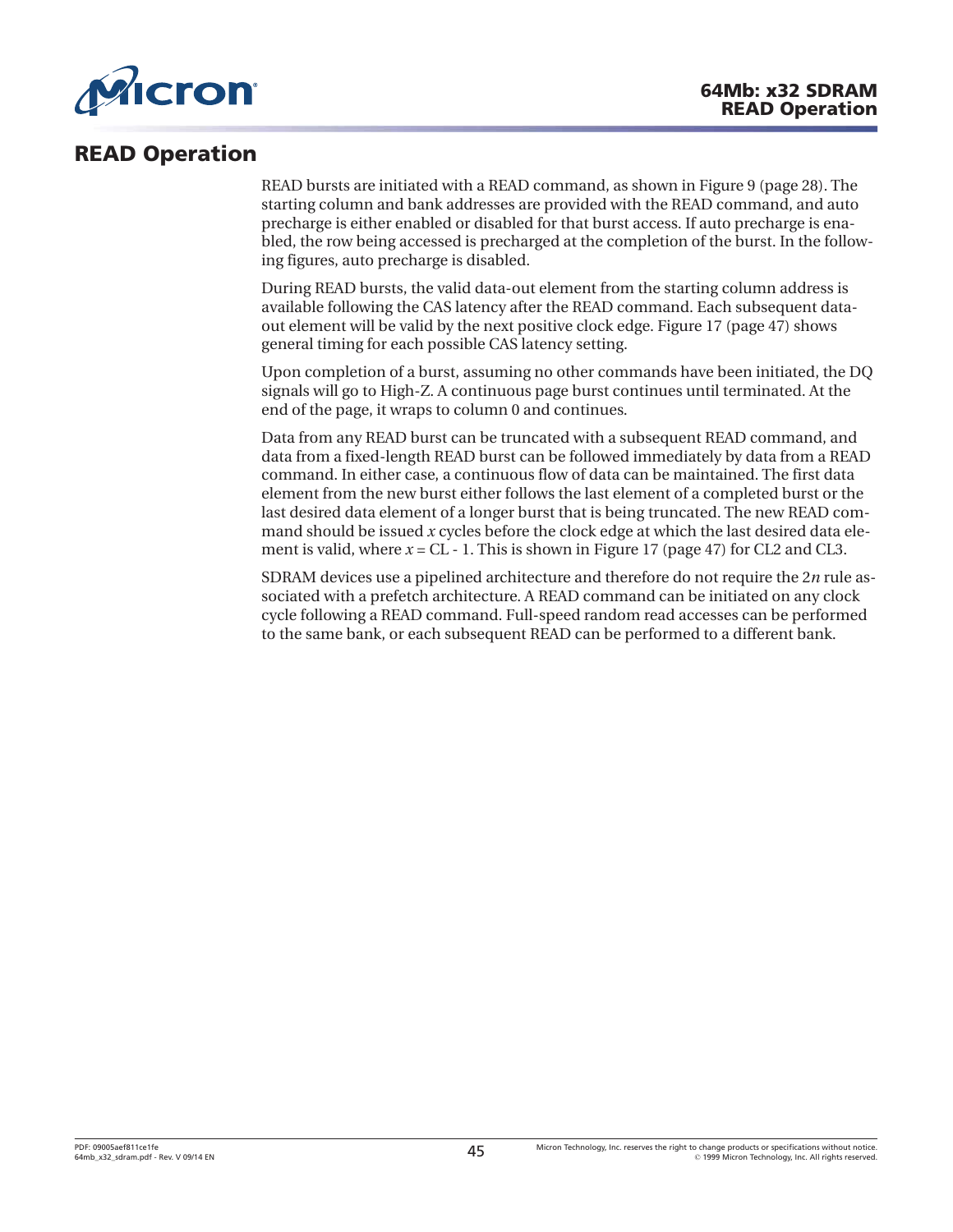

# **READ Operation**

READ bursts are initiated with a READ command, as shown in [Figure 9 \(page 28\)](#page-27-0). The starting column and bank addresses are provided with the READ command, and auto precharge is either enabled or disabled for that burst access. If auto precharge is enabled, the row being accessed is precharged at the completion of the burst. In the following figures, auto precharge is disabled.

During READ bursts, the valid data-out element from the starting column address is available following the CAS latency after the READ command. Each subsequent dataout element will be valid by the next positive clock edge. [Figure 17](#page-46-0) ([page 47](#page-46-0)) shows general timing for each possible CAS latency setting.

Upon completion of a burst, assuming no other commands have been initiated, the DQ signals will go to High-Z. A continuous page burst continues until terminated. At the end of the page, it wraps to column 0 and continues.

Data from any READ burst can be truncated with a subsequent READ command, and data from a fixed-length READ burst can be followed immediately by data from a READ command. In either case, a continuous flow of data can be maintained. The first data element from the new burst either follows the last element of a completed burst or the last desired data element of a longer burst that is being truncated. The new READ command should be issued *x* cycles before the clock edge at which the last desired data element is valid, where  $x = CL - 1$ . This is shown in [Figure 17](#page-46-0) [\(page 47\)](#page-46-0) for CL2 and CL3.

SDRAM devices use a pipelined architecture and therefore do not require the 2*n* rule associated with a prefetch architecture. A READ command can be initiated on any clock cycle following a READ command. Full-speed random read accesses can be performed to the same bank, or each subsequent READ can be performed to a different bank.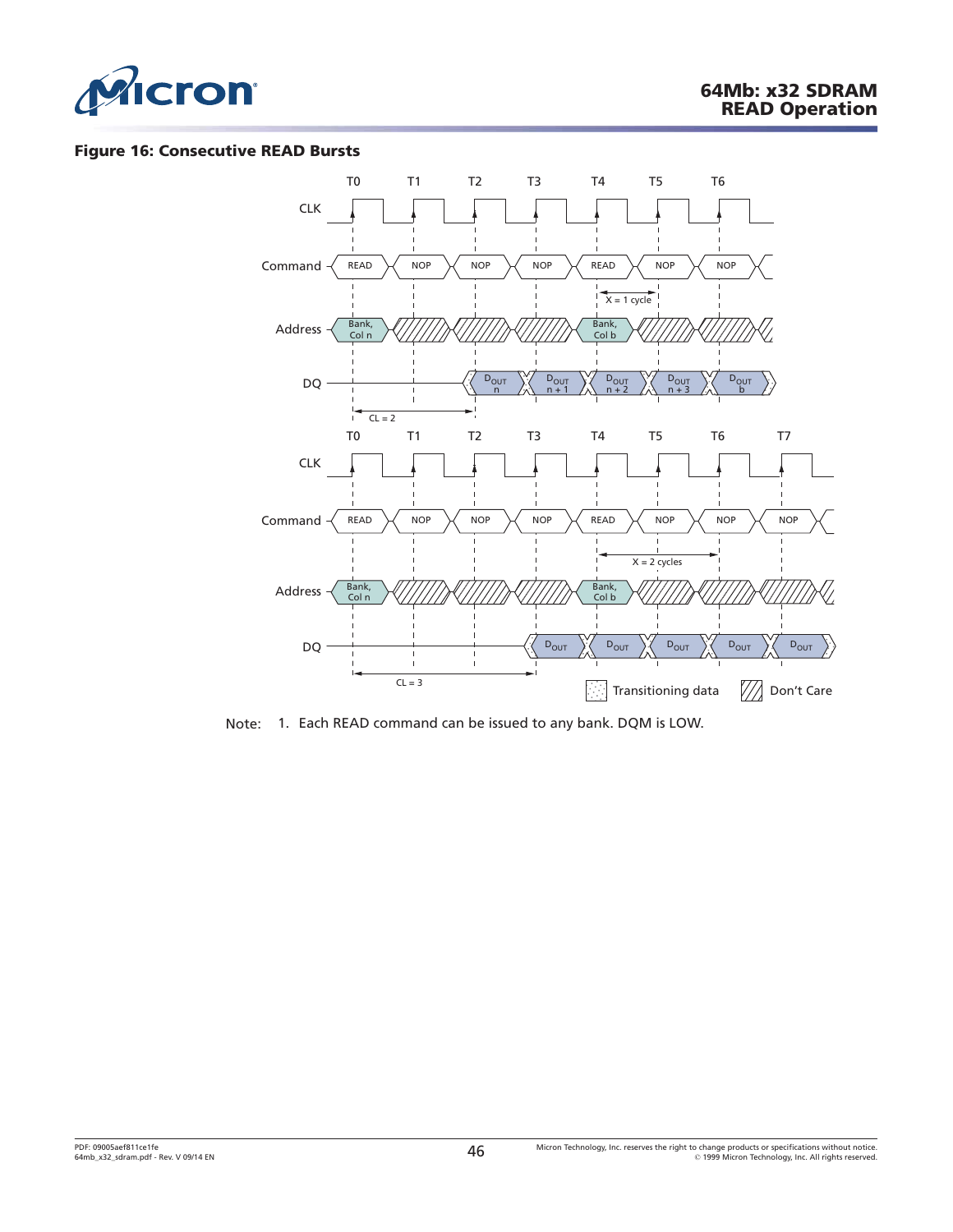

#### **Figure 16: Consecutive READ Bursts**



Note: 1. Each READ command can be issued to any bank. DQM is LOW.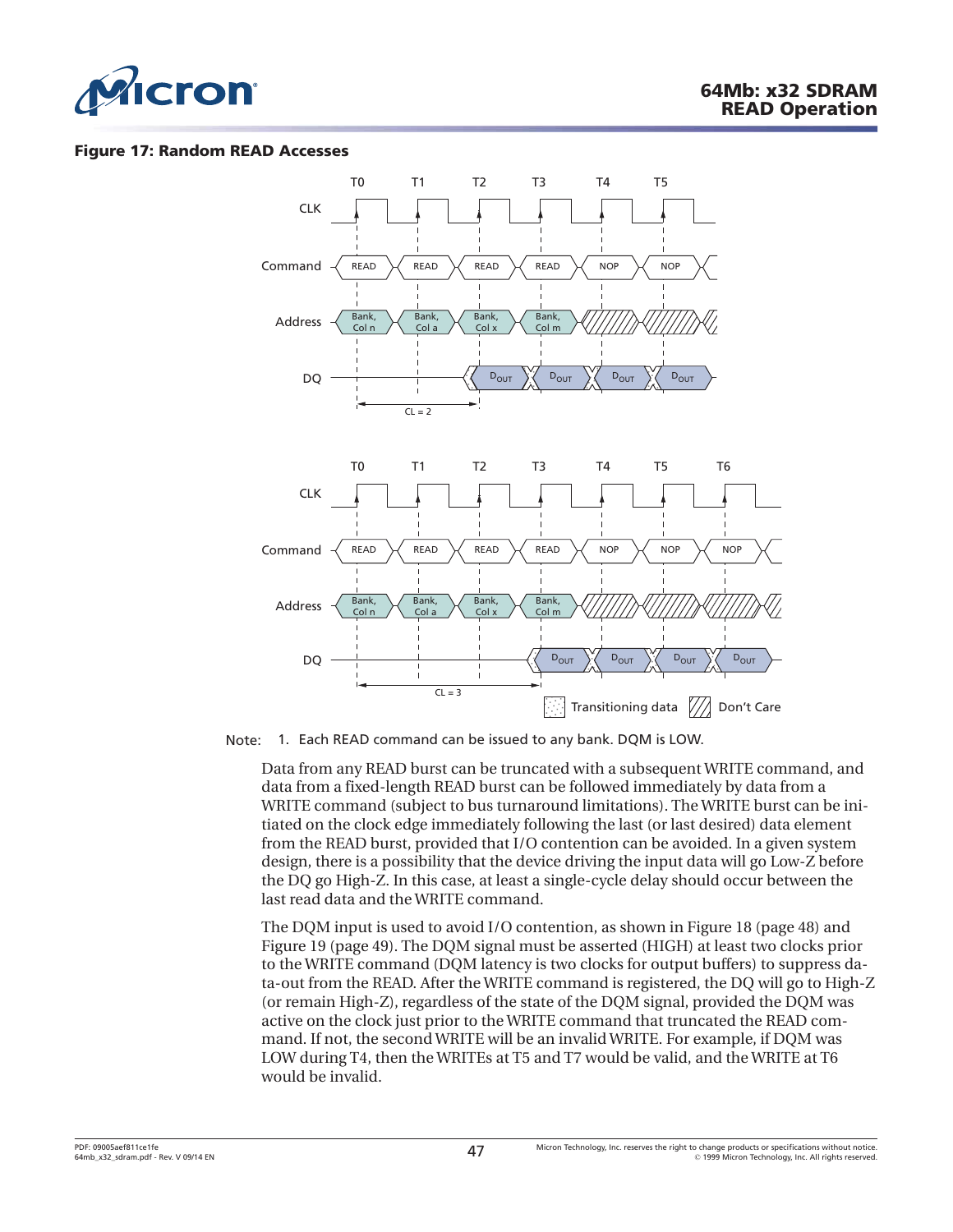<span id="page-46-0"></span>

#### **Figure 17: Random READ Accesses**



Note: 1. Each READ command can be issued to any bank. DQM is LOW.

Data from any READ burst can be truncated with a subsequent WRITE command, and data from a fixed-length READ burst can be followed immediately by data from a WRITE command (subject to bus turnaround limitations). The WRITE burst can be initiated on the clock edge immediately following the last (or last desired) data element from the READ burst, provided that I/O contention can be avoided. In a given system design, there is a possibility that the device driving the input data will go Low-Z before the DQ go High-Z. In this case, at least a single-cycle delay should occur between the last read data and the WRITE command.

The DQM input is used to avoid I/O contention, as shown in [Figure 18](#page-47-0) ([page 48](#page-47-0)) and [Figure 19 \(page 49\)](#page-48-0). The DQM signal must be asserted (HIGH) at least two clocks prior to the WRITE command (DQM latency is two clocks for output buffers) to suppress data-out from the READ. After the WRITE command is registered, the DQ will go to High-Z (or remain High-Z), regardless of the state of the DQM signal, provided the DQM was active on the clock just prior to the WRITE command that truncated the READ command. If not, the second WRITE will be an invalid WRITE. For example, if DQM was LOW during T4, then the WRITEs at T5 and T7 would be valid, and the WRITE at T6 would be invalid.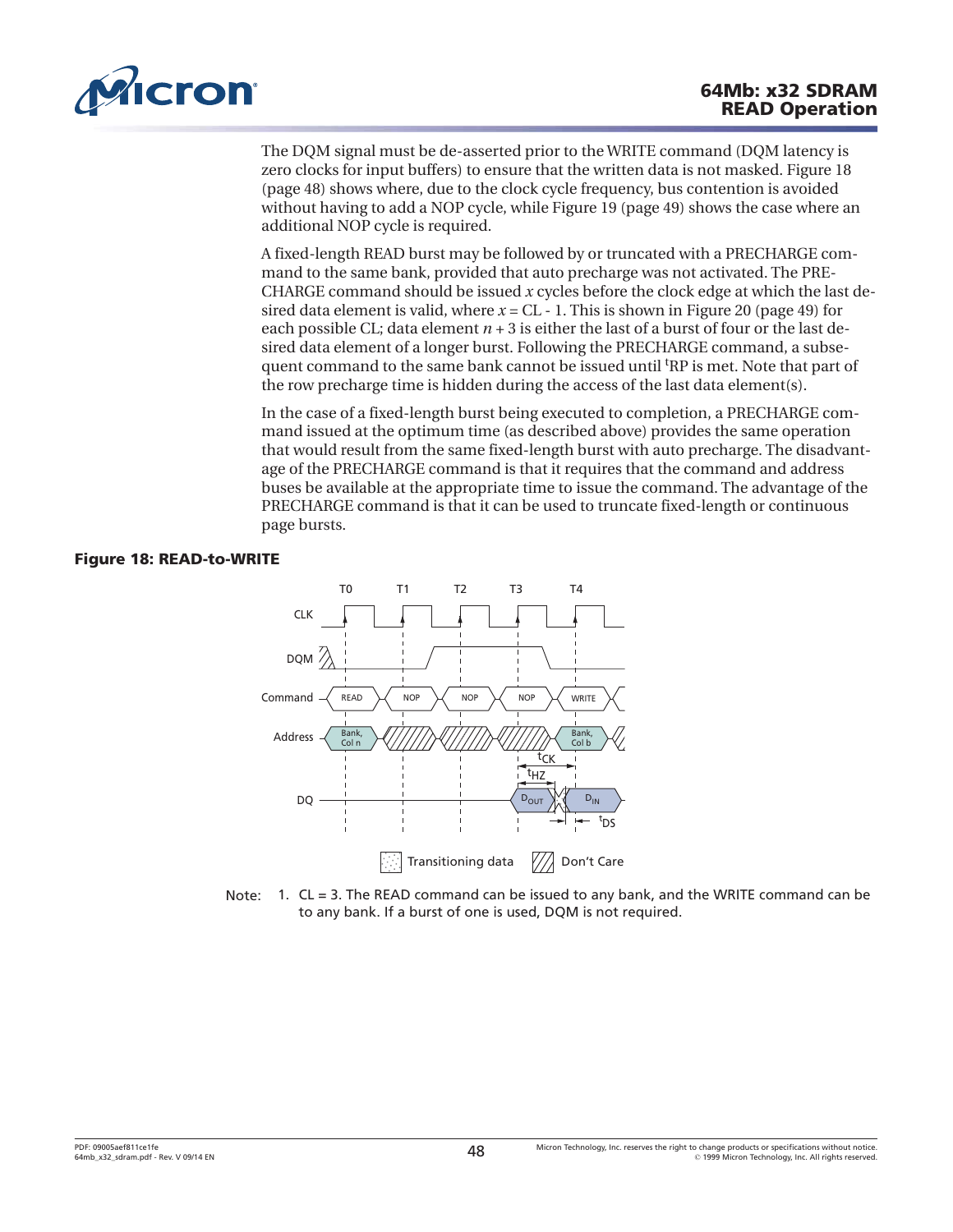<span id="page-47-0"></span>

The DQM signal must be de-asserted prior to the WRITE command (DQM latency is zero clocks for input buffers) to ensure that the written data is not masked. Figure 18 (page 48) shows where, due to the clock cycle frequency, bus contention is avoided without having to add a NOP cycle, while [Figure 19](#page-48-0) [\(page 49\)](#page-48-0) shows the case where an additional NOP cycle is required.

A fixed-length READ burst may be followed by or truncated with a PRECHARGE command to the same bank, provided that auto precharge was not activated. The PRE-CHARGE command should be issued *x* cycles before the clock edge at which the last desired data element is valid, where  $x = CL - 1$ . This is shown in [Figure 20](#page-48-0) ([page 49](#page-48-0)) for each possible CL; data element  $n + 3$  is either the last of a burst of four or the last desired data element of a longer burst. Following the PRECHARGE command, a subsequent command to the same bank cannot be issued until <sup>t</sup>RP is met. Note that part of the row precharge time is hidden during the access of the last data element(s).

In the case of a fixed-length burst being executed to completion, a PRECHARGE command issued at the optimum time (as described above) provides the same operation that would result from the same fixed-length burst with auto precharge. The disadvantage of the PRECHARGE command is that it requires that the command and address buses be available at the appropriate time to issue the command. The advantage of the PRECHARGE command is that it can be used to truncate fixed-length or continuous page bursts.

## **Figure 18: READ-to-WRITE**



Note: 1. CL = 3. The READ command can be issued to any bank, and the WRITE command can be to any bank. If a burst of one is used, DQM is not required.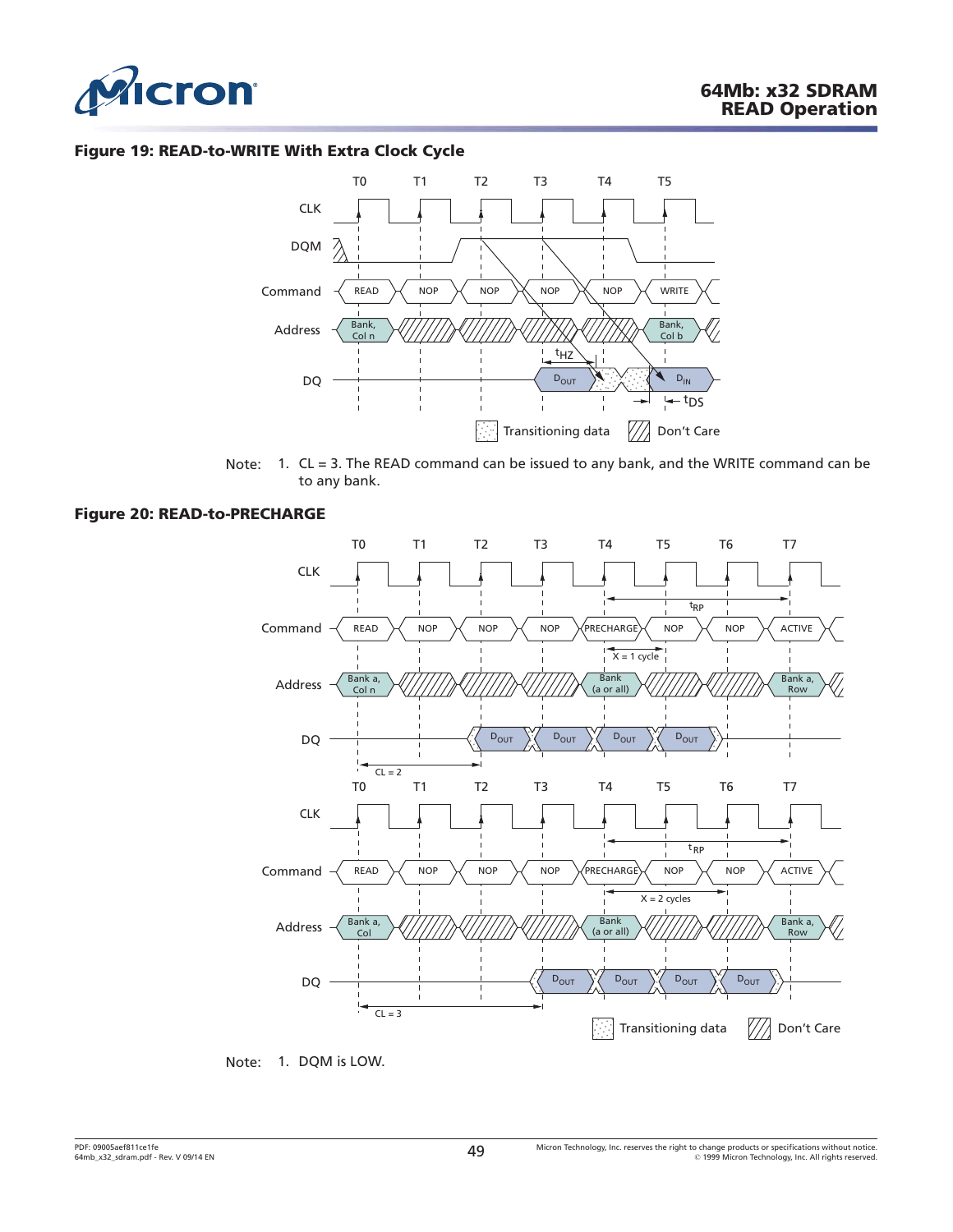<span id="page-48-0"></span>

#### **Figure 19: READ-to-WRITE With Extra Clock Cycle**



Note: 1. CL = 3. The READ command can be issued to any bank, and the WRITE command can be to any bank.

#### **Figure 20: READ-to-PRECHARGE**



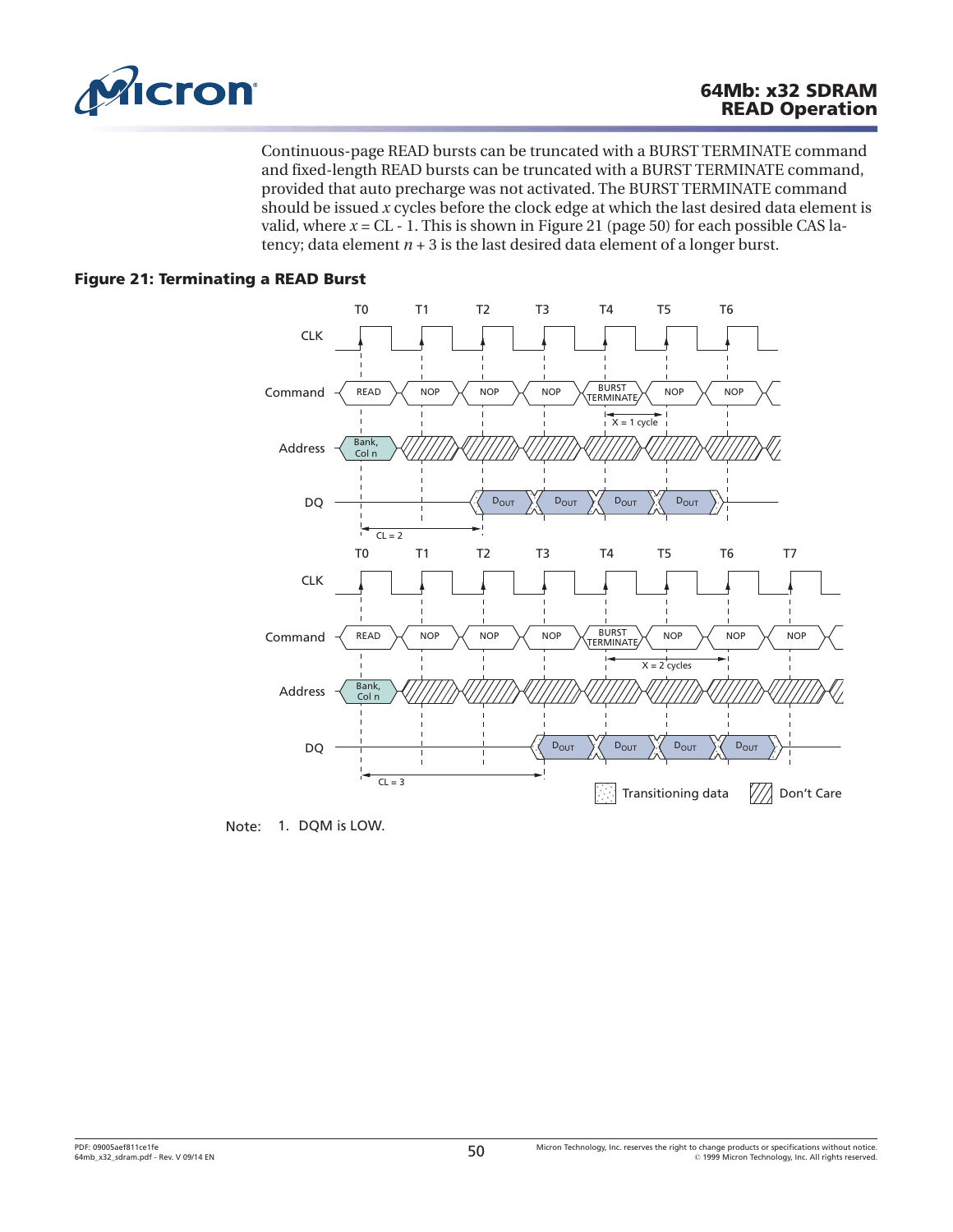

Continuous-page READ bursts can be truncated with a BURST TERMINATE command and fixed-length READ bursts can be truncated with a BURST TERMINATE command, provided that auto precharge was not activated. The BURST TERMINATE command should be issued *x* cycles before the clock edge at which the last desired data element is valid, where  $x = CL - 1$ . This is shown in Figure 21 (page 50) for each possible CAS latency; data element  $n + 3$  is the last desired data element of a longer burst.

# **Figure 21: Terminating a READ Burst**



Note: 1. DQM is LOW.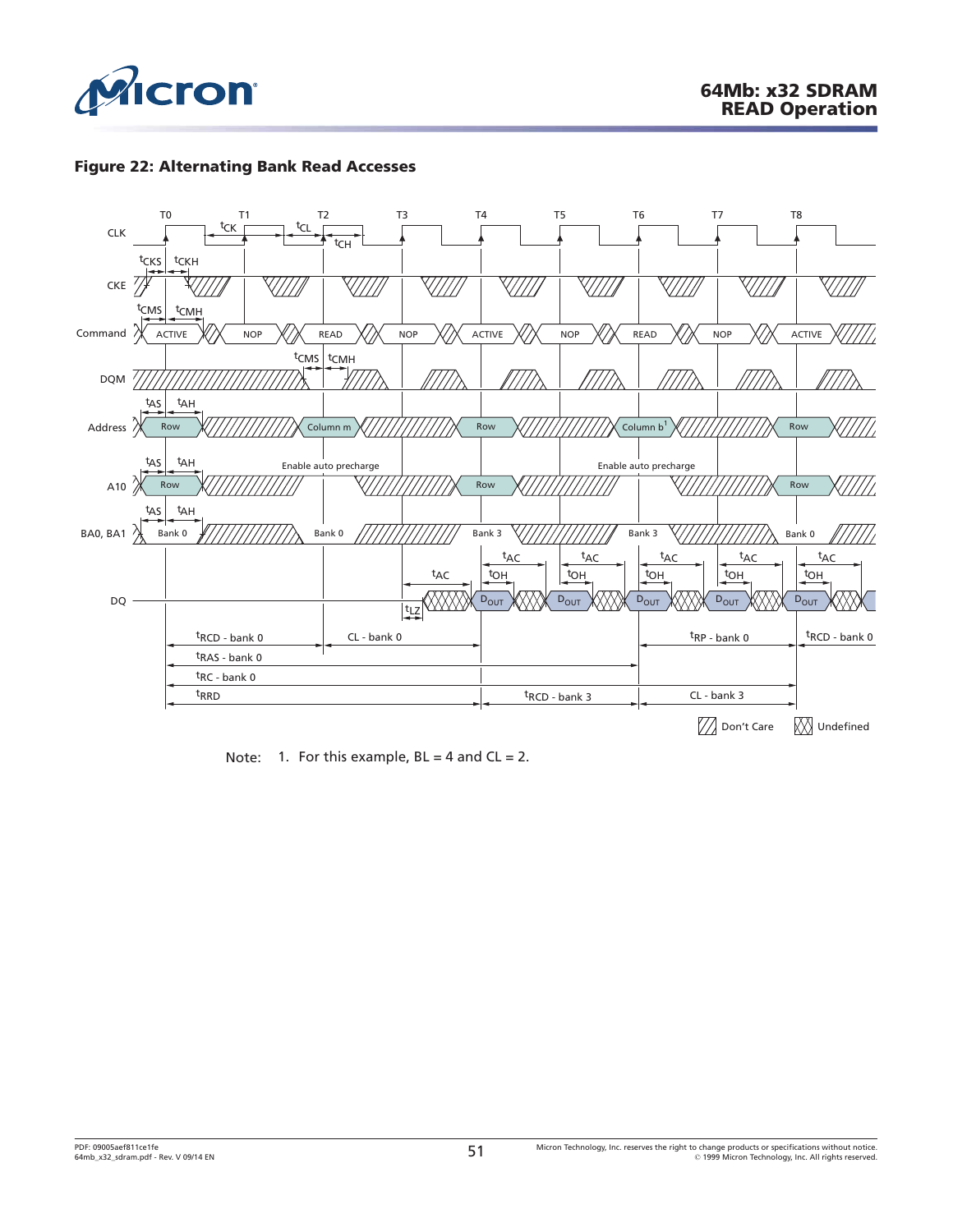

## **Figure 22: Alternating Bank Read Accesses**



Note: 1. For this example,  $BL = 4$  and  $CL = 2$ .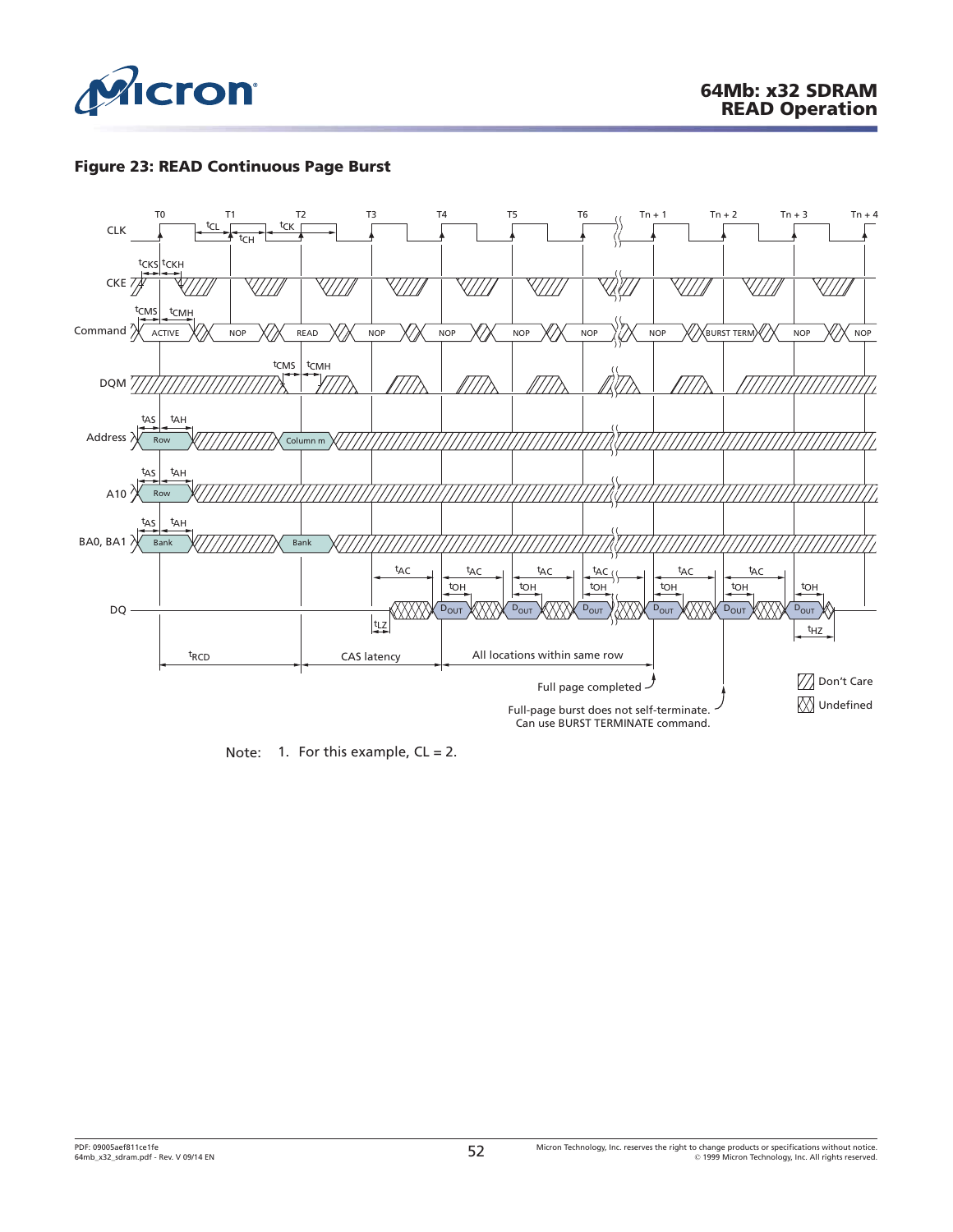

## **Figure 23: READ Continuous Page Burst**



Note: 1. For this example,  $CL = 2$ .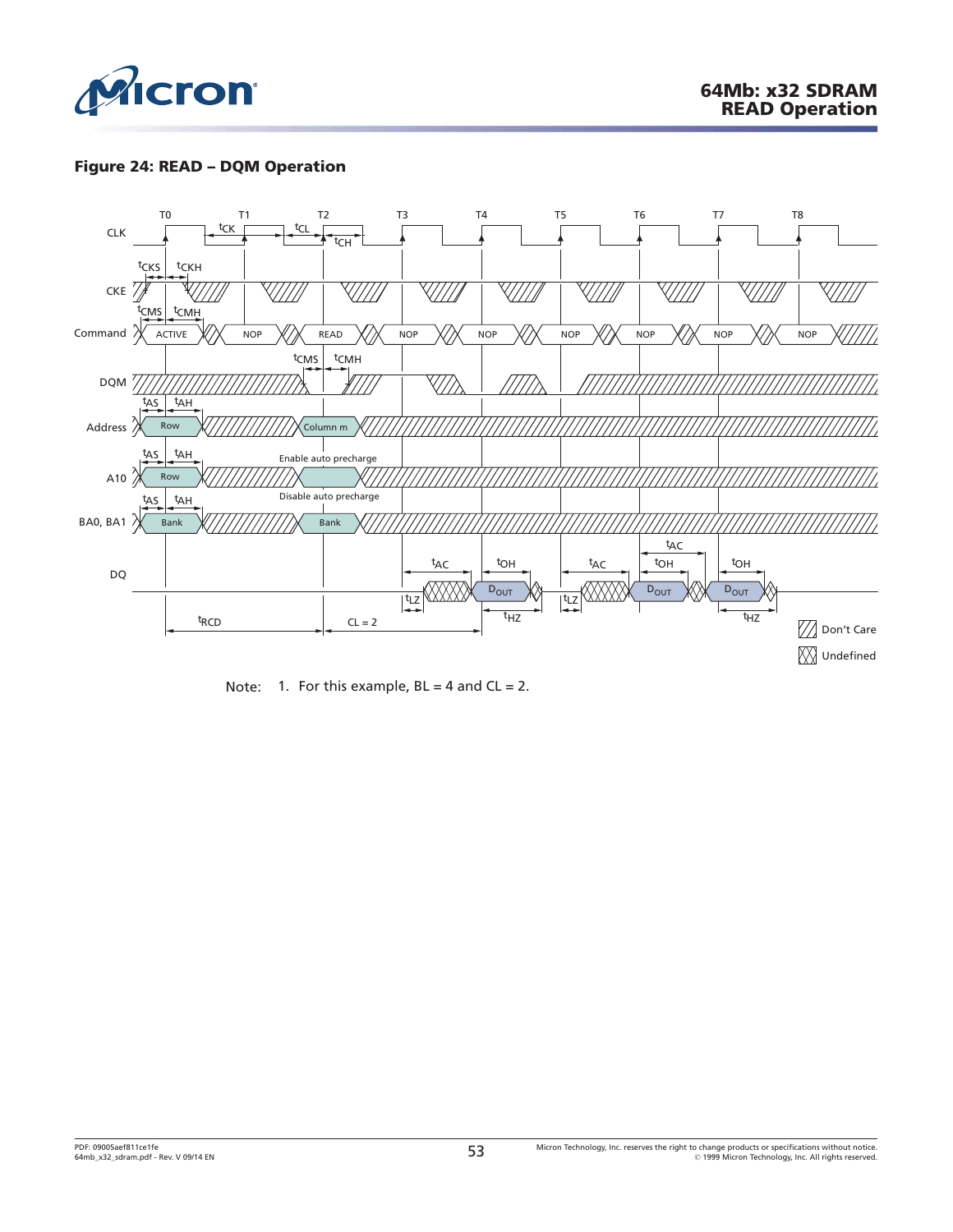

# **Figure 24: READ – DQM Operation**



Note: 1. For this example,  $BL = 4$  and  $CL = 2$ .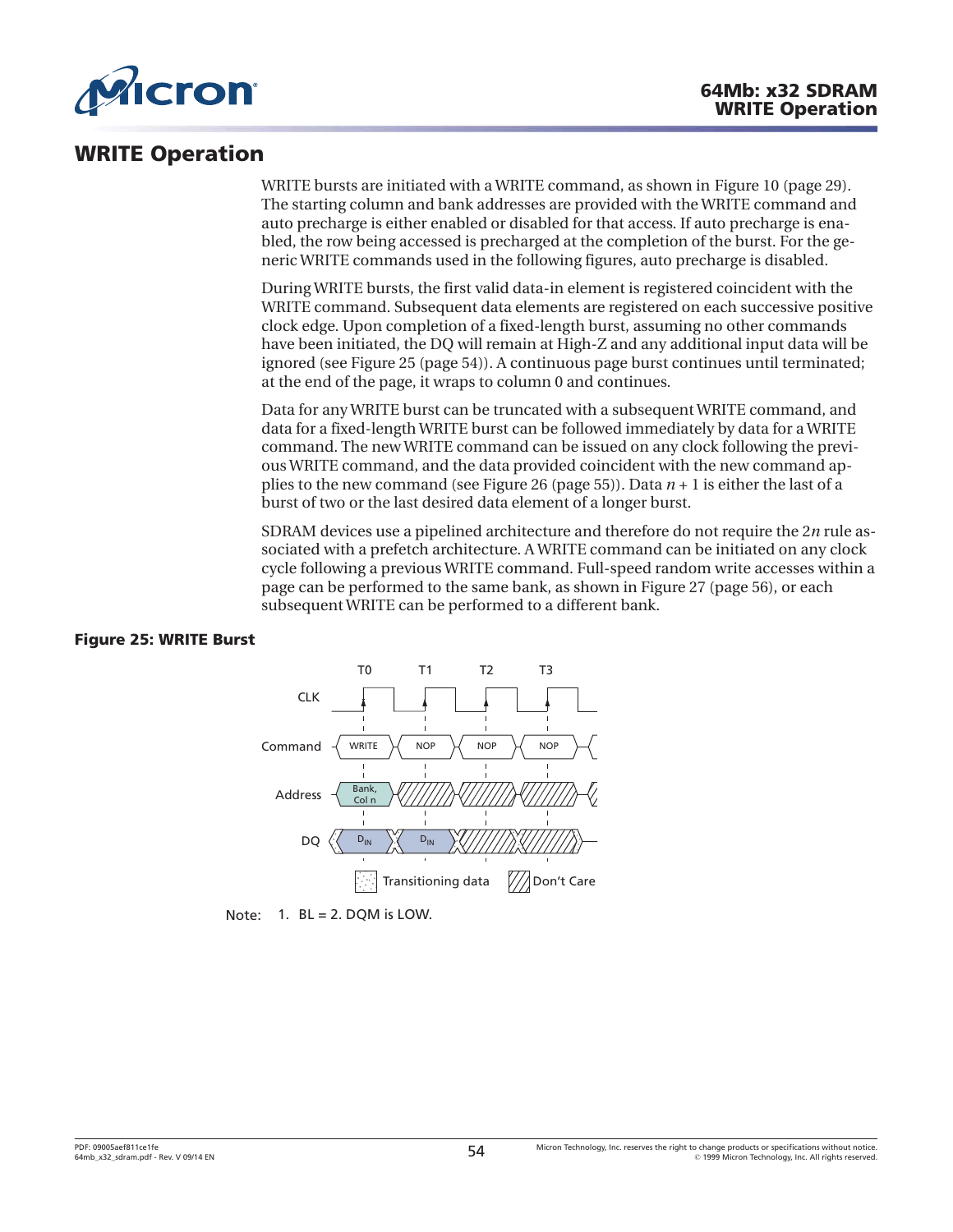

# **WRITE Operation**

WRITE bursts are initiated with a WRITE command, as shown in [Figure 10](#page-28-0) ([page 29](#page-28-0)). The starting column and bank addresses are provided with the WRITE command and auto precharge is either enabled or disabled for that access. If auto precharge is enabled, the row being accessed is precharged at the completion of the burst. For the generic WRITE commands used in the following figures, auto precharge is disabled.

During WRITE bursts, the first valid data-in element is registered coincident with the WRITE command. Subsequent data elements are registered on each successive positive clock edge. Upon completion of a fixed-length burst, assuming no other commands have been initiated, the DQ will remain at High-Z and any additional input data will be ignored (see Figure 25 (page 54)). A continuous page burst continues until terminated; at the end of the page, it wraps to column 0 and continues.

Data for any WRITE burst can be truncated with a subsequent WRITE command, and data for a fixed-length WRITE burst can be followed immediately by data for a WRITE command. The new WRITE command can be issued on any clock following the previous WRITE command, and the data provided coincident with the new command applies to the new command (see [Figure 26](#page-54-0) ([page 55](#page-54-0))). Data *n* + 1 is either the last of a burst of two or the last desired data element of a longer burst.

SDRAM devices use a pipelined architecture and therefore do not require the 2*n* rule associated with a prefetch architecture. A WRITE command can be initiated on any clock cycle following a previous WRITE command. Full-speed random write accesses within a page can be performed to the same bank, as shown in [Figure 27](#page-55-0) [\(page 56\)](#page-55-0), or each subsequent WRITE can be performed to a different bank.

## **Figure 25: WRITE Burst**



Note:  $1.$  BL = 2. DQM is LOW.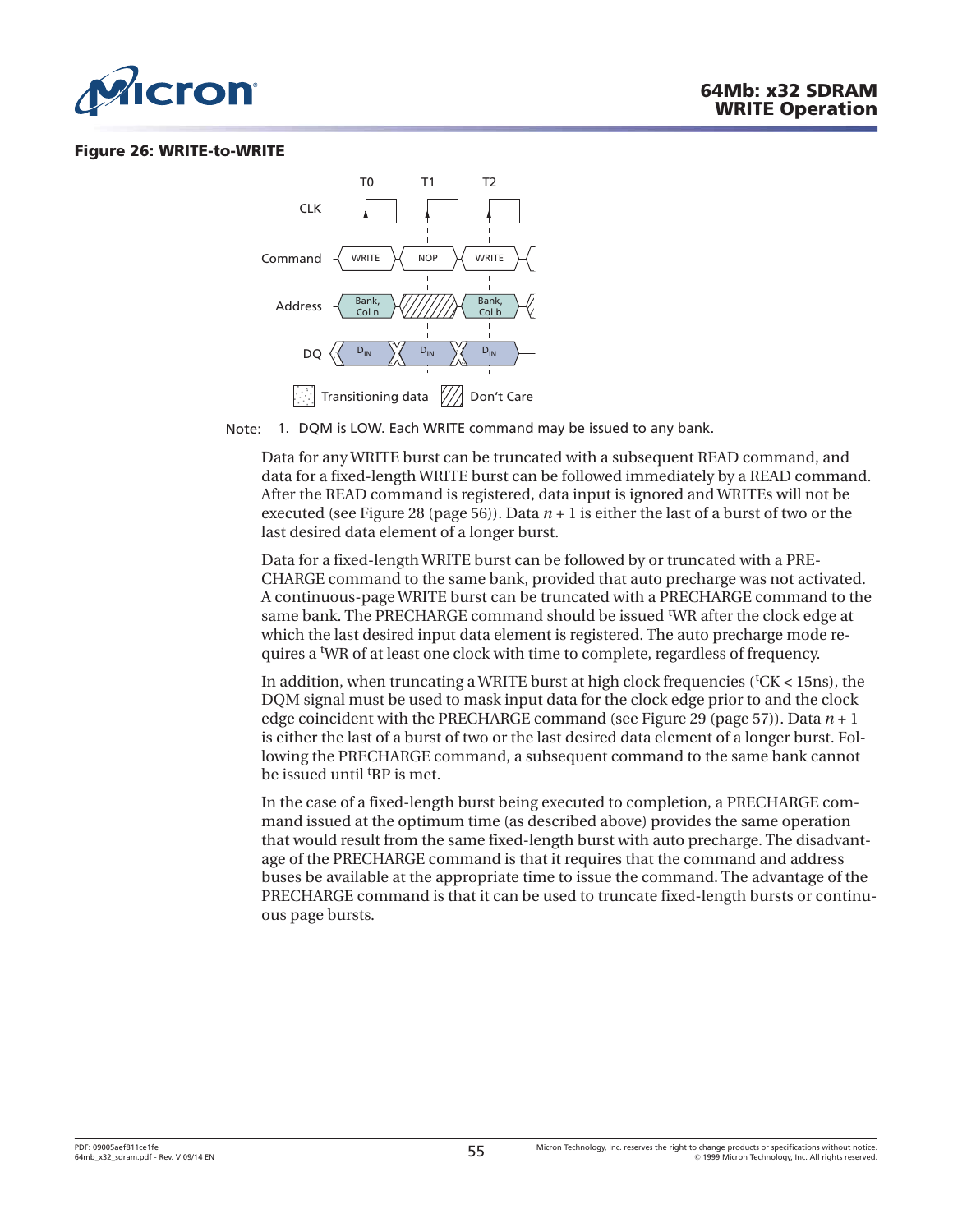<span id="page-54-0"></span>

#### **Figure 26: WRITE-to-WRITE**



Note: 1. DQM is LOW. Each WRITE command may be issued to any bank.

Data for any WRITE burst can be truncated with a subsequent READ command, and data for a fixed-length WRITE burst can be followed immediately by a READ command. After the READ command is registered, data input is ignored and WRITEs will not be executed (see [Figure 28](#page-55-0) ([page 56](#page-55-0))). Data  $n + 1$  is either the last of a burst of two or the last desired data element of a longer burst.

Data for a fixed-length WRITE burst can be followed by or truncated with a PRE-CHARGE command to the same bank, provided that auto precharge was not activated. A continuous-page WRITE burst can be truncated with a PRECHARGE command to the same bank. The PRECHARGE command should be issued <sup>t</sup>WR after the clock edge at which the last desired input data element is registered. The auto precharge mode requires a <sup>t</sup>WR of at least one clock with time to complete, regardless of frequency.

In addition, when truncating a WRITE burst at high clock frequencies (<sup>t</sup>CK < 15ns), the DQM signal must be used to mask input data for the clock edge prior to and the clock edge coincident with the PRECHARGE command (see [Figure 29](#page-56-0) ([page 57](#page-56-0))). Data *n* + 1 is either the last of a burst of two or the last desired data element of a longer burst. Following the PRECHARGE command, a subsequent command to the same bank cannot be issued until <sup>t</sup>RP is met.

In the case of a fixed-length burst being executed to completion, a PRECHARGE command issued at the optimum time (as described above) provides the same operation that would result from the same fixed-length burst with auto precharge. The disadvantage of the PRECHARGE command is that it requires that the command and address buses be available at the appropriate time to issue the command. The advantage of the PRECHARGE command is that it can be used to truncate fixed-length bursts or continuous page bursts.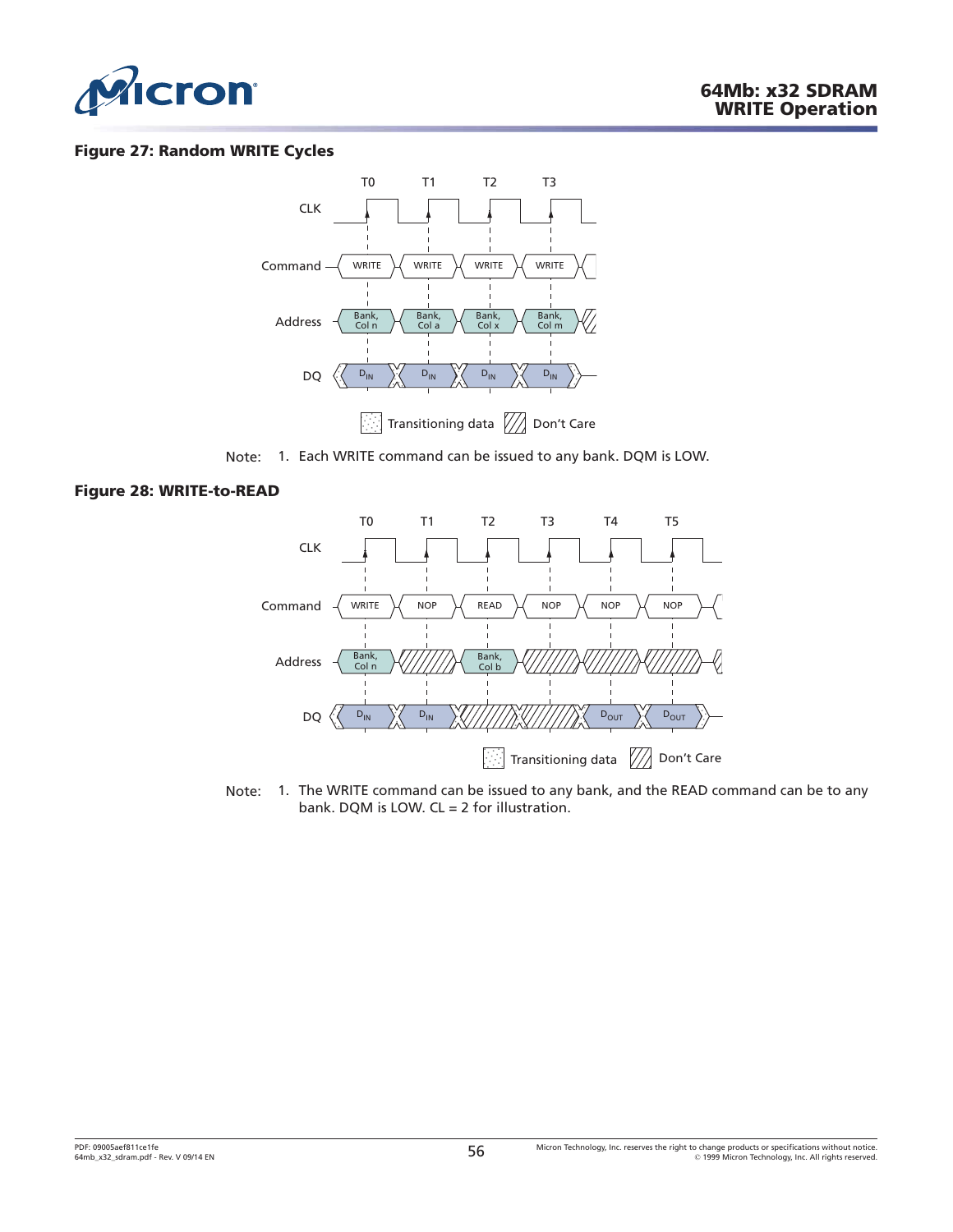<span id="page-55-0"></span>

#### **Figure 27: Random WRITE Cycles**



Note: 1. Each WRITE command can be issued to any bank. DQM is LOW.

#### **Figure 28: WRITE-to-READ**



Note: 1. The WRITE command can be issued to any bank, and the READ command can be to any bank. DQM is LOW. CL = 2 for illustration.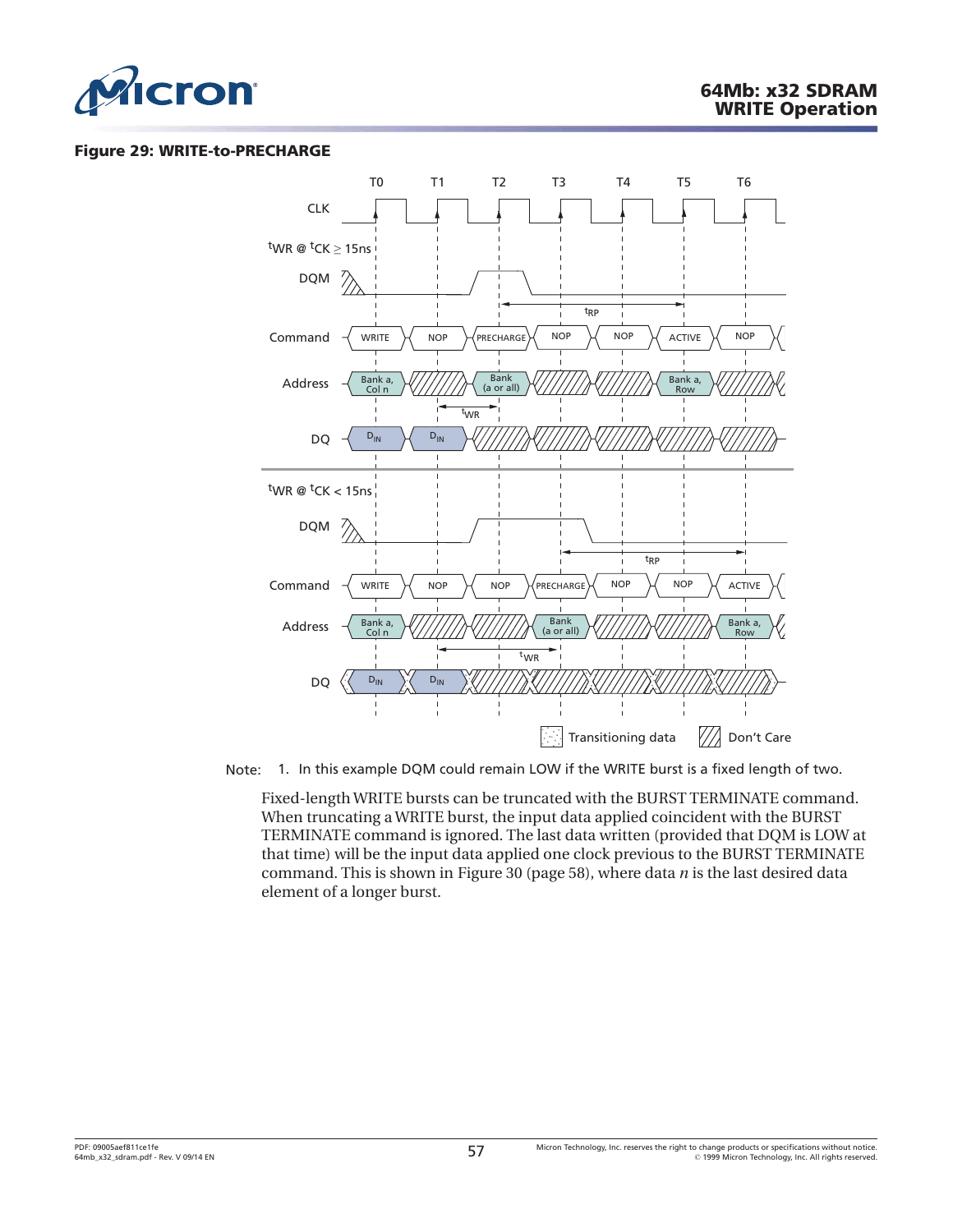<span id="page-56-0"></span>

#### **Figure 29: WRITE-to-PRECHARGE**



Note: 1. In this example DQM could remain LOW if the WRITE burst is a fixed length of two.

Fixed-length WRITE bursts can be truncated with the BURST TERMINATE command. When truncating a WRITE burst, the input data applied coincident with the BURST TERMINATE command is ignored. The last data written (provided that DQM is LOW at that time) will be the input data applied one clock previous to the BURST TERMINATE command. This is shown in [Figure 30 \(page 58\)](#page-57-0), where data *n* is the last desired data element of a longer burst.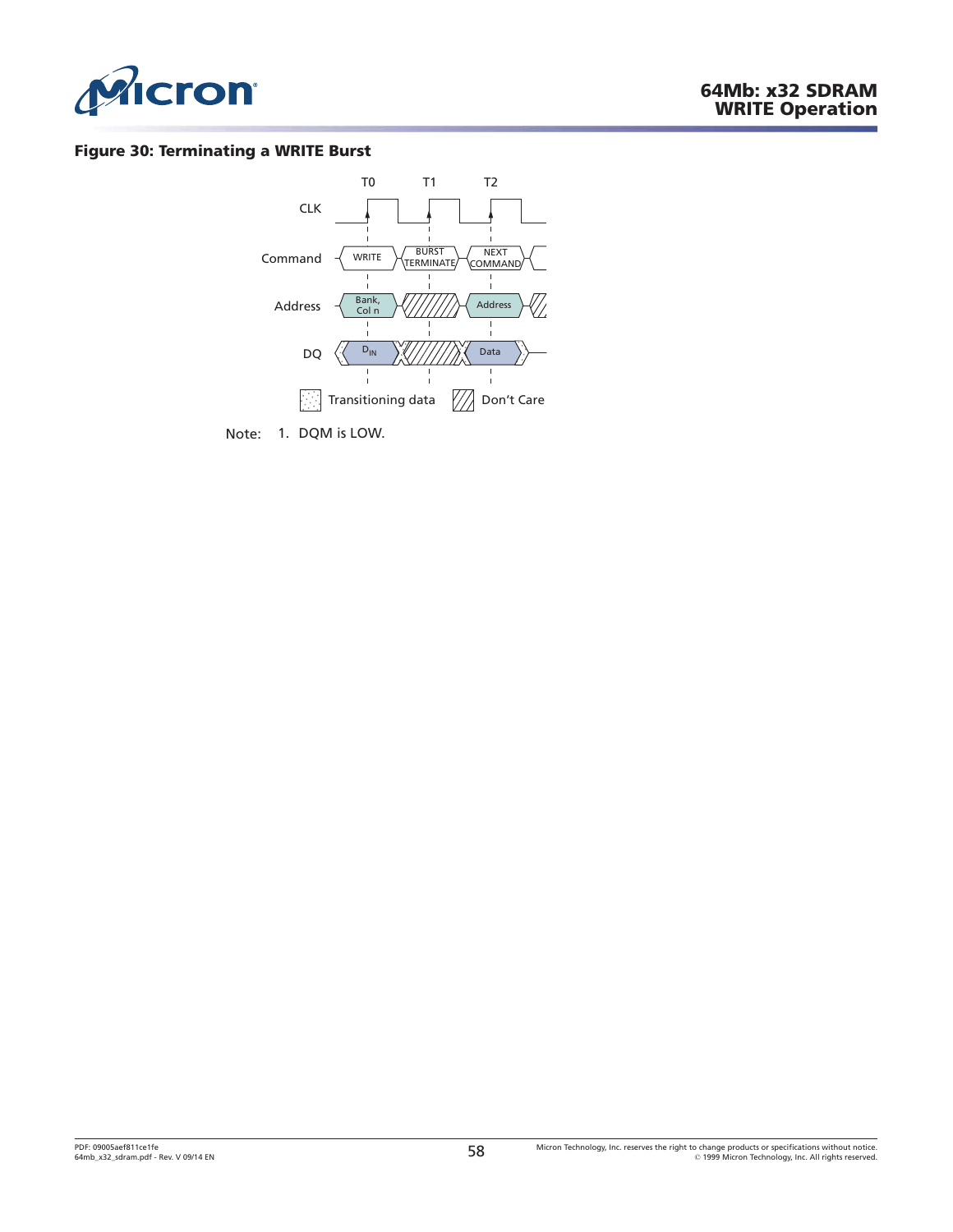<span id="page-57-0"></span>

### **Figure 30: Terminating a WRITE Burst**



Note: 1. DQM is LOW.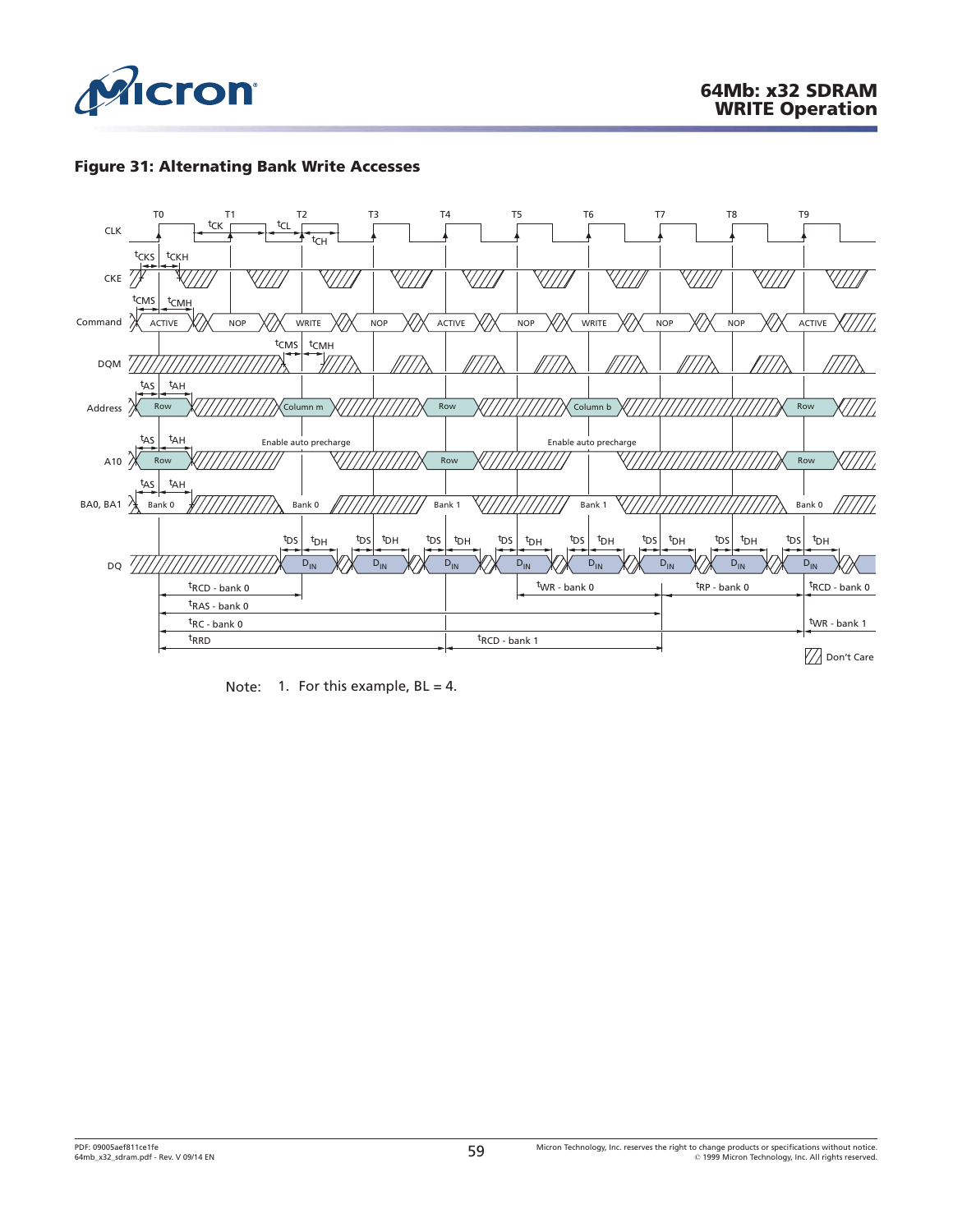

## **Figure 31: Alternating Bank Write Accesses**



Note: 1. For this example,  $BL = 4$ .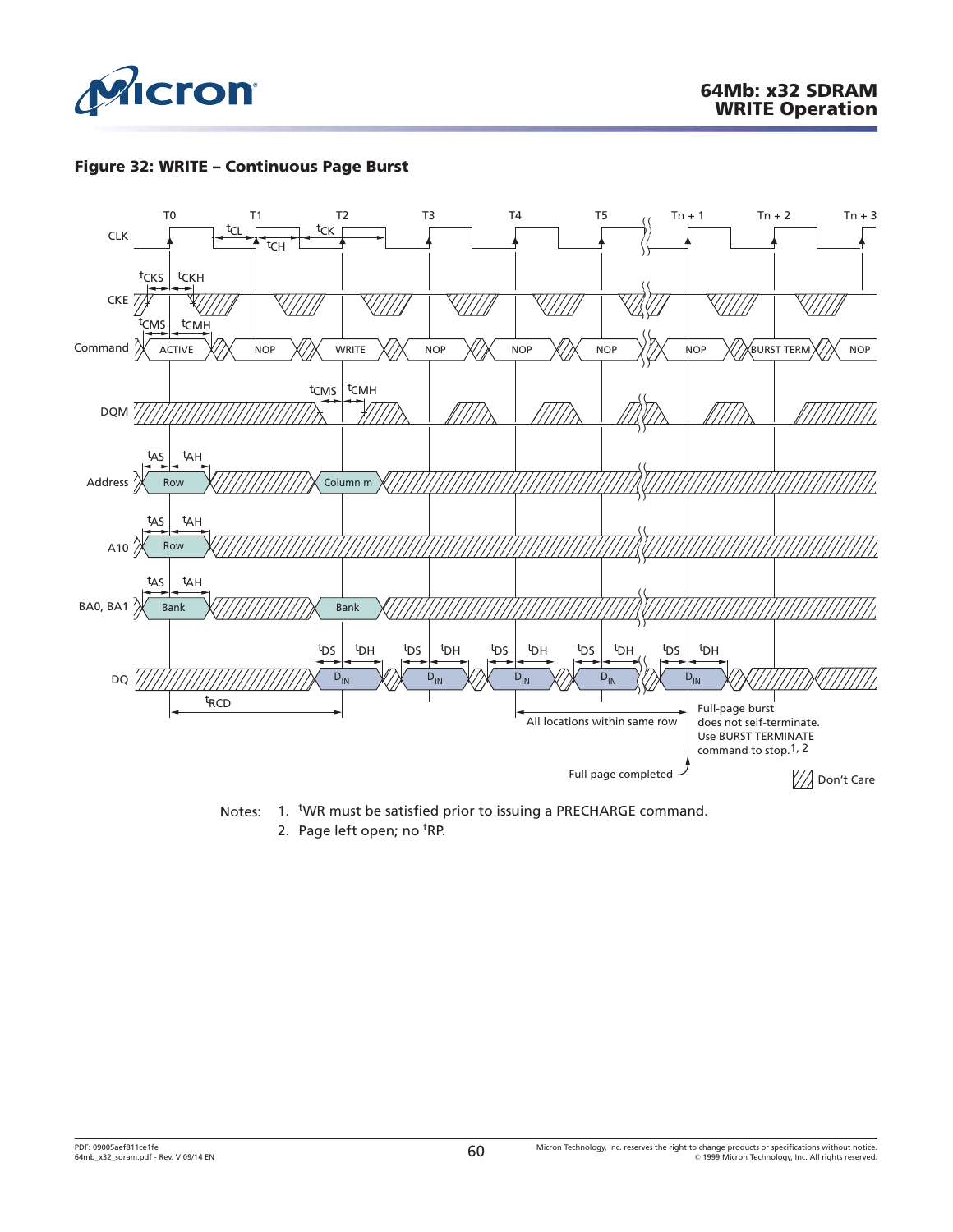

## **Figure 32: WRITE – Continuous Page Burst**



Notes: 1. WR must be satisfied prior to issuing a PRECHARGE command.

2. Page left open; no <sup>t</sup>RP.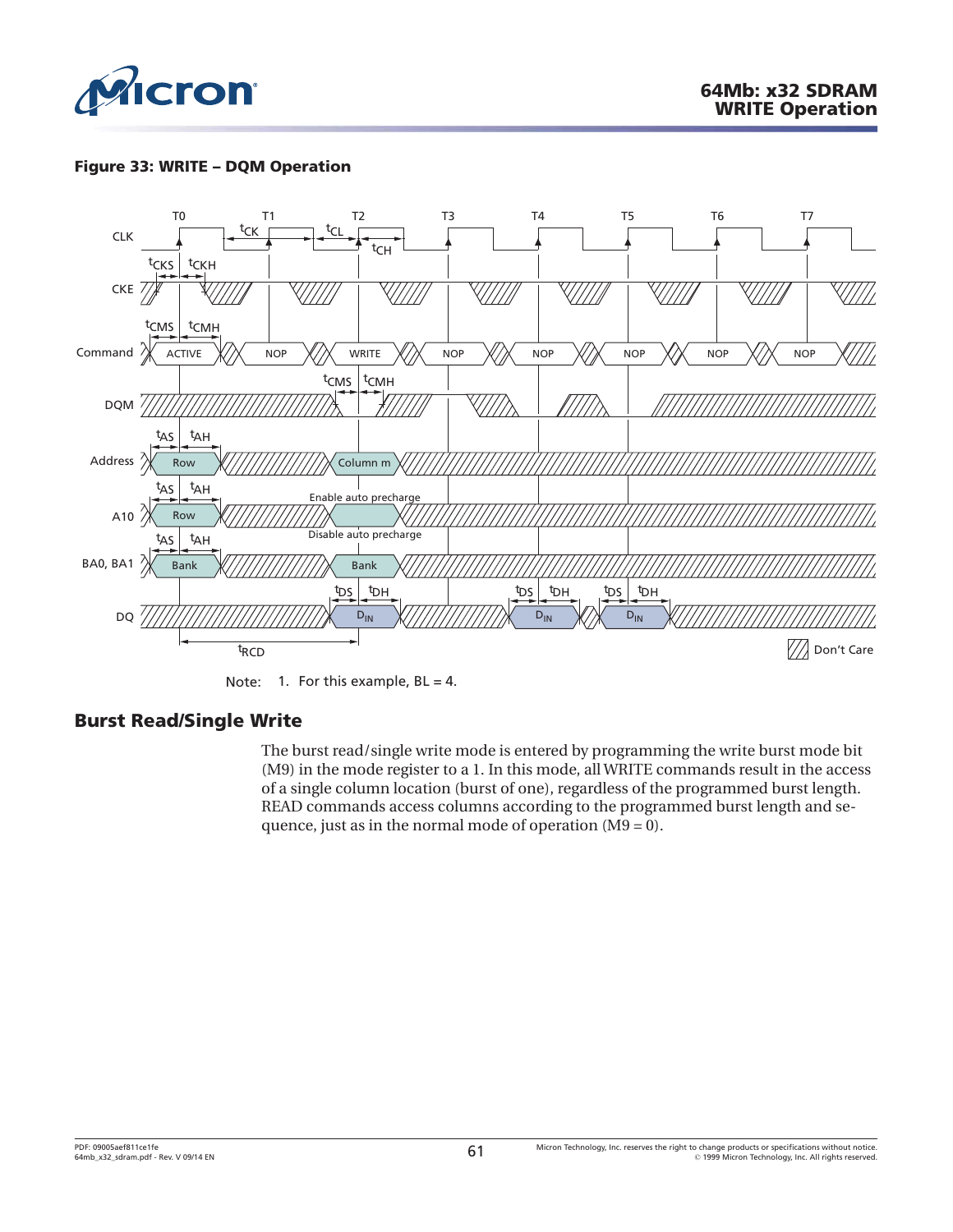

# **Figure 33: WRITE – DQM Operation**



Note: 1. For this example,  $BL = 4$ .

# **Burst Read/Single Write**

The burst read/single write mode is entered by programming the write burst mode bit (M9) in the mode register to a 1. In this mode, all WRITE commands result in the access of a single column location (burst of one), regardless of the programmed burst length. READ commands access columns according to the programmed burst length and sequence, just as in the normal mode of operation (M9 = 0).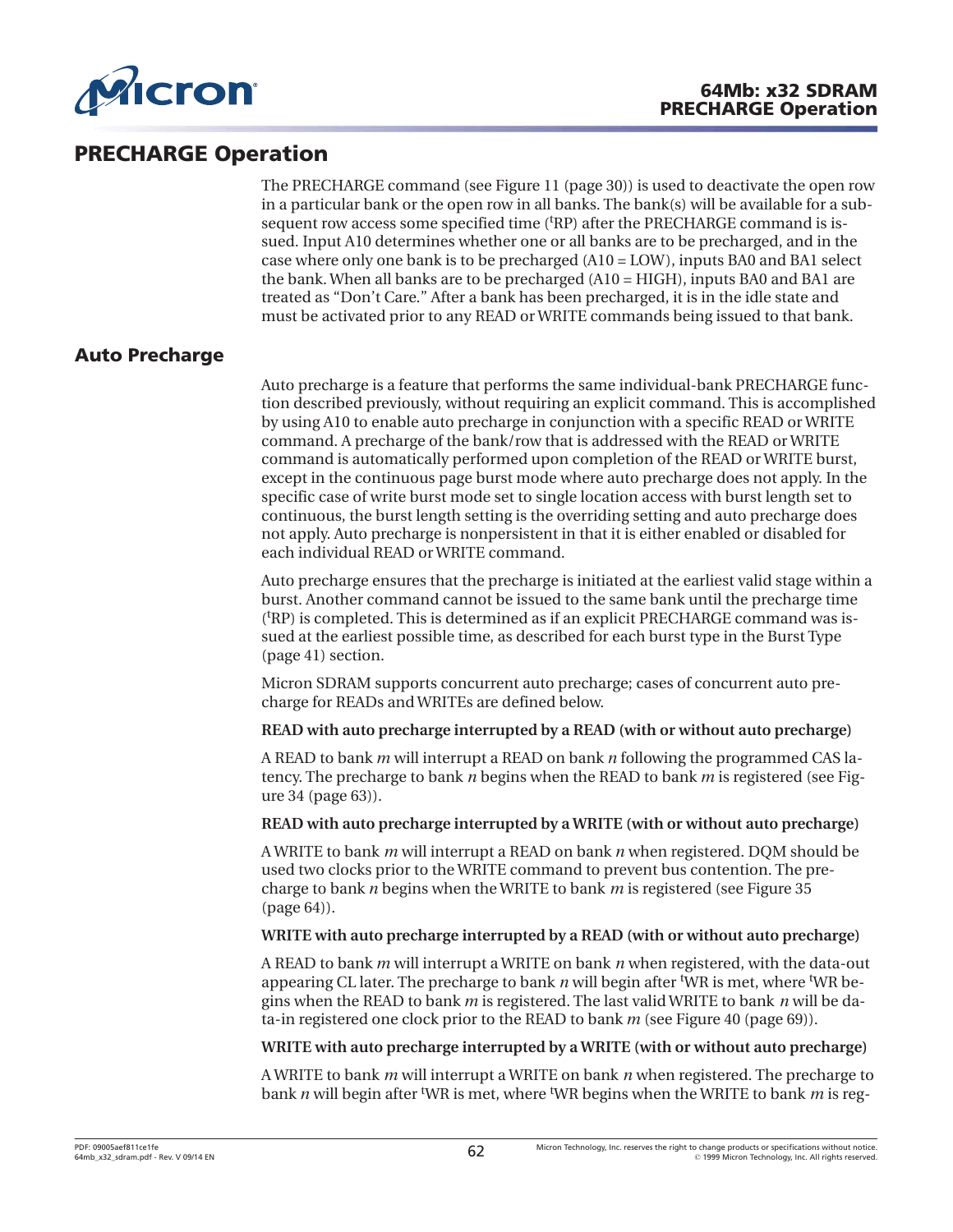

# **PRECHARGE Operation**

The PRECHARGE command (see [Figure 11](#page-29-0) ([page 30](#page-29-0))) is used to deactivate the open row in a particular bank or the open row in all banks. The bank(s) will be available for a subsequent row access some specified time ('RP) after the PRECHARGE command is issued. Input A10 determines whether one or all banks are to be precharged, and in the case where only one bank is to be precharged (A10 = LOW), inputs BA0 and BA1 select the bank. When all banks are to be precharged (A10 = HIGH), inputs BA0 and BA1 are treated as "Don't Care." After a bank has been precharged, it is in the idle state and must be activated prior to any READ or WRITE commands being issued to that bank.

# **Auto Precharge**

Auto precharge is a feature that performs the same individual-bank PRECHARGE function described previously, without requiring an explicit command. This is accomplished by using A10 to enable auto precharge in conjunction with a specific READ or WRITE command. A precharge of the bank/row that is addressed with the READ or WRITE command is automatically performed upon completion of the READ or WRITE burst, except in the continuous page burst mode where auto precharge does not apply. In the specific case of write burst mode set to single location access with burst length set to continuous, the burst length setting is the overriding setting and auto precharge does not apply. Auto precharge is nonpersistent in that it is either enabled or disabled for each individual READ or WRITE command.

Auto precharge ensures that the precharge is initiated at the earliest valid stage within a burst. Another command cannot be issued to the same bank until the precharge time (t RP) is completed. This is determined as if an explicit PRECHARGE command was issued at the earliest possible time, as described for each burst type in the [Burst Type](#page-40-0) ([page 41](#page-40-0)) section.

Micron SDRAM supports concurrent auto precharge; cases of concurrent auto precharge for READs and WRITEs are defined below.

**READ with auto precharge interrupted by a READ (with or without auto precharge)**

A READ to bank *m* will interrupt a READ on bank *n* following the programmed CAS latency. The precharge to bank *n* begins when the READ to bank *m* is registered (see [Fig](#page-62-0)[ure 34 \(page 63\)](#page-62-0)).

#### **READ with auto precharge interrupted by a WRITE (with or without auto precharge)**

A WRITE to bank *m* will interrupt a READ on bank *n* when registered. DQM should be used two clocks prior to the WRITE command to prevent bus contention. The precharge to bank *n* begins when the WRITE to bank *m* is registered (see [Figure 35](#page-63-0) ([page 64\)](#page-63-0)).

## **WRITE with auto precharge interrupted by a READ (with or without auto precharge)**

A READ to bank *m* will interrupt a WRITE on bank *n* when registered, with the data-out appearing CL later. The precharge to bank *n* will begin after <sup>t</sup>WR is met, where <sup>t</sup>WR begins when the READ to bank *m* is registered. The last valid WRITE to bank *n* will be data-in registered one clock prior to the READ to bank *m* (see [Figure 40](#page-68-0) ([page 69](#page-68-0))).

#### **WRITE with auto precharge interrupted by a WRITE (with or without auto precharge)**

A WRITE to bank *m* will interrupt a WRITE on bank *n* when registered. The precharge to bank *n* will begin after t WR is met, where <sup>t</sup> WR begins when the WRITE to bank *m* is reg-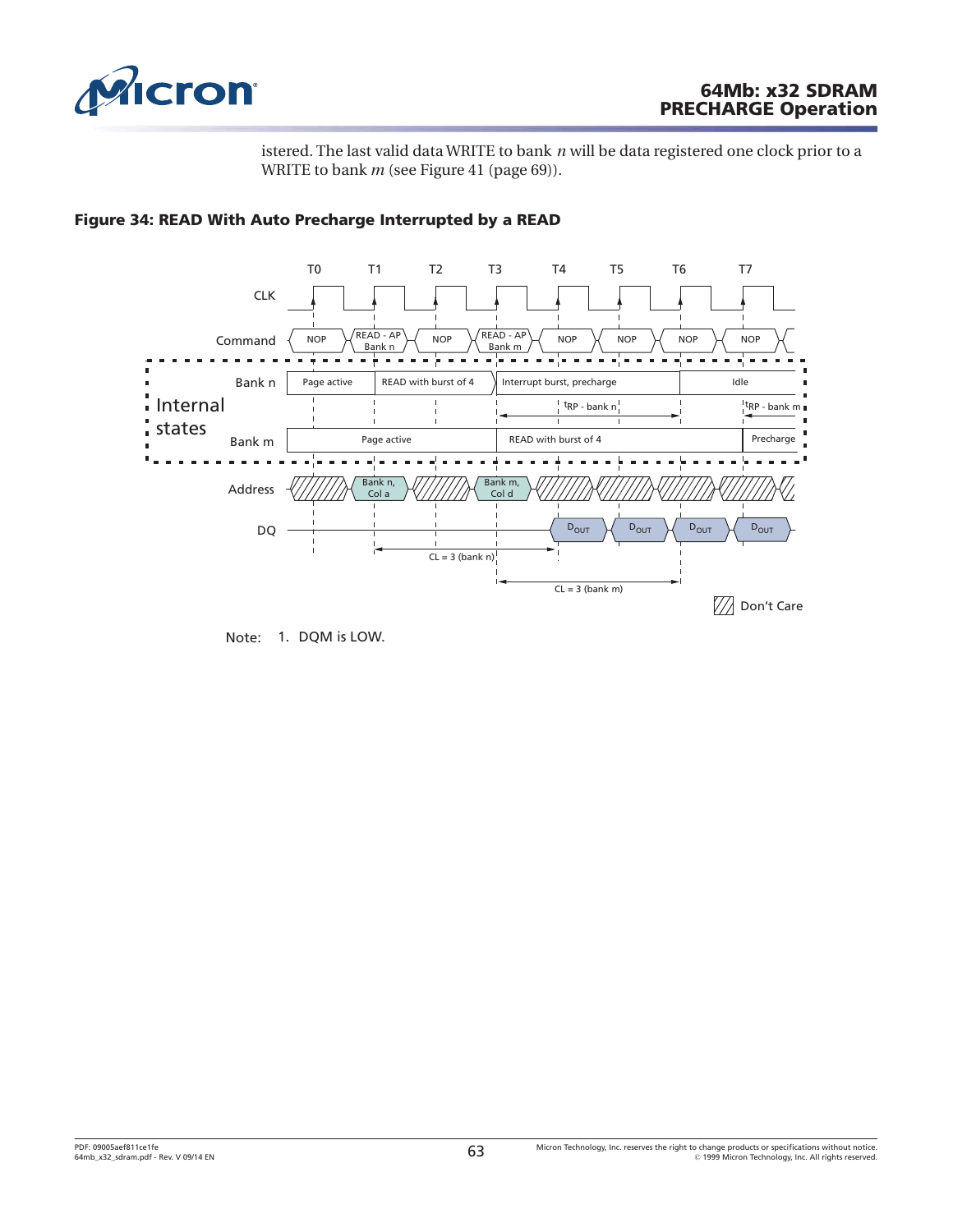<span id="page-62-0"></span>

# **64Mb: x32 SDRAM PRECHARGE Operation**

istered. The last valid data WRITE to bank *n* will be data registered one clock prior to a WRITE to bank *m* (see [Figure 41 \(page 69\)](#page-68-0)).



## **Figure 34: READ With Auto Precharge Interrupted by a READ**

Note: 1. DQM is LOW.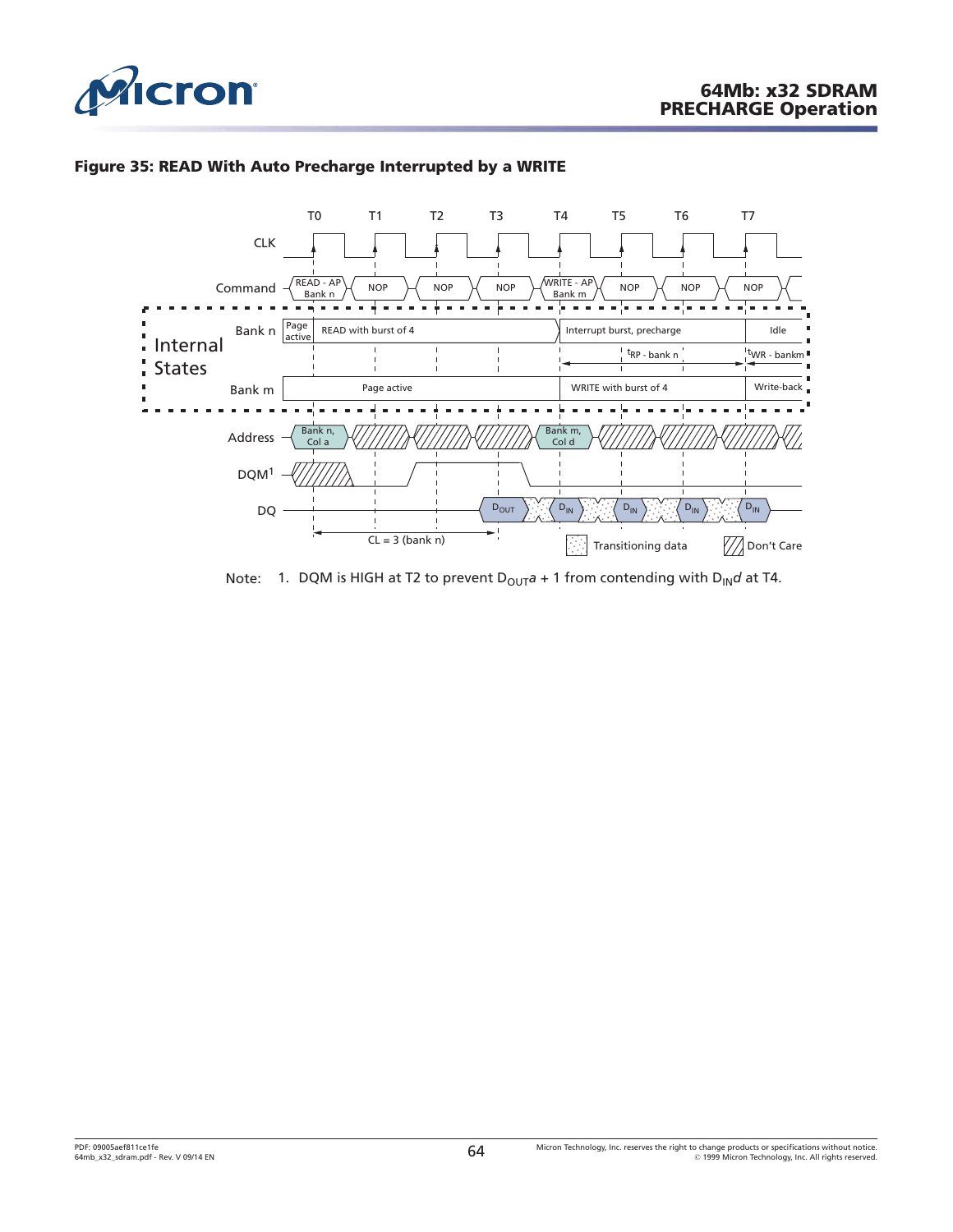<span id="page-63-0"></span>

# **Figure 35: READ With Auto Precharge Interrupted by a WRITE**



Note: 1. DQM is HIGH at T2 to prevent  $D_{OUT}a + 1$  from contending with  $D_{IN}d$  at T4.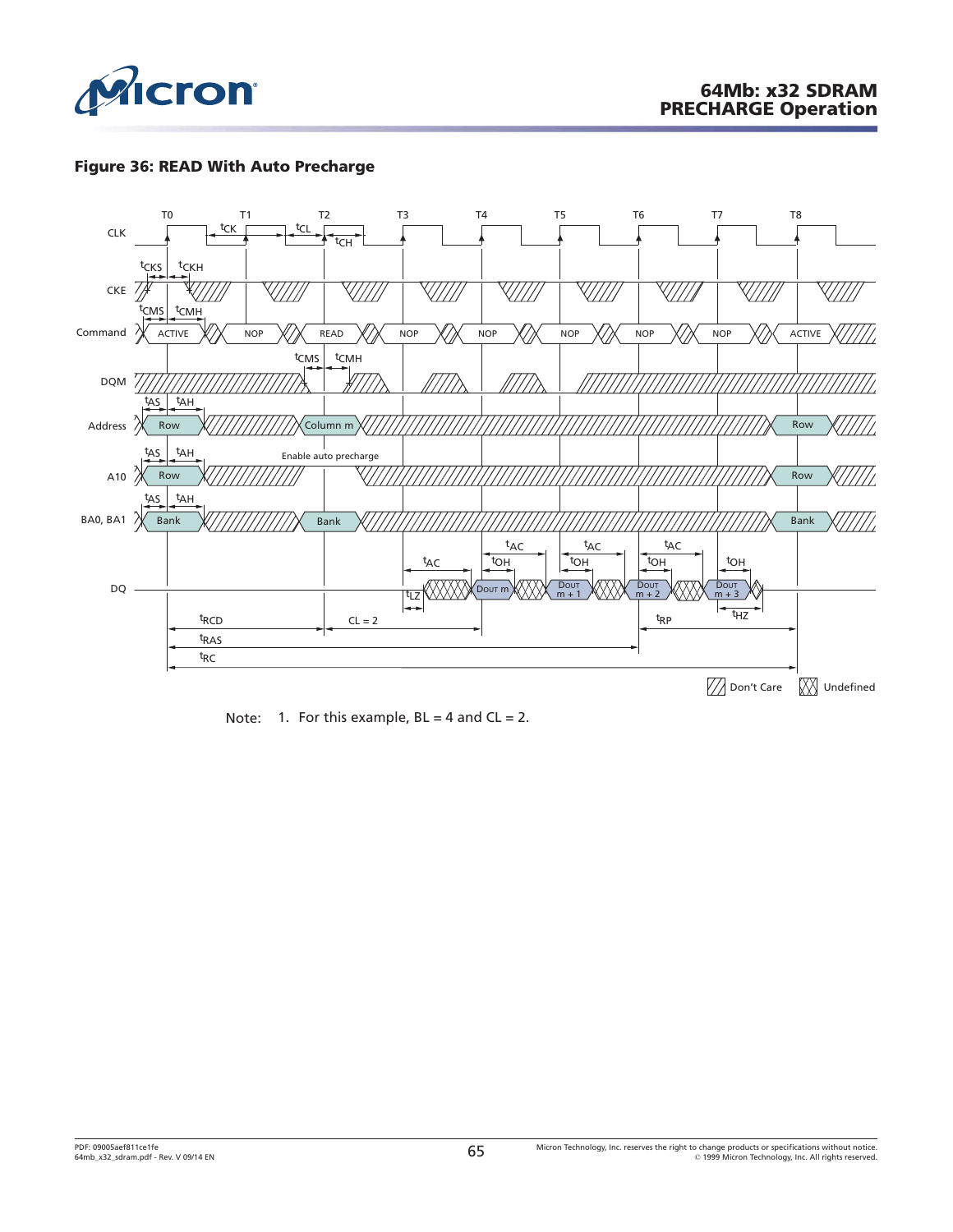

# **Figure 36: READ With Auto Precharge**



Note: 1. For this example,  $BL = 4$  and  $CL = 2$ .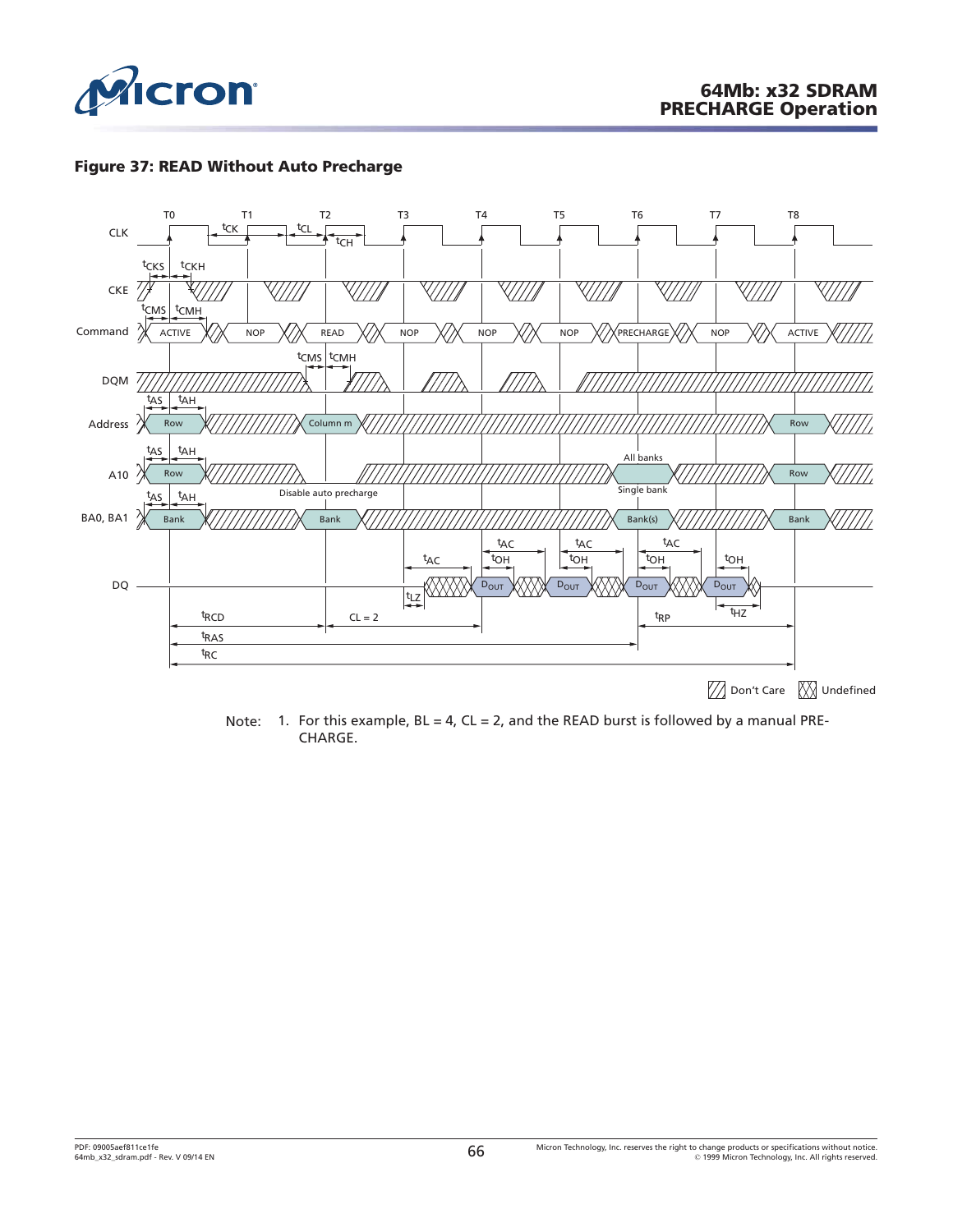

## **Figure 37: READ Without Auto Precharge**



Note: 1. For this example,  $BL = 4$ ,  $CL = 2$ , and the READ burst is followed by a manual PRE-CHARGE.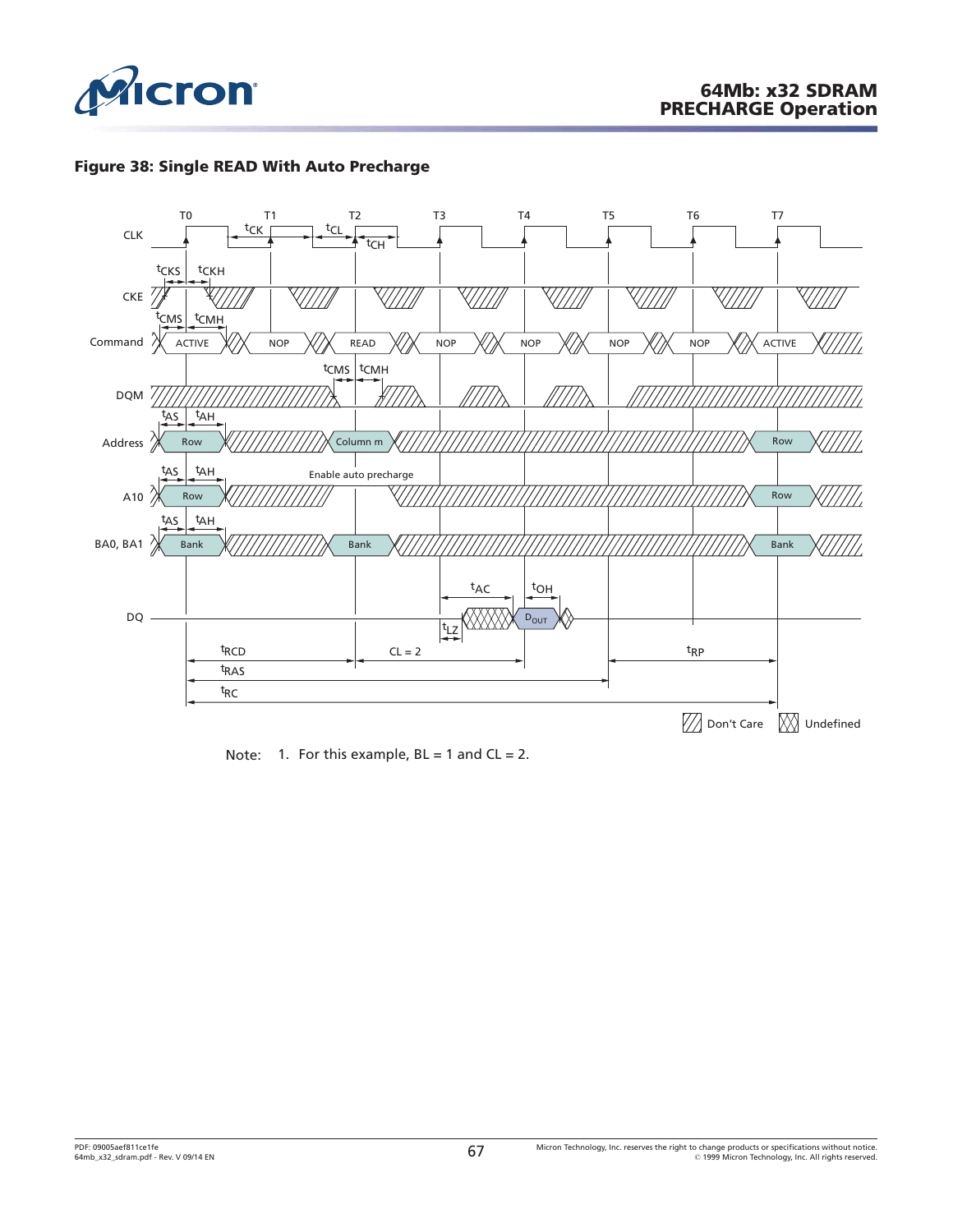





Note: 1. For this example,  $BL = 1$  and  $CL = 2$ .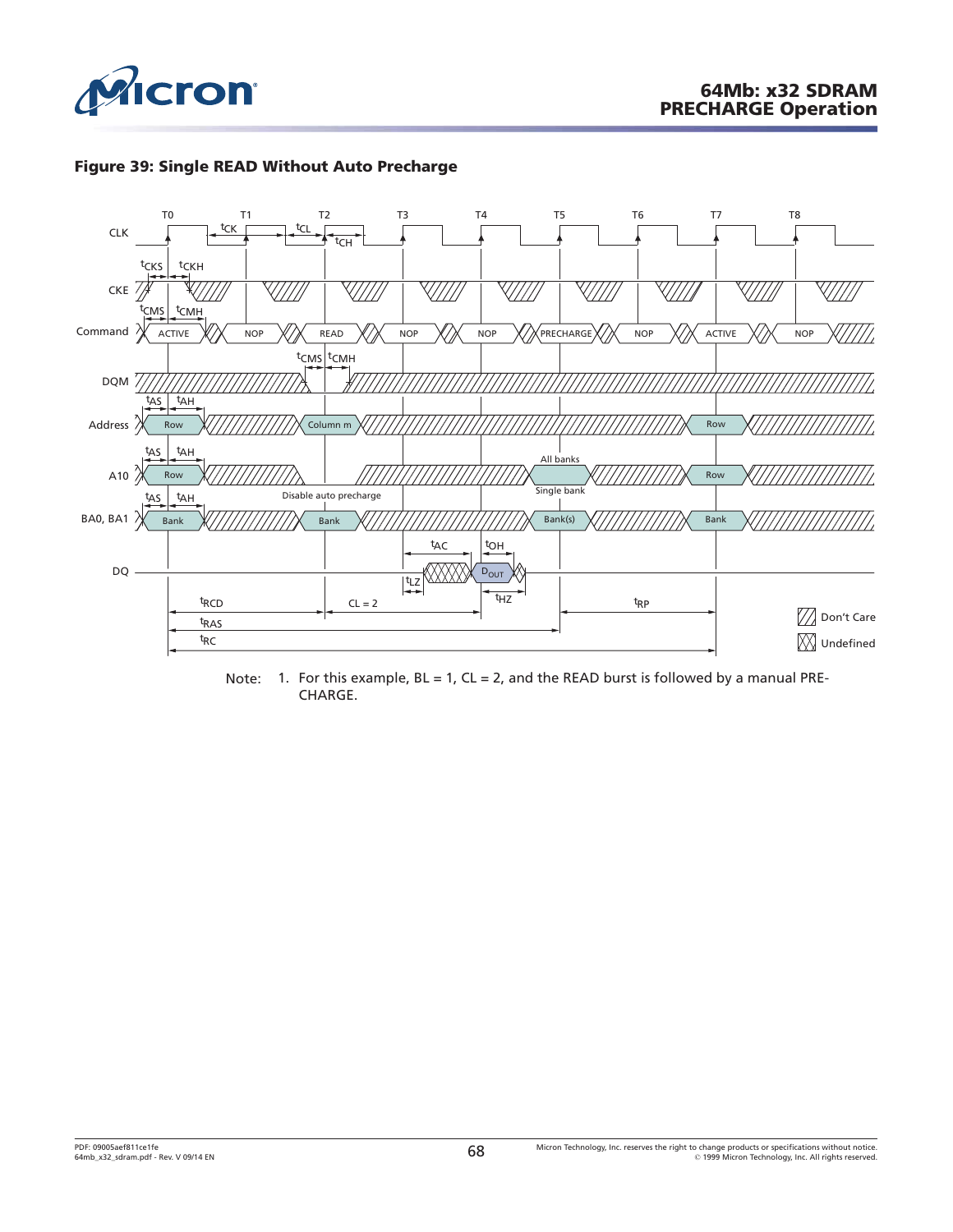





Note: 1. For this example,  $BL = 1$ ,  $CL = 2$ , and the READ burst is followed by a manual PRE-CHARGE.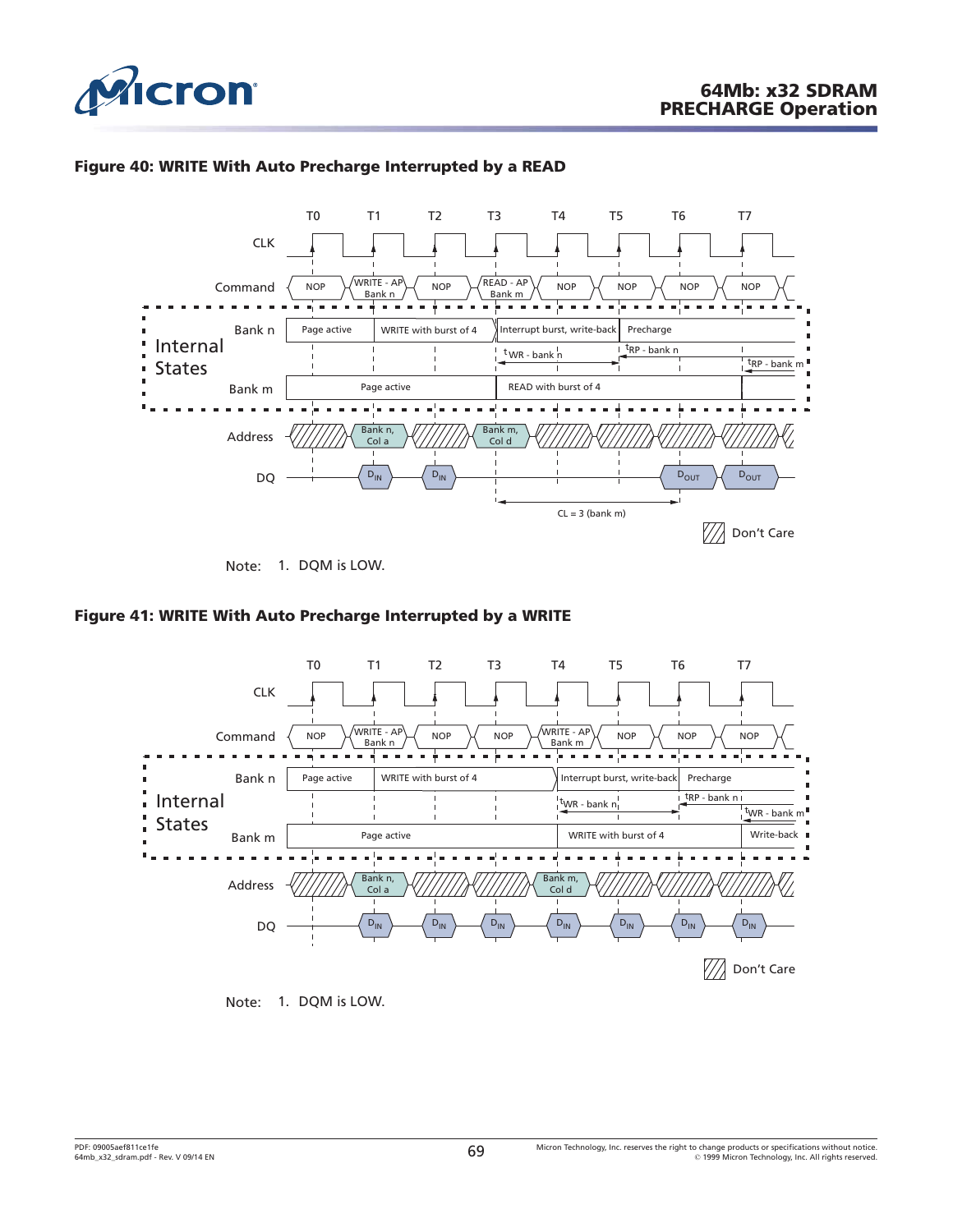

<span id="page-68-0"></span>

# **Figure 40: WRITE With Auto Precharge Interrupted by a READ**



Note: 1. DQM is LOW.

## **Figure 41: WRITE With Auto Precharge Interrupted by a WRITE**



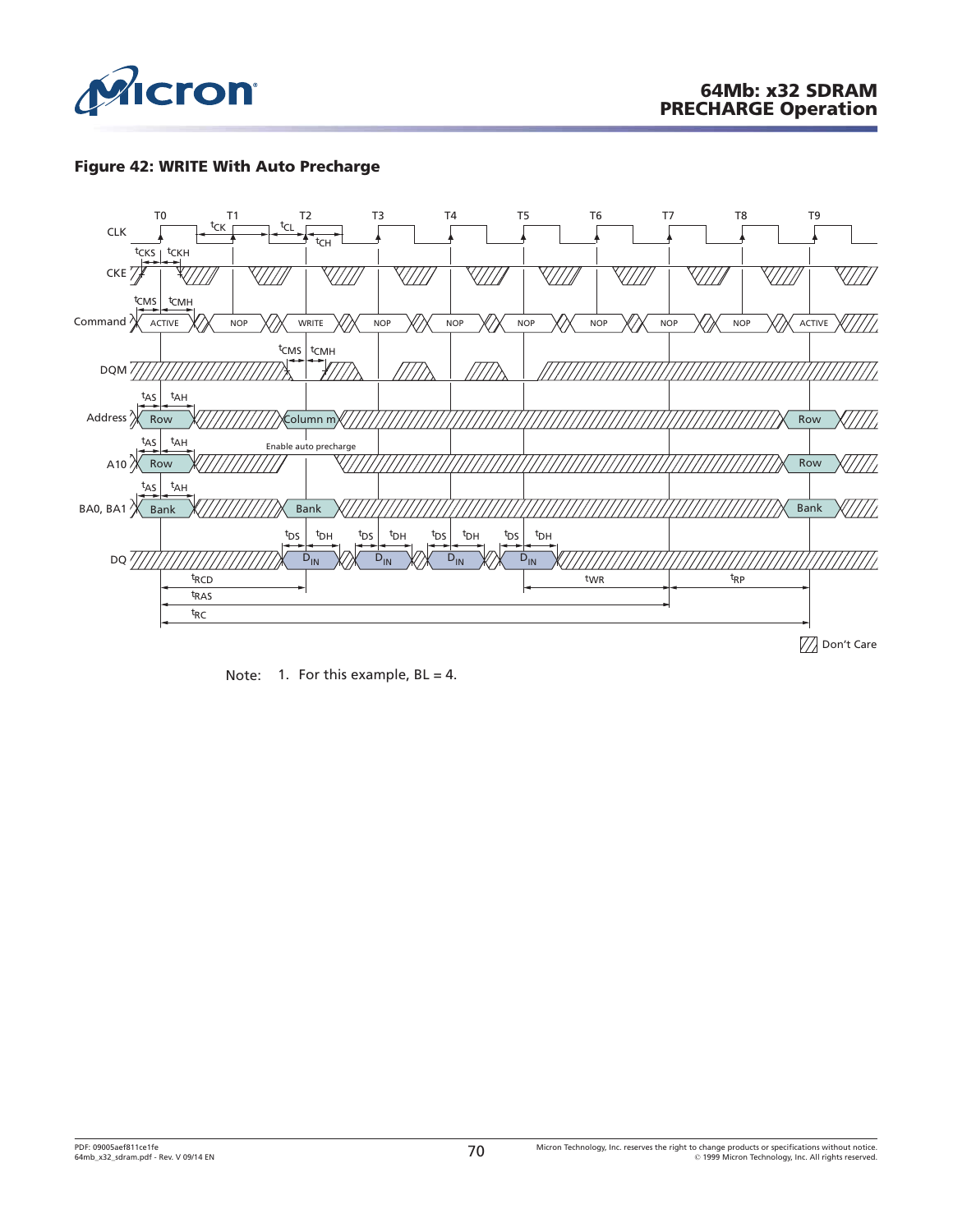

# **Figure 42: WRITE With Auto Precharge**



Note: 1. For this example,  $BL = 4$ .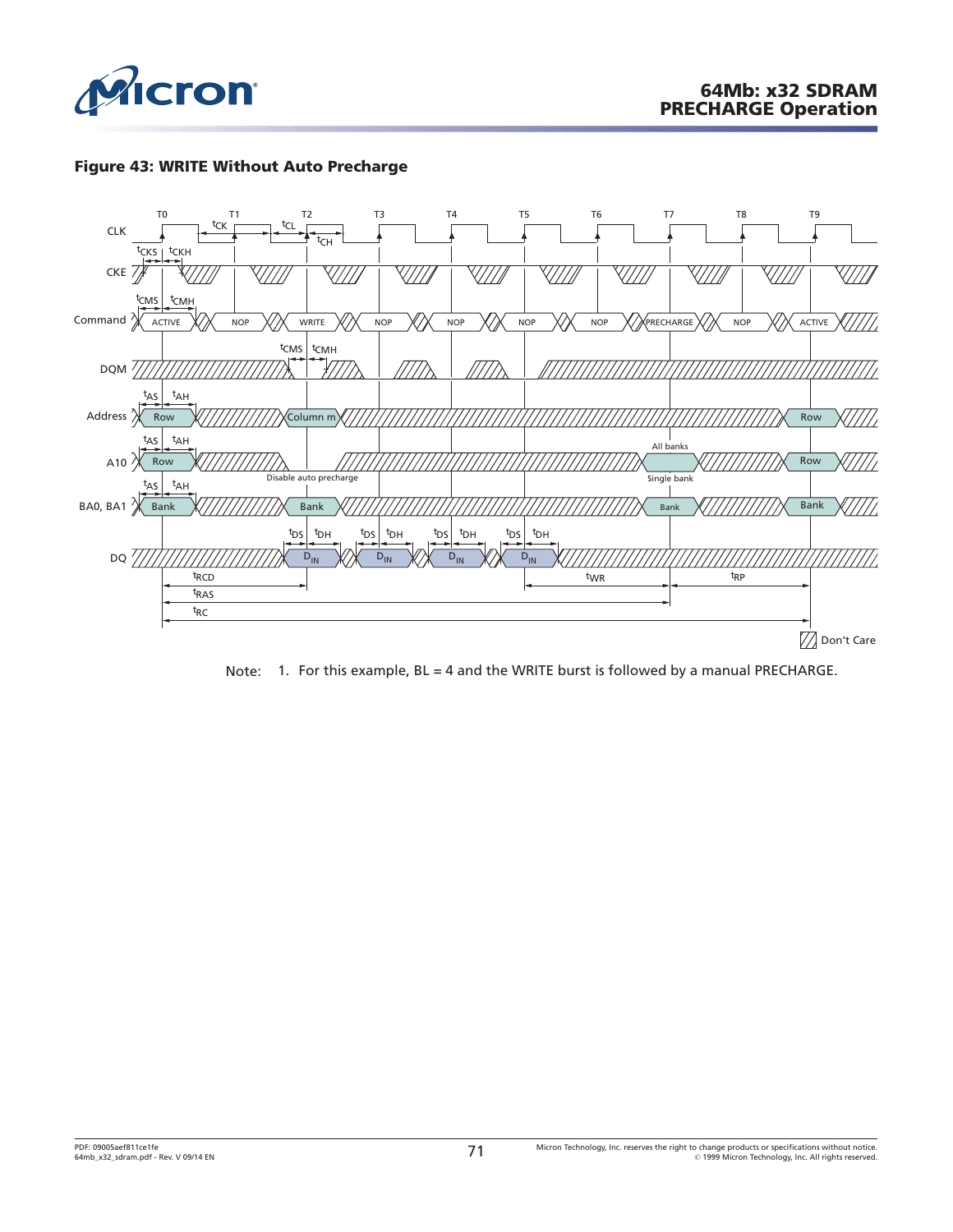

# **Figure 43: WRITE Without Auto Precharge**



Note: 1. For this example, BL = 4 and the WRITE burst is followed by a manual PRECHARGE.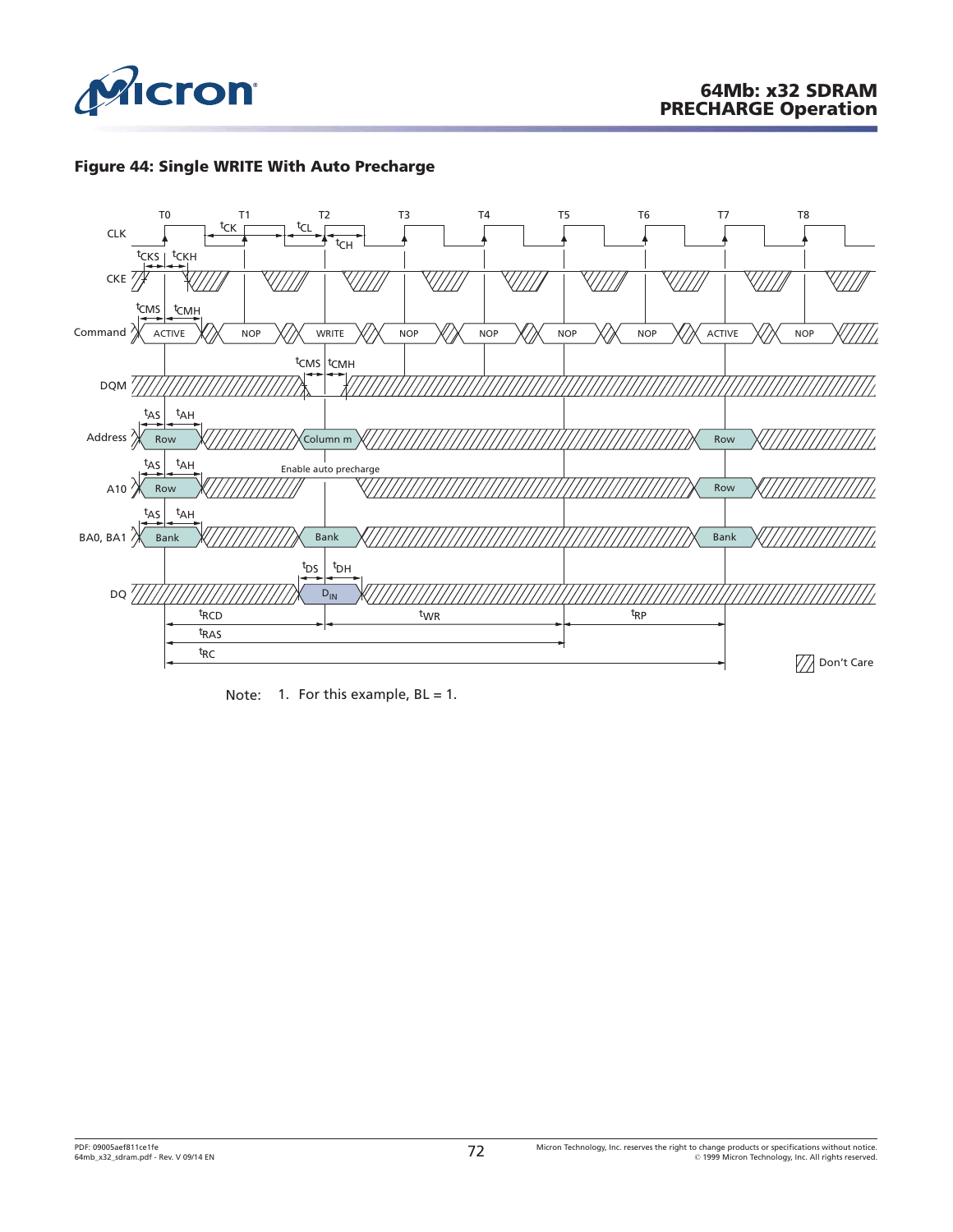

# **Figure 44: Single WRITE With Auto Precharge**



Note: 1. For this example,  $BL = 1$ .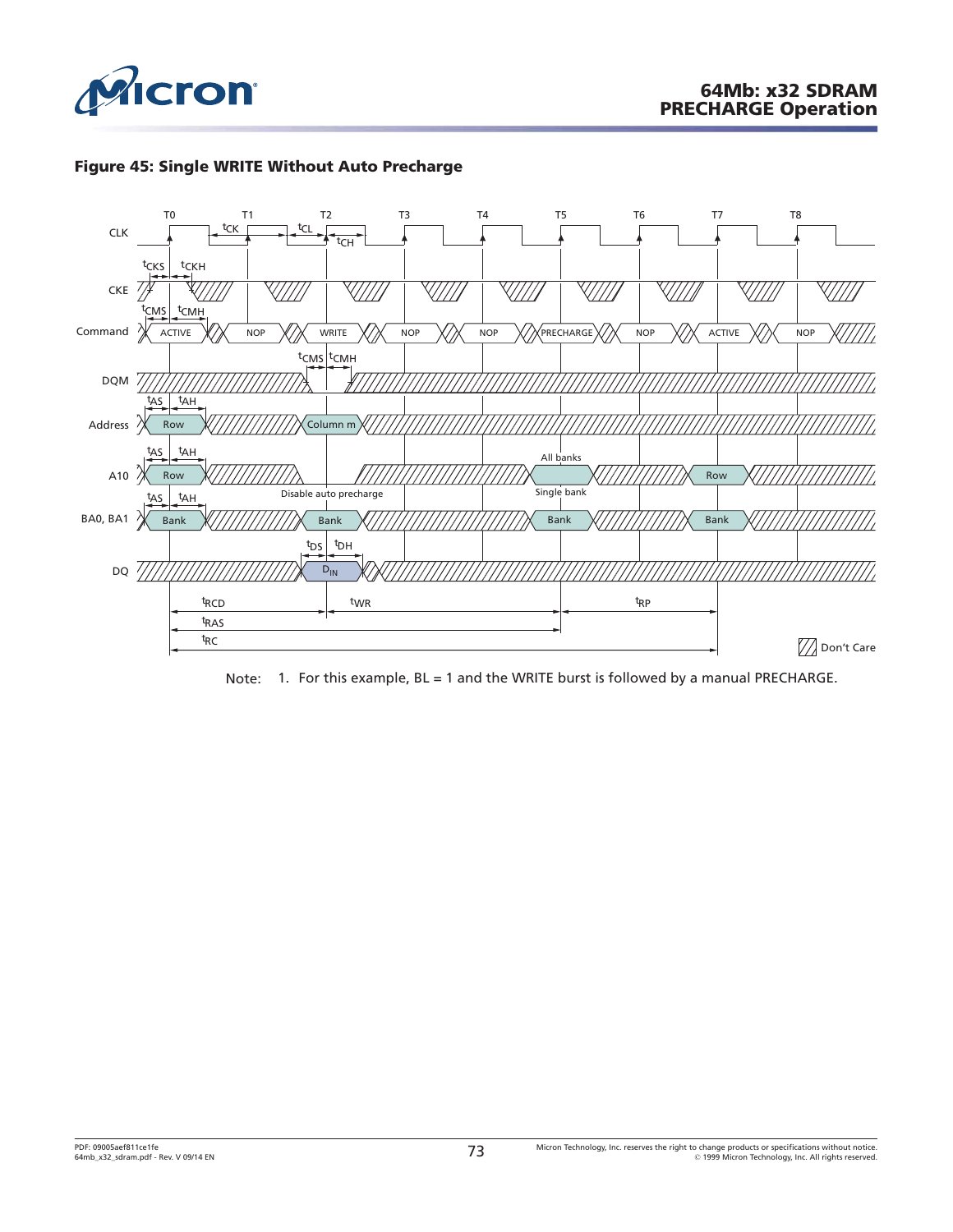





Note: 1. For this example, BL = 1 and the WRITE burst is followed by a manual PRECHARGE.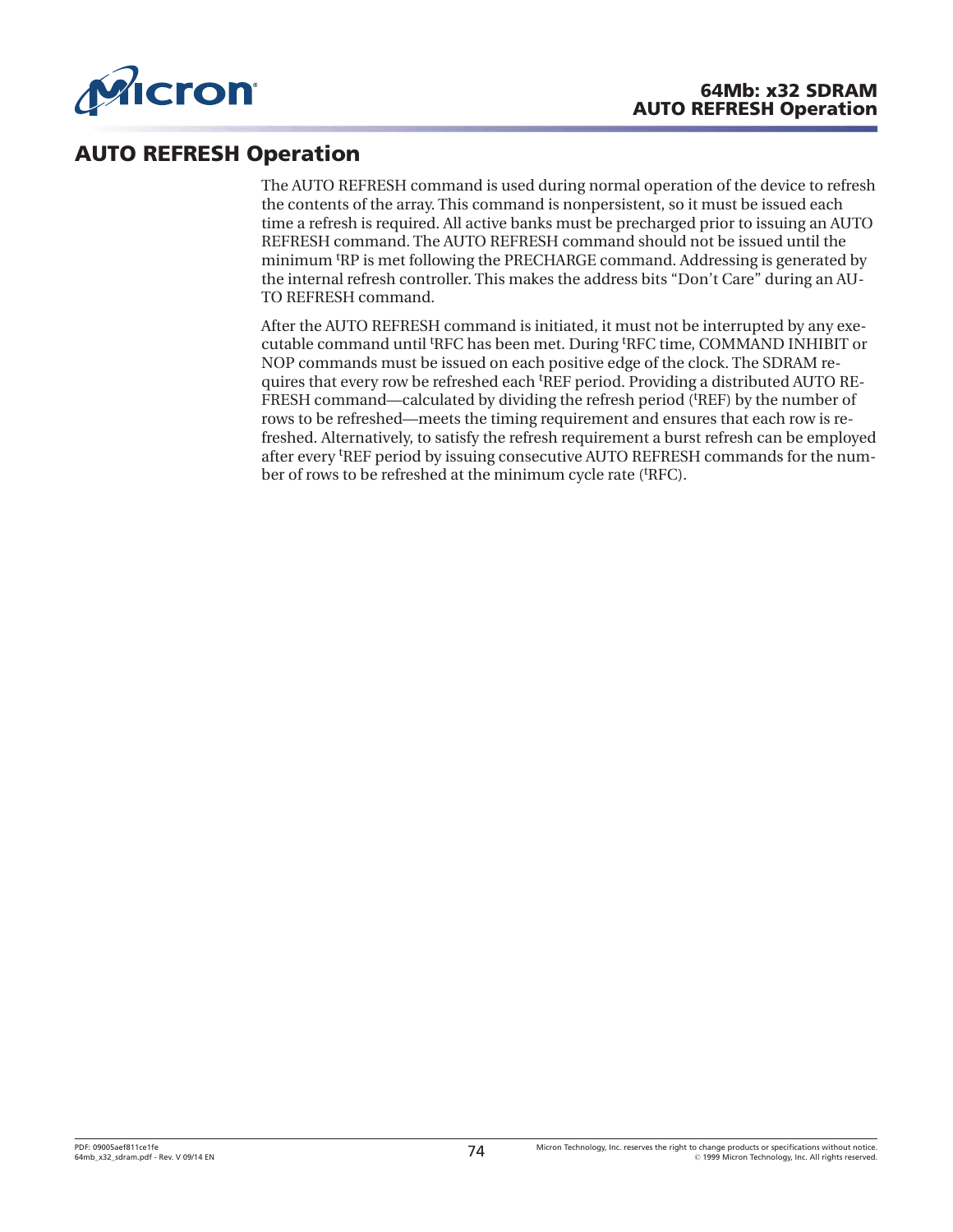

## **AUTO REFRESH Operation**

The AUTO REFRESH command is used during normal operation of the device to refresh the contents of the array. This command is nonpersistent, so it must be issued each time a refresh is required. All active banks must be precharged prior to issuing an AUTO REFRESH command. The AUTO REFRESH command should not be issued until the minimum t RP is met following the PRECHARGE command. Addressing is generated by the internal refresh controller. This makes the address bits "Don't Care" during an AU-TO REFRESH command.

After the AUTO REFRESH command is initiated, it must not be interrupted by any executable command until <sup>t</sup> RFC has been met. During <sup>t</sup> RFC time, COMMAND INHIBIT or NOP commands must be issued on each positive edge of the clock. The SDRAM requires that every row be refreshed each <sup>t</sup>REF period. Providing a distributed AUTO RE-FRESH command—calculated by dividing the refresh period ('REF) by the number of rows to be refreshed—meets the timing requirement and ensures that each row is refreshed. Alternatively, to satisfy the refresh requirement a burst refresh can be employed after every <sup>t</sup> REF period by issuing consecutive AUTO REFRESH commands for the number of rows to be refreshed at the minimum cycle rate ('RFC).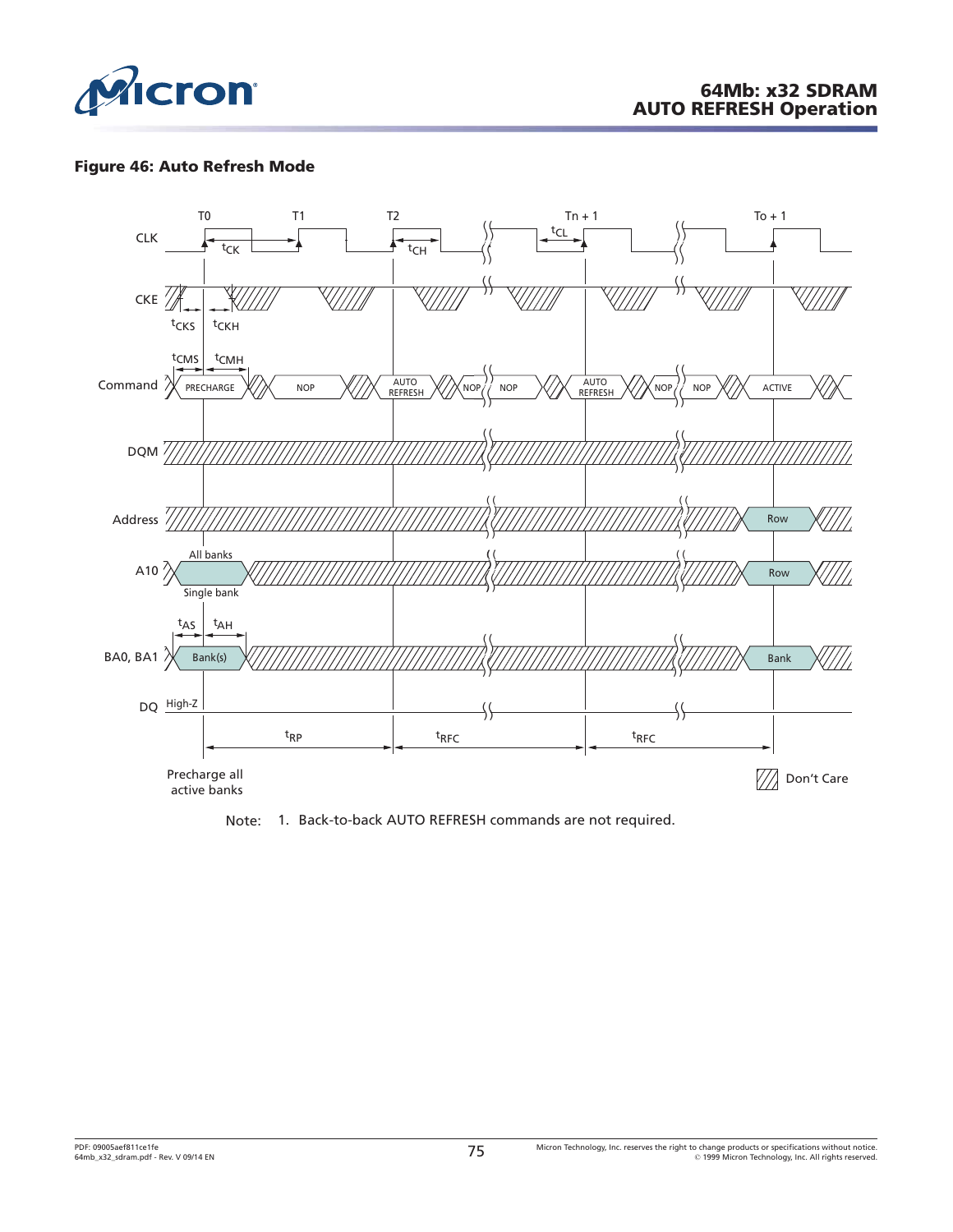

#### **Figure 46: Auto Refresh Mode**



Note: 1. Back-to-back AUTO REFRESH commands are not required.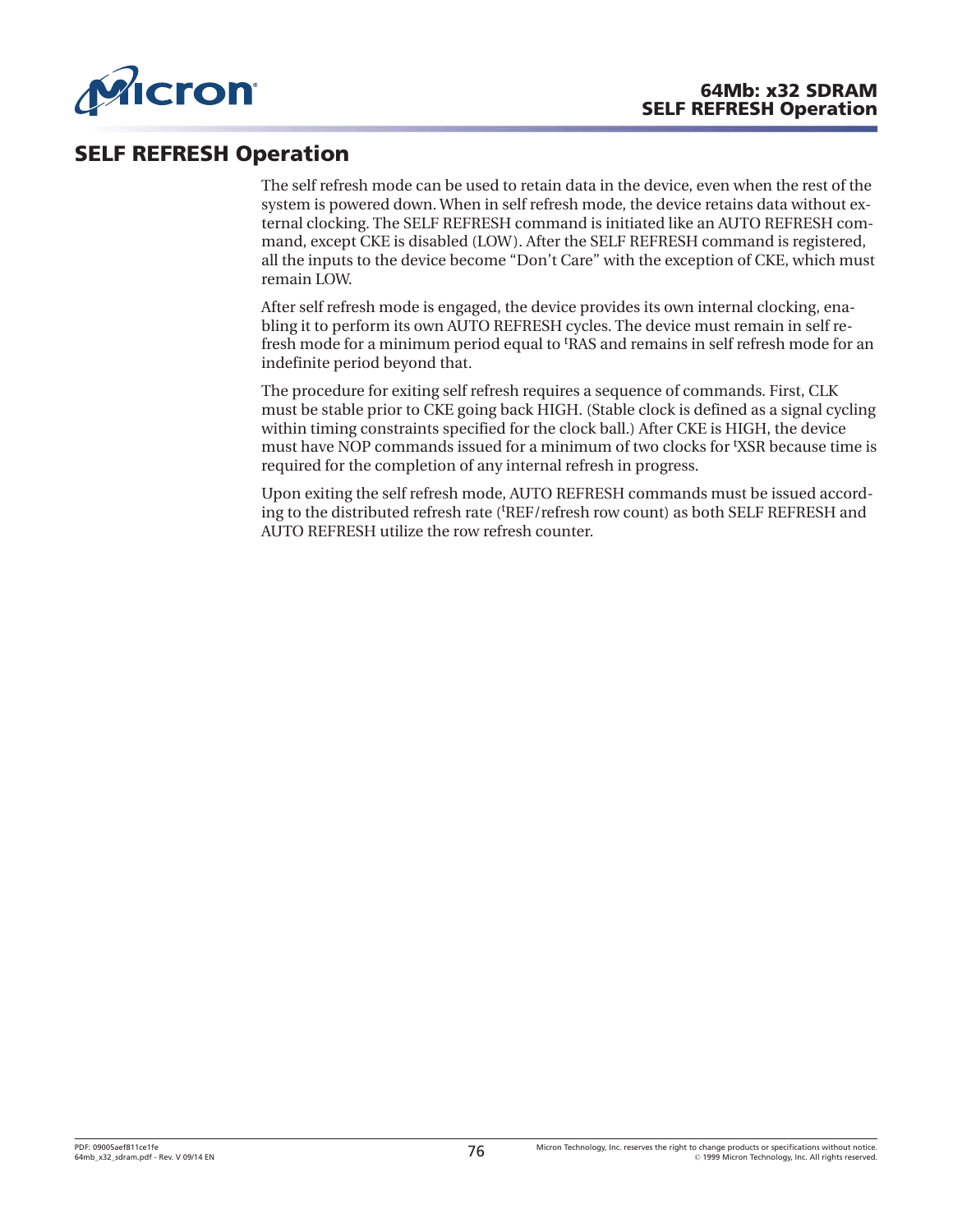

## **SELF REFRESH Operation**

The self refresh mode can be used to retain data in the device, even when the rest of the system is powered down. When in self refresh mode, the device retains data without external clocking. The SELF REFRESH command is initiated like an AUTO REFRESH command, except CKE is disabled (LOW). After the SELF REFRESH command is registered, all the inputs to the device become "Don't Care" with the exception of CKE, which must remain LOW.

After self refresh mode is engaged, the device provides its own internal clocking, enabling it to perform its own AUTO REFRESH cycles. The device must remain in self refresh mode for a minimum period equal to t RAS and remains in self refresh mode for an indefinite period beyond that.

The procedure for exiting self refresh requires a sequence of commands. First, CLK must be stable prior to CKE going back HIGH. (Stable clock is defined as a signal cycling within timing constraints specified for the clock ball.) After CKE is HIGH, the device must have NOP commands issued for a minimum of two clocks for <sup>t</sup> XSR because time is required for the completion of any internal refresh in progress.

Upon exiting the self refresh mode, AUTO REFRESH commands must be issued according to the distributed refresh rate ('REF/refresh row count) as both SELF REFRESH and AUTO REFRESH utilize the row refresh counter.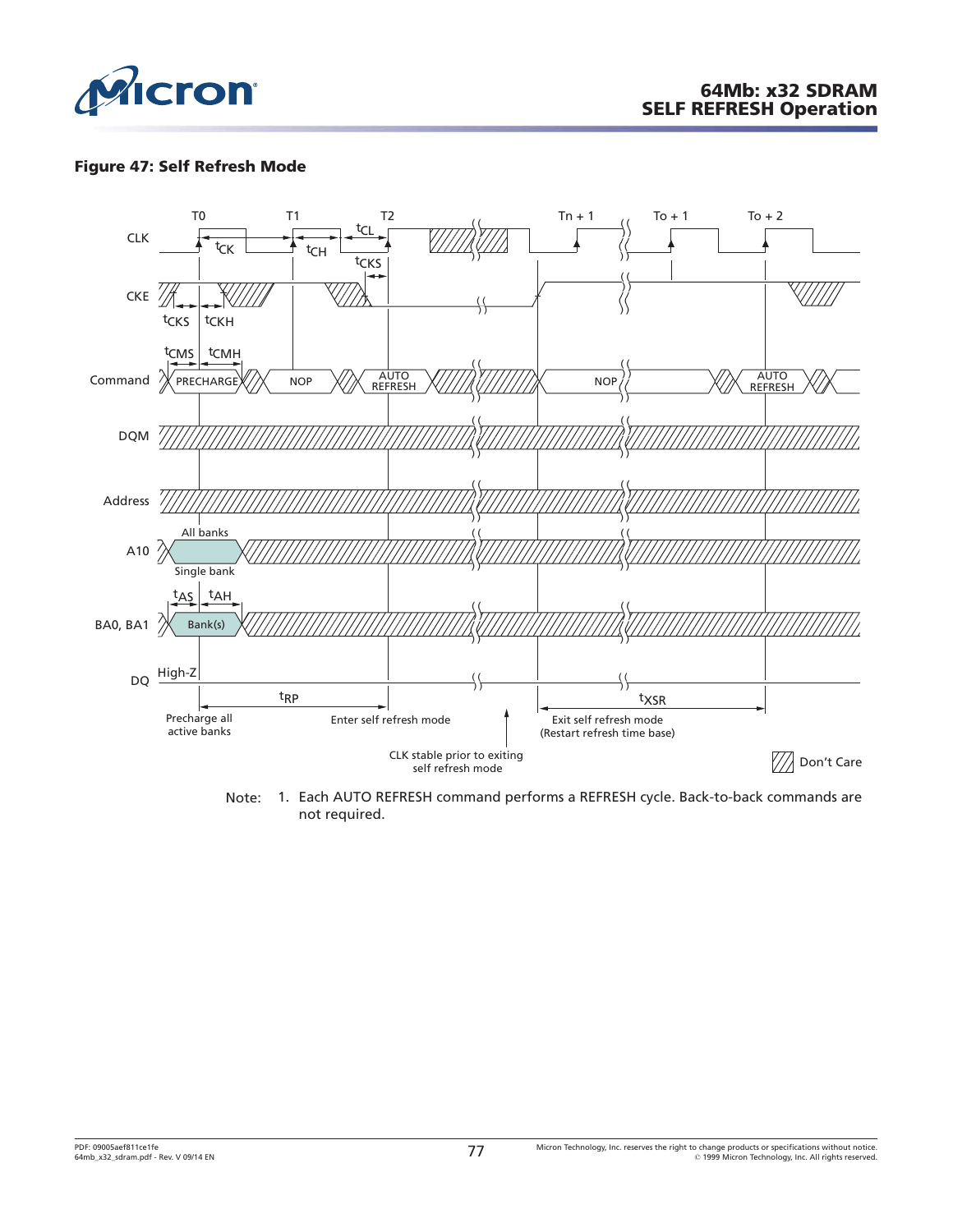

#### **Figure 47: Self Refresh Mode**



Note: 1. Each AUTO REFRESH command performs a REFRESH cycle. Back-to-back commands are not required.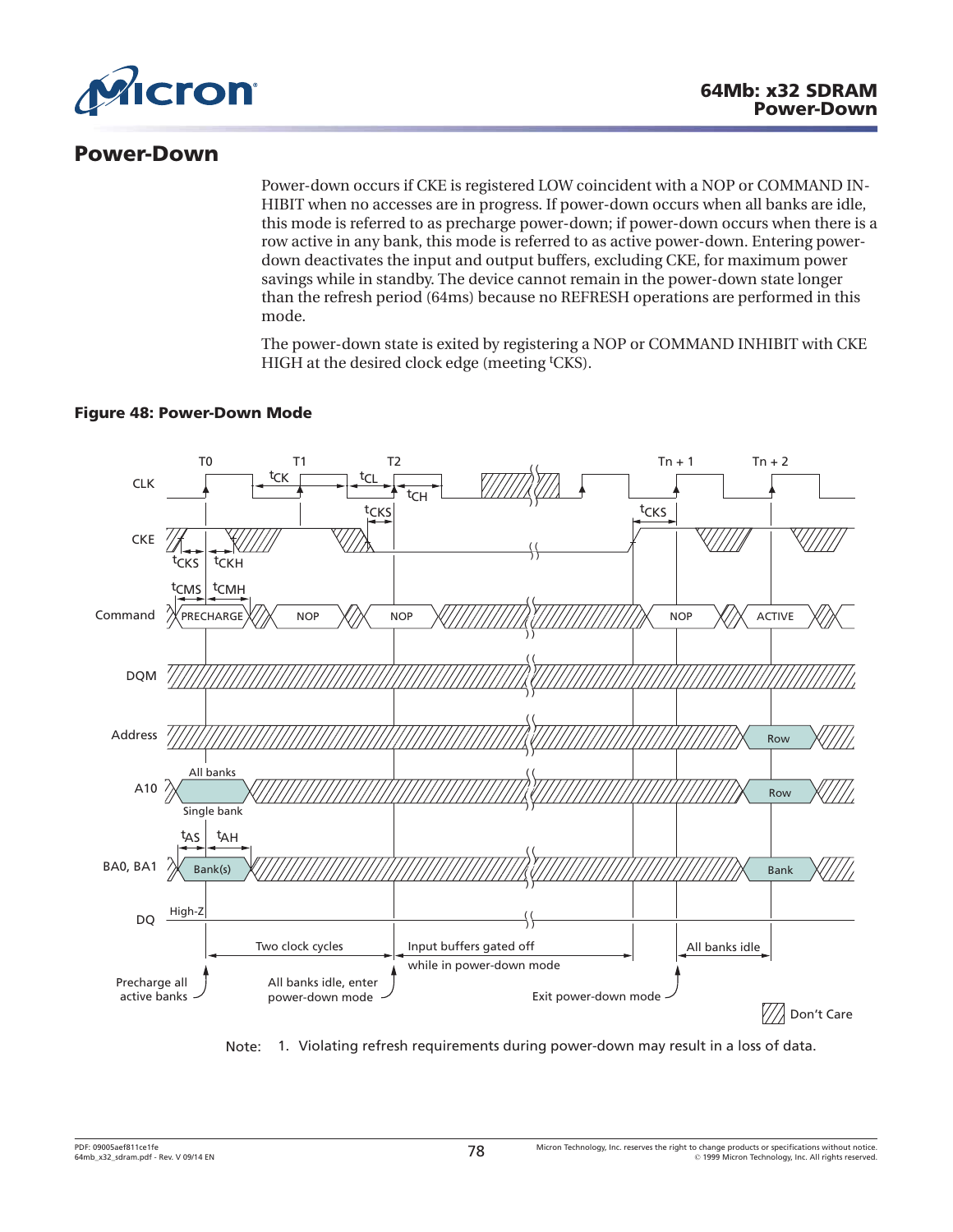

## **Power-Down**

Power-down occurs if CKE is registered LOW coincident with a NOP or COMMAND IN-HIBIT when no accesses are in progress. If power-down occurs when all banks are idle, this mode is referred to as precharge power-down; if power-down occurs when there is a row active in any bank, this mode is referred to as active power-down. Entering powerdown deactivates the input and output buffers, excluding CKE, for maximum power savings while in standby. The device cannot remain in the power-down state longer than the refresh period (64ms) because no REFRESH operations are performed in this mode.

The power-down state is exited by registering a NOP or COMMAND INHIBIT with CKE HIGH at the desired clock edge (meeting <sup>t</sup>CKS).

#### **Figure 48: Power-Down Mode**



Note: 1. Violating refresh requirements during power-down may result in a loss of data.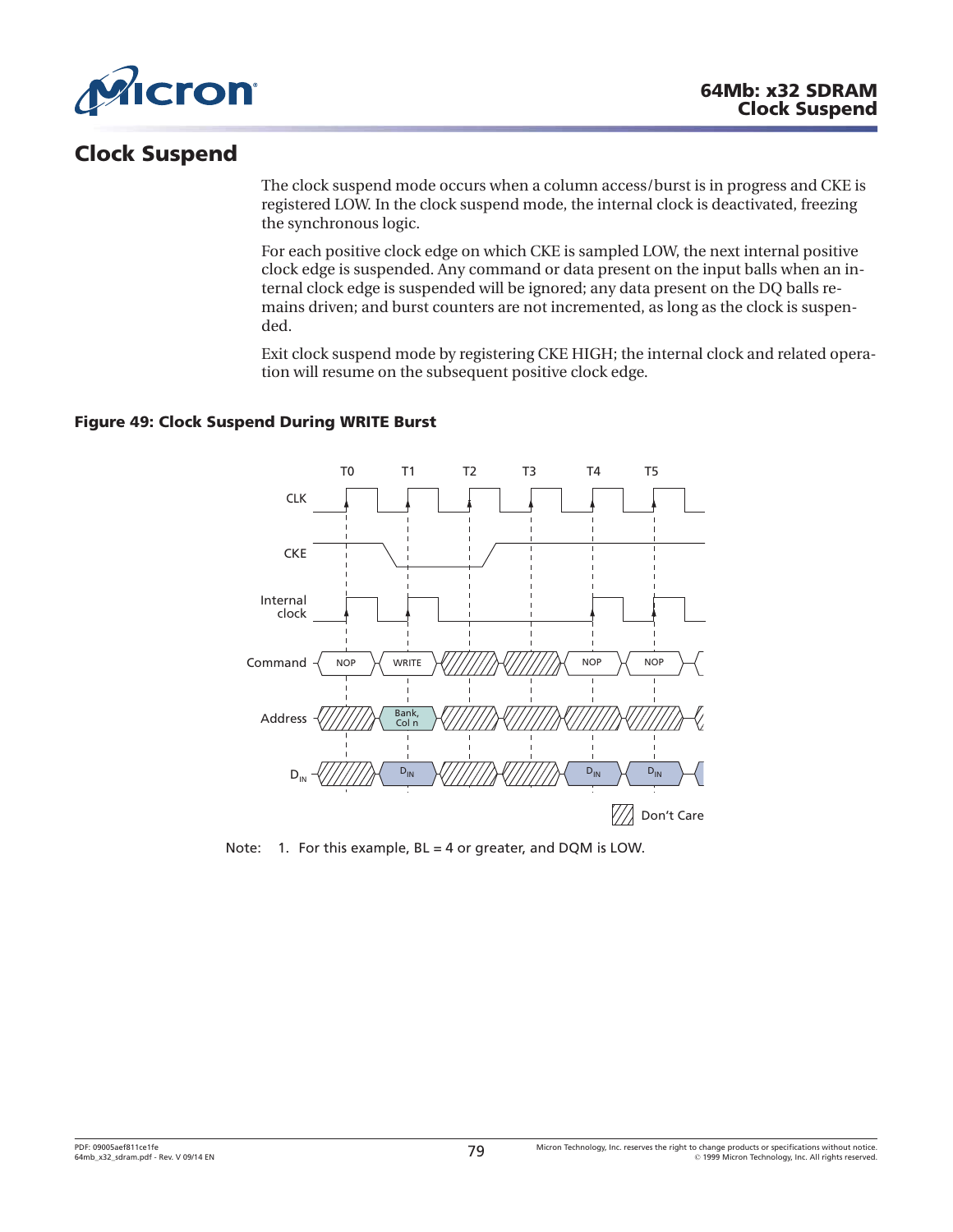

# **Clock Suspend**

The clock suspend mode occurs when a column access/burst is in progress and CKE is registered LOW. In the clock suspend mode, the internal clock is deactivated, freezing the synchronous logic.

For each positive clock edge on which CKE is sampled LOW, the next internal positive clock edge is suspended. Any command or data present on the input balls when an internal clock edge is suspended will be ignored; any data present on the DQ balls remains driven; and burst counters are not incremented, as long as the clock is suspended.

Exit clock suspend mode by registering CKE HIGH; the internal clock and related operation will resume on the subsequent positive clock edge.

#### **Figure 49: Clock Suspend During WRITE Burst**



Note: 1. For this example, BL = 4 or greater, and DQM is LOW.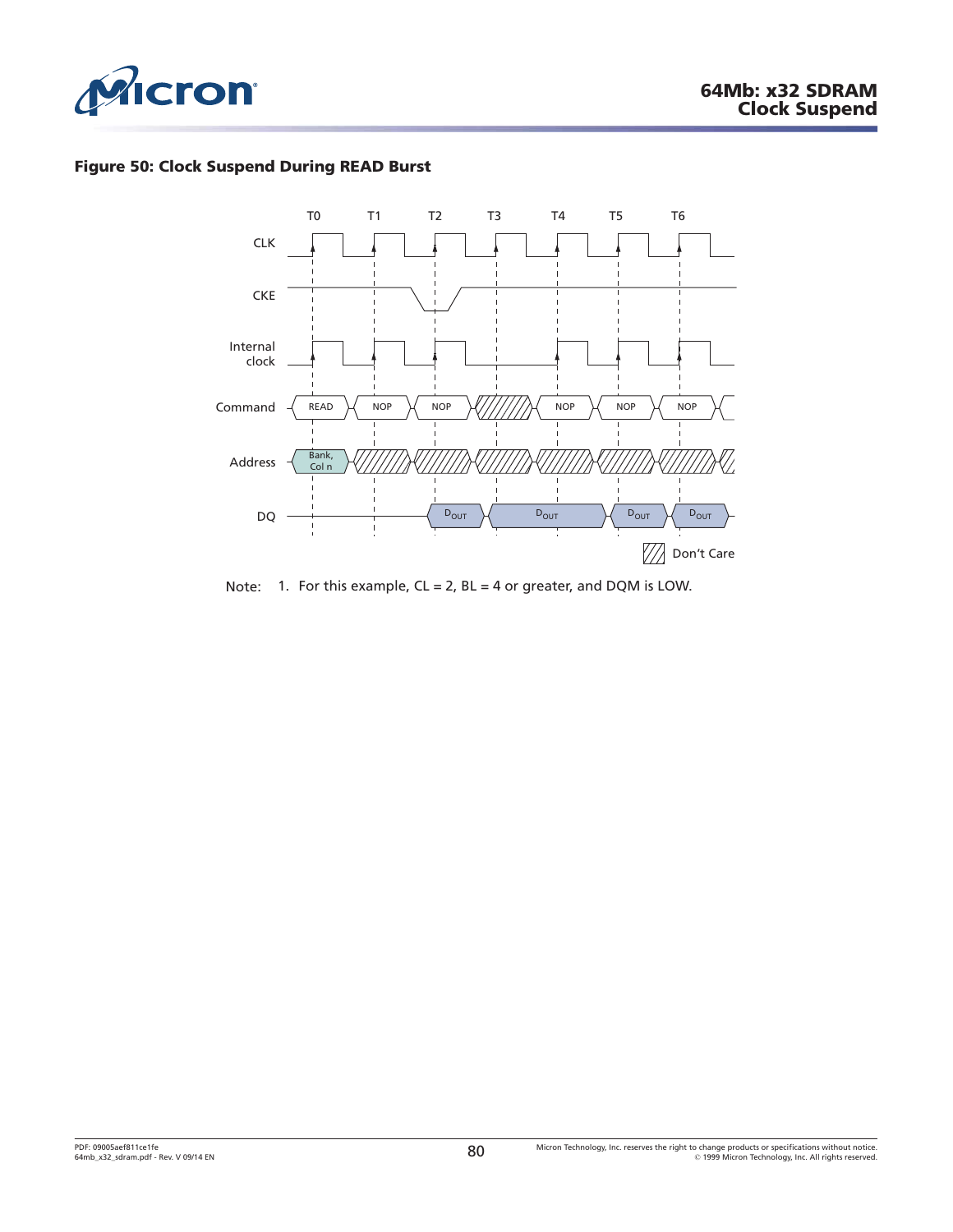

### **Figure 50: Clock Suspend During READ Burst**



Note: 1. For this example,  $CL = 2$ ,  $BL = 4$  or greater, and DQM is LOW.